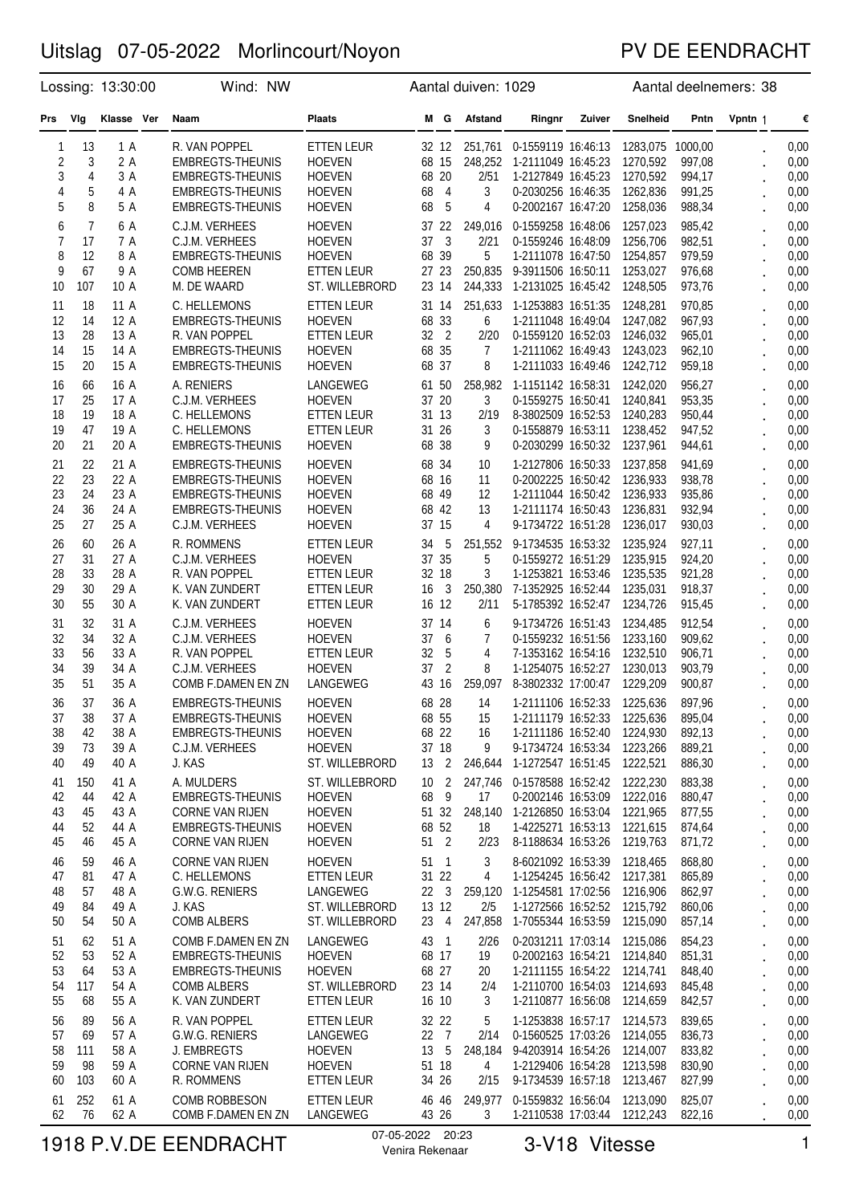### PV DE EENDRACHT

|                            |                              | Lossing: 13:30:00                    | Wind: NW                                                                                                             |                                                                                                   |                                                                   | Aantal duiven: 1029                         |                                                                                                                                                |  | Aantal deelnemers: 38                                            |                                                |                      |                                      |  |
|----------------------------|------------------------------|--------------------------------------|----------------------------------------------------------------------------------------------------------------------|---------------------------------------------------------------------------------------------------|-------------------------------------------------------------------|---------------------------------------------|------------------------------------------------------------------------------------------------------------------------------------------------|--|------------------------------------------------------------------|------------------------------------------------|----------------------|--------------------------------------|--|
| Prs                        | Vlg                          | Klasse Ver                           | Naam                                                                                                                 | <b>Plaats</b>                                                                                     | <b>Afstand</b><br>M G<br>Ringnr<br>Zuiver                         |                                             |                                                                                                                                                |  | Snelheid                                                         | Pntn                                           | Vpntn 1              | €                                    |  |
| 1<br>2<br>3<br>4<br>5      | 13<br>3<br>4<br>5<br>8       | 1 A<br>2 A<br>3 A<br>4 A<br>5 A      | R. VAN POPPEL<br><b>EMBREGTS-THEUNIS</b><br>EMBREGTS-THEUNIS<br><b>EMBREGTS-THEUNIS</b><br><b>EMBREGTS-THEUNIS</b>   | ETTEN LEUR<br><b>HOEVEN</b><br><b>HOEVEN</b><br><b>HOEVEN</b><br><b>HOEVEN</b>                    | 32 12<br>68 15<br>68 20<br>68<br>$\overline{4}$<br>68<br>-5       | 248,252<br>2/51<br>3<br>4                   | 251,761  0-1559119  16:46:13<br>1-2111049 16:45:23<br>1-2127849 16:45:23<br>0-2030256 16:46:35<br>0-2002167 16:47:20                           |  | 1283,075 1000,00<br>1270,592<br>1270,592<br>1262,836<br>1258,036 | 997,08<br>994,17<br>991,25<br>988,34           |                      | 0,00<br>0,00<br>0,00<br>0,00<br>0,00 |  |
| 6<br>7<br>8<br>9<br>10     | 7<br>17<br>12<br>67<br>107   | 6 A<br>7 A<br>8 A<br>9 A<br>10 A     | C.J.M. VERHEES<br>C.J.M. VERHEES<br><b>EMBREGTS-THEUNIS</b><br><b>COMB HEEREN</b><br>M. DE WAARD                     | <b>HOEVEN</b><br><b>HOEVEN</b><br><b>HOEVEN</b><br><b>ETTEN LEUR</b><br>ST. WILLEBRORD            | 37 22<br>$\overline{\mathbf{3}}$<br>37<br>68 39<br>27 23<br>23 14 | 249.016<br>2/21<br>5<br>250,835<br>244,333  | 0-1559258 16:48:06<br>0-1559246 16:48:09<br>1-2111078 16:47:50<br>9-3911506 16:50:11 1253,027<br>1-2131025 16:45:42 1248,505                   |  | 1257,023<br>1256,706<br>1254.857                                 | 985,42<br>982,51<br>979,59<br>976,68<br>973,76 |                      | 0,00<br>0,00<br>0,00<br>0,00<br>0,00 |  |
| 11<br>12<br>13<br>14<br>15 | 18<br>14<br>28<br>15<br>20   | 11 A<br>12 A<br>13 A<br>14 A<br>15 A | C. HELLEMONS<br><b>EMBREGTS-THEUNIS</b><br>R. VAN POPPEL<br><b>EMBREGTS-THEUNIS</b><br>EMBREGTS-THEUNIS              | ETTEN LEUR<br><b>HOEVEN</b><br><b>ETTEN LEUR</b><br><b>HOEVEN</b><br><b>HOEVEN</b>                | 31 14<br>68 33<br>32 2<br>68 35<br>68 37                          | 251,633<br>6<br>2/20<br>$\overline{7}$<br>8 | 1-1253883 16:51:35<br>1-2111048 16:49:04 1247,082<br>0-1559120 16:52:03<br>1-2111062 16:49:43<br>1-2111033 16:49:46                            |  | 1248,281<br>1246,032<br>1243,023<br>1242,712                     | 970,85<br>967,93<br>965,01<br>962,10<br>959,18 |                      | 0,00<br>0,00<br>0,00<br>0,00<br>0,00 |  |
| 16<br>17<br>18<br>19<br>20 | 66<br>25<br>19<br>47<br>21   | 16 A<br>17 A<br>18 A<br>19 A<br>20 A | A. RENIERS<br>C.J.M. VERHEES<br>C. HELLEMONS<br>C. HELLEMONS<br>EMBREGTS-THEUNIS                                     | LANGEWEG<br><b>HOEVEN</b><br><b>ETTEN LEUR</b><br><b>ETTEN LEUR</b><br><b>HOEVEN</b>              | 61 50<br>37 20<br>31 13<br>31 26<br>68 38                         | 258,982<br>3<br>2/19<br>3<br>9              | 1-1151142 16:58:31 1242,020<br>0-1559275 16:50:41<br>8-3802509 16:52:53 1240,283<br>0-1558879 16:53:11 1238,452<br>0-2030299 16:50:32          |  | 1240,841<br>1237,961                                             | 956,27<br>953,35<br>950,44<br>947,52<br>944,61 |                      | 0,00<br>0,00<br>0,00<br>0,00<br>0,00 |  |
| 21<br>22<br>23<br>24<br>25 | 22<br>23<br>24<br>36<br>27   | 21 A<br>22 A<br>23 A<br>24 A<br>25 A | <b>EMBREGTS-THEUNIS</b><br><b>EMBREGTS-THEUNIS</b><br>EMBREGTS-THEUNIS<br><b>EMBREGTS-THEUNIS</b><br>C.J.M. VERHEES  | <b>HOEVEN</b><br><b>HOEVEN</b><br><b>HOEVEN</b><br><b>HOEVEN</b><br><b>HOEVEN</b>                 | 68 34<br>68 16<br>68 49<br>68 42<br>37 15                         | 10<br>11<br>12<br>13<br>4                   | 1-2127806 16:50:33<br>0-2002225 16:50:42 1236,933<br>1-2111044 16:50:42<br>1-2111174 16:50:43<br>9-1734722 16:51:28                            |  | 1237,858<br>1236,933<br>1236,831<br>1236,017                     | 941,69<br>938,78<br>935,86<br>932,94<br>930,03 |                      | 0,00<br>0,00<br>0,00<br>0,00<br>0,00 |  |
| 26<br>27<br>28<br>29<br>30 | 60<br>31<br>33<br>30<br>55   | 26 A<br>27 A<br>28 A<br>29 A<br>30 A | R. ROMMENS<br>C.J.M. VERHEES<br>R. VAN POPPEL<br>K. VAN ZUNDERT<br>K. VAN ZUNDERT                                    | <b>ETTEN LEUR</b><br><b>HOEVEN</b><br><b>ETTEN LEUR</b><br><b>ETTEN LEUR</b><br><b>ETTEN LEUR</b> | 5<br>34<br>37 35<br>32 18<br>16<br>- 3<br>16 12                   | 251,552<br>5<br>3<br>250,380<br>2/11        | 9-1734535 16:53:32 1235,924<br>0-1559272 16:51:29<br>1-1253821 16:53:46<br>7-1352925 16:52:44<br>5-1785392 16:52:47                            |  | 1235,915<br>1235,535<br>1235,031<br>1234,726                     | 927,11<br>924,20<br>921,28<br>918,37<br>915,45 |                      | 0,00<br>0,00<br>0,00<br>0,00<br>0,00 |  |
| 31<br>32<br>33<br>34<br>35 | 32<br>34<br>56<br>39<br>51   | 31 A<br>32 A<br>33 A<br>34 A<br>35 A | C.J.M. VERHEES<br>C.J.M. VERHEES<br>R. VAN POPPEL<br>C.J.M. VERHEES<br>COMB F.DAMEN EN ZN                            | <b>HOEVEN</b><br><b>HOEVEN</b><br><b>ETTEN LEUR</b><br><b>HOEVEN</b><br>LANGEWEG                  | 37 14<br>37<br>6<br>32<br>5<br>$\overline{2}$<br>37<br>43 16      | 6<br>7<br>4<br>8<br>259,097                 | 9-1734726 16:51:43<br>0-1559232 16:51:56<br>7-1353162 16:54:16<br>1-1254075 16:52:27<br>8-3802332 17:00:47                                     |  | 1234,485<br>1233,160<br>1232,510<br>1230,013<br>1229,209         | 912,54<br>909,62<br>906,71<br>903,79<br>900,87 |                      | 0,00<br>0,00<br>0,00<br>0,00<br>0,00 |  |
| 36<br>37<br>38<br>39<br>40 | 37<br>38<br>42<br>73<br>49   | 36 A<br>37 A<br>38 A<br>39 A<br>40 A | <b>EMBREGTS-THEUNIS</b><br>EMBREGTS-THEUNIS<br><b>EMBREGTS-THEUNIS</b><br>C.J.M. VERHEES<br>J. KAS                   | <b>HOEVEN</b><br><b>HOEVEN</b><br><b>HOEVEN</b><br><b>HOEVEN</b><br>ST. WILLEBRORD                | 68 28<br>68 55<br>68 22<br>37 18<br>13 2                          | 14<br>15<br>16<br>9<br>246,644              | 1-2111106 16:52:33<br>1-2111179 16:52:33<br>1-2111186 16:52:40 1224,930<br>9-1734724 16:53:34 1223,266<br>1-1272547 16:51:45                   |  | 1225.636<br>1225,636<br>1222,521                                 | 897,96<br>895,04<br>892,13<br>889,21<br>886,30 |                      | 0,00<br>0,00<br>0,00<br>0,00<br>0,00 |  |
| 41<br>42<br>43<br>44<br>45 | 150<br>44<br>45<br>52<br>46  | 41 A<br>42 A<br>43 A<br>44 A<br>45 A | A. MULDERS<br><b>EMBREGTS-THEUNIS</b><br><b>CORNE VAN RIJEN</b><br><b>EMBREGTS-THEUNIS</b><br><b>CORNE VAN RIJEN</b> | ST. WILLEBRORD<br><b>HOEVEN</b><br><b>HOEVEN</b><br><b>HOEVEN</b><br><b>HOEVEN</b>                | 10 <sub>2</sub><br>68<br>9<br>51 32<br>68 52<br>51 2              | 247,746<br>17<br>248,140<br>18<br>2/23      | 0-1578588 16:52:42 1222,230<br>0-2002146 16:53:09<br>1-2126850 16:53:04<br>1-4225271 16:53:13 1221,615<br>8-1188634 16:53:26 1219,763          |  | 1222,016<br>1221.965                                             | 883,38<br>880,47<br>877,55<br>874,64<br>871,72 | $\ddot{\phantom{0}}$ | 0,00<br>0,00<br>0,00<br>0,00<br>0,00 |  |
| 46<br>47<br>48<br>49<br>50 | 59<br>81<br>57<br>84<br>54   | 46 A<br>47 A<br>48 A<br>49 A<br>50 A | <b>CORNE VAN RIJEN</b><br>C. HELLEMONS<br>G.W.G. RENIERS<br>J. KAS<br><b>COMB ALBERS</b>                             | <b>HOEVEN</b><br><b>ETTEN LEUR</b><br>LANGEWEG<br>ST. WILLEBRORD<br>ST. WILLEBRORD                | 51 1<br>31 22<br>$22 \quad 3$<br>13 12<br>23<br>$\overline{4}$    | 3<br>4<br>259,120<br>2/5<br>247,858         | 8-6021092 16:53:39 1218,465<br>1-1254245 16:56:42 1217,381<br>1-1254581 17:02:56 1216,906<br>1-1272566 16:52:52 1215,792<br>1-7055344 16:53:59 |  | 1215,090                                                         | 868,80<br>865,89<br>862,97<br>860,06<br>857,14 |                      | 0,00<br>0,00<br>0,00<br>0,00<br>0,00 |  |
| 51<br>52<br>53<br>54<br>55 | 62<br>53<br>64<br>117<br>68  | 51 A<br>52 A<br>53 A<br>54 A<br>55 A | COMB F.DAMEN EN ZN<br><b>EMBREGTS-THEUNIS</b><br><b>EMBREGTS-THEUNIS</b><br><b>COMB ALBERS</b><br>K. VAN ZUNDERT     | LANGEWEG<br><b>HOEVEN</b><br><b>HOEVEN</b><br>ST. WILLEBRORD<br>ETTEN LEUR                        | 43 1<br>68 17<br>68 27<br>23 14<br>16 10                          | 2/26<br>19<br>20<br>2/4<br>3                | 0-2031211 17:03:14<br>0-2002163 16:54:21 1214,840<br>1-2111155 16:54:22 1214,741<br>1-2110700 16:54:03 1214,693<br>1-2110877 16:56:08          |  | 1215,086<br>1214,659                                             | 854,23<br>851,31<br>848,40<br>845,48<br>842,57 |                      | 0,00<br>0,00<br>0,00<br>0,00<br>0,00 |  |
| 56<br>57<br>58<br>59<br>60 | 89<br>69<br>111<br>98<br>103 | 56 A<br>57 A<br>58 A<br>59 A<br>60 A | R. VAN POPPEL<br>G.W.G. RENIERS<br>J. EMBREGTS<br><b>CORNE VAN RIJEN</b><br>R. ROMMENS                               | <b>ETTEN LEUR</b><br>LANGEWEG<br><b>HOEVEN</b><br><b>HOEVEN</b><br>ETTEN LEUR                     | 32 22<br>22 7<br>13<br>5<br>51 18<br>34 26                        | 5<br>2/14<br>248,184<br>4<br>2/15           | 1-1253838 16:57:17<br>0-1560525 17:03:26<br>9-4203914 16:54:26 1214,007<br>1-2129406 16:54:28 1213,598<br>9-1734539 16:57:18                   |  | 1214,573<br>1214,055<br>1213,467                                 | 839,65<br>836,73<br>833,82<br>830,90<br>827,99 |                      | 0,00<br>0,00<br>0,00<br>0,00<br>0,00 |  |
| 61<br>62                   | 252<br>76                    | 61 A<br>62 A                         | <b>COMB ROBBESON</b><br>COMB F.DAMEN EN ZN                                                                           | ETTEN LEUR<br>LANGEWEG                                                                            | 46 46<br>43 26                                                    | 249,977<br>3                                | 0-1559832 16:56:04 1213,090<br>1-2110538 17:03:44 1212,243                                                                                     |  |                                                                  | 825,07<br>822,16                               |                      | 0,00<br>0,00                         |  |

# 1918 P.V.DE EENDRACHT <sup>07-05-2022</sup> <sup>20:23</sup> 3-V18 Vitesse 31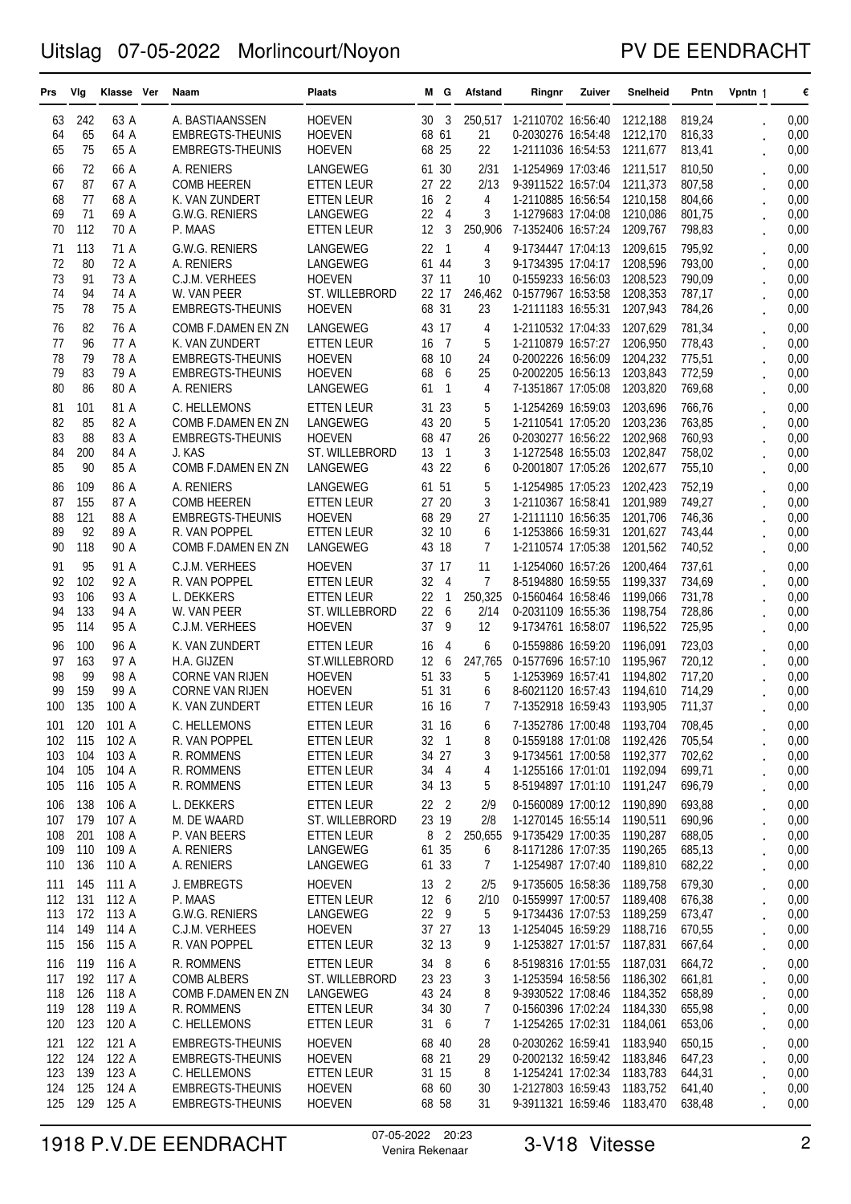### PV DE EENDRACHT

| Prs        | Vlg        | Klasse Ver     | Naam                                      | Plaats                              |                 | MG             | Afstand        | Ringnr                                   | Zuiver | Snelheid             | Pntn             | Vpntn 1              | €            |
|------------|------------|----------------|-------------------------------------------|-------------------------------------|-----------------|----------------|----------------|------------------------------------------|--------|----------------------|------------------|----------------------|--------------|
| 63         | 242        | 63 A           | A. BASTIAANSSEN                           | <b>HOEVEN</b>                       | 30              | -3             | 250,517        | 1-2110702 16:56:40                       |        | 1212,188             | 819,24           |                      | 0,00         |
| 64         | 65         | 64 A           | <b>EMBREGTS-THEUNIS</b>                   | <b>HOEVEN</b>                       | 68 61           |                | 21             | 0-2030276 16:54:48                       |        | 1212,170             | 816,33           |                      | 0,00         |
| 65         | 75         | 65 A           | <b>EMBREGTS-THEUNIS</b>                   | <b>HOEVEN</b>                       | 68 25           |                | 22             | 1-2111036 16:54:53                       |        | 1211,677             | 813,41           |                      | 0,00         |
| 66         | 72         | 66 A           | A. RENIERS                                | LANGEWEG                            | 61 30           |                | 2/31           | 1-1254969 17:03:46                       |        | 1211,517             | 810,50           |                      | 0,00         |
| 67         | 87         | 67 A           | <b>COMB HEEREN</b>                        | <b>ETTEN LEUR</b>                   | 27              | 22             | 2/13           | 9-3911522 16:57:04                       |        | 1211,373             | 807,58           |                      | 0,00         |
| 68         | 77         | 68 A           | K. VAN ZUNDERT                            | <b>ETTEN LEUR</b>                   | 16              | $\overline{2}$ | 4              | 1-2110885 16:56:54                       |        | 1210,158             | 804,66           |                      | 0,00         |
| 69         | 71         | 69 A           | G.W.G. RENIERS                            | LANGEWEG                            | 22              | 4              | 3              | 1-1279683 17:04:08                       |        | 1210,086             | 801,75           |                      | 0,00         |
| 70         | 112        | 70 A           | P. MAAS                                   | ETTEN LEUR                          | 12              | 3              | 250,906        | 7-1352406 16:57:24                       |        | 1209,767             | 798,83           |                      | 0,00         |
| 71         | 113        | 71 A           | G.W.G. RENIERS                            | LANGEWEG                            | 22              | 1              | 4              | 9-1734447 17:04:13                       |        | 1209.615             | 795,92           |                      | 0,00         |
| 72         | 80         | 72 A           | A. RENIERS                                | LANGEWEG                            | 61 44           |                | 3              | 9-1734395 17:04:17                       |        | 1208,596             | 793,00           |                      | 0,00         |
| 73         | 91         | 73 A           | C.J.M. VERHEES                            | <b>HOEVEN</b>                       | 37 11           |                | 10             | 0-1559233 16:56:03                       |        | 1208,523             | 790,09           |                      | 0,00         |
| 74<br>75   | 94         | 74 A           | W. VAN PEER                               | ST. WILLEBRORD                      | 22 17<br>68 31  |                | 246,462        | 0-1577967 16:53:58                       |        | 1208,353             | 787,17           |                      | 0,00         |
|            | 78         | 75 A           | <b>EMBREGTS-THEUNIS</b>                   | <b>HOEVEN</b>                       |                 |                | 23             | 1-2111183 16:55:31                       |        | 1207,943             | 784,26           |                      | 0,00         |
| 76         | 82         | 76 A           | COMB F.DAMEN EN ZN                        | LANGEWEG                            | 43 17           |                | 4              | 1-2110532 17:04:33                       |        | 1207,629             | 781,34           |                      | 0,00         |
| 77<br>78   | 96<br>79   | 77 A<br>78 A   | K. VAN ZUNDERT<br><b>EMBREGTS-THEUNIS</b> | <b>ETTEN LEUR</b><br><b>HOEVEN</b>  | 16<br>68 10     | - 7            | 5<br>24        | 1-2110879 16:57:27<br>0-2002226 16:56:09 |        | 1206,950<br>1204,232 | 778,43<br>775,51 |                      | 0,00<br>0,00 |
| 79         | 83         | 79 A           | <b>EMBREGTS-THEUNIS</b>                   | <b>HOEVEN</b>                       | 68              | 6              | 25             | 0-2002205 16:56:13                       |        | 1203,843             | 772,59           |                      | 0,00         |
| 80         | 86         | 80 A           | A. RENIERS                                | LANGEWEG                            | 61              | $\overline{1}$ | 4              | 7-1351867 17:05:08                       |        | 1203,820             | 769,68           |                      | 0,00         |
| 81         | 101        | 81 A           | C. HELLEMONS                              | <b>ETTEN LEUR</b>                   | 31 23           |                | 5              | 1-1254269 16:59:03                       |        | 1203,696             | 766,76           |                      | 0,00         |
| 82         | 85         | 82 A           | COMB F.DAMEN EN ZN                        | LANGEWEG                            | 43              | 20             | 5              | 1-2110541 17:05:20                       |        | 1203,236             | 763,85           |                      | 0,00         |
| 83         | 88         | 83 A           | <b>EMBREGTS-THEUNIS</b>                   | <b>HOEVEN</b>                       | 68 47           |                | 26             | 0-2030277 16:56:22                       |        | 1202.968             | 760,93           |                      | 0,00         |
| 84         | 200        | 84 A           | J. KAS                                    | ST. WILLEBRORD                      | 13              | 1              | 3              | 1-1272548 16:55:03                       |        | 1202,847             | 758,02           |                      | 0,00         |
| 85         | 90         | 85 A           | COMB F.DAMEN EN ZN                        | LANGEWEG                            | 43 22           |                | 6              | 0-2001807 17:05:26                       |        | 1202,677             | 755,10           |                      | 0,00         |
| 86         | 109        | 86 A           | A. RENIERS                                | <b>LANGEWEG</b>                     | 61 51           |                | 5              | 1-1254985 17:05:23                       |        | 1202,423             | 752,19           |                      | 0,00         |
| 87         | 155        | 87 A           | <b>COMB HEEREN</b>                        | <b>ETTEN LEUR</b>                   | 27 20           |                | 3              | 1-2110367 16:58:41                       |        | 1201,989             | 749,27           |                      | 0,00         |
| 88         | 121        | 88 A           | <b>EMBREGTS-THEUNIS</b>                   | <b>HOEVEN</b>                       | 68 29           |                | 27             | 1-2111110 16:56:35                       |        | 1201,706             | 746,36           |                      | 0,00         |
| 89         | 92         | 89 A           | R. VAN POPPEL                             | <b>ETTEN LEUR</b>                   | 32 10           |                | 6              | 1-1253866 16:59:31                       |        | 1201,627             | 743,44           |                      | 0,00         |
| 90         | 118        | 90 A           | COMB F.DAMEN EN ZN                        | LANGEWEG                            | 43 18           |                | 7              | 1-2110574 17:05:38                       |        | 1201,562             | 740,52           |                      | 0,00         |
| 91         | 95         | 91 A           | C.J.M. VERHEES                            | <b>HOEVEN</b>                       | 37 17           |                | 11             | 1-1254060 16:57:26                       |        | 1200,464             | 737,61           |                      | 0,00         |
| 92         | 102        | 92 A           | R. VAN POPPEL                             | <b>ETTEN LEUR</b>                   | 32              | $\overline{4}$ | $\overline{7}$ | 8-5194880 16:59:55                       |        | 1199,337             | 734,69           |                      | 0,00         |
| 93         | 106        | 93 A           | L. DEKKERS                                | <b>ETTEN LEUR</b>                   | 22              | 1              | 250,325        | 0-1560464 16:58:46                       |        | 1199,066             | 731,78           |                      | 0,00         |
| 94         | 133        | 94 A           | W. VAN PEER                               | ST. WILLEBRORD                      | 22              | 6<br>9         | 2/14           | 0-2031109 16:55:36                       |        | 1198,754             | 728,86           |                      | 0,00         |
| 95         | 114        | 95 A           | C.J.M. VERHEES                            | <b>HOEVEN</b>                       | 37              |                | 12             | 9-1734761 16:58:07                       |        | 1196,522             | 725,95           |                      | 0,00         |
| 96         | 100        | 96 A           | K. VAN ZUNDERT                            | <b>ETTEN LEUR</b>                   | 16              | 4              | 6              | 0-1559886 16:59:20                       |        | 1196,091             | 723,03           |                      | 0,00         |
| 97<br>98   | 163<br>99  | 97 A<br>98 A   | H.A. GIJZEN<br><b>CORNE VAN RIJEN</b>     | ST.WILLEBRORD<br><b>HOEVEN</b>      | 12<br>51        | 6<br>33        | 247,765<br>5   | 0-1577696 16:57:10<br>1-1253969 16:57:41 |        | 1195,967<br>1194,802 | 720,12<br>717,20 |                      | 0,00         |
| 99         | 159        | 99 A           | <b>CORNE VAN RIJEN</b>                    | <b>HOEVEN</b>                       | 51 31           |                | 6              | 8-6021120 16:57:43                       |        | 1194,610             | 714,29           |                      | 0,00<br>0,00 |
| 100        | 135        | 100 A          | K. VAN ZUNDERT                            | ETTEN LEUR                          | 16 16           |                | 7              | 7-1352918 16:59:43                       |        | 1193,905             | 711,37           |                      | 0,00         |
| 101        | 120        | 101 A          | C. HELLEMONS                              | ETTEN LEUR                          | 31 16           |                | 6              | 7-1352786 17:00:48 1193,704              |        |                      | 708,45           |                      | 0,00         |
| 102        | 115        | 102 A          | R. VAN POPPEL                             | <b>ETTEN LEUR</b>                   | $32 \quad 1$    |                | 8              | 0-1559188 17:01:08 1192,426              |        |                      | 705,54           |                      | 0,00         |
| 103        | 104        | 103 A          | R. ROMMENS                                | <b>ETTEN LEUR</b>                   | 34 27           |                | 3              | 9-1734561 17:00:58                       |        | 1192,377             | 702,62           | $\ddot{\phantom{0}}$ | 0,00         |
| 104        | 105        | 104 A          | R. ROMMENS                                | ETTEN LEUR                          | 34 4            |                | 4              | 1-1255166 17:01:01 1192,094              |        |                      | 699,71           |                      | 0,00         |
| 105        | 116        | 105 A          | R. ROMMENS                                | ETTEN LEUR                          | 34 13           |                | 5              | 8-5194897 17:01:10 1191,247              |        |                      | 696,79           |                      | 0,00         |
| 106        | 138        | 106 A          | L. DEKKERS                                | ETTEN LEUR                          | 22 <sub>2</sub> |                | 2/9            | 0-1560089 17:00:12 1190,890              |        |                      | 693,88           |                      | 0,00         |
| 107        | 179        | 107 A          | M. DE WAARD                               | ST. WILLEBRORD                      | 23 19           |                | 2/8            | 1-1270145 16:55:14 1190,511              |        |                      | 690,96           |                      | 0,00         |
| 108        | 201        | 108 A          | P. VAN BEERS                              | <b>ETTEN LEUR</b>                   |                 | 8 2            | 250,655        | 9-1735429 17:00:35 1190,287              |        |                      | 688,05           |                      | 0,00         |
| 109        | 110        | 109 A          | A. RENIERS                                | LANGEWEG                            | 61 35           |                | 6              | 8-1171286 17:07:35                       |        | 1190,265             | 685,13           |                      | 0,00         |
| 110        | 136        | 110 A          | A. RENIERS                                | LANGEWEG                            | 61 33           |                | 7              | 1-1254987 17:07:40 1189,810              |        |                      | 682,22           | $\ddot{\phantom{0}}$ | 0,00         |
| 111        | 145        | 111 A          | J. EMBREGTS                               | <b>HOEVEN</b>                       | 13              | $\overline{2}$ | 2/5            | 9-1735605 16:58:36                       |        | 1189,758             | 679,30           |                      | 0,00         |
|            | 112 131    | 112 A          | P. MAAS                                   | <b>ETTEN LEUR</b>                   | 12 6            |                | 2/10           | 0-1559997 17:00:57 1189,408              |        |                      | 676,38           |                      | 0,00         |
| 113        | 172        | 113 A          | G.W.G. RENIERS                            | LANGEWEG                            | 22 9            |                | 5              | 9-1734436 17:07:53                       |        | 1189,259             | 673,47           |                      | 0,00         |
| 114<br>115 | 149<br>156 | 114 A<br>115 A | C.J.M. VERHEES<br>R. VAN POPPEL           | <b>HOEVEN</b><br>ETTEN LEUR         | 37 27<br>32 13  |                | 13<br>9        | 1-1254045 16:59:29<br>1-1253827 17:01:57 |        | 1188,716<br>1187,831 | 670,55<br>667,64 | $\ddot{\phantom{0}}$ | 0,00<br>0,00 |
|            |            |                |                                           |                                     |                 |                |                |                                          |        |                      |                  | $\ddot{\phantom{0}}$ |              |
| 116<br>117 | 119<br>192 | 116 A<br>117 A | R. ROMMENS<br><b>COMB ALBERS</b>          | <b>ETTEN LEUR</b><br>ST. WILLEBRORD | 34 8<br>23 23   |                | 6<br>3         | 8-5198316 17:01:55<br>1-1253594 16:58:56 |        | 1187,031<br>1186,302 | 664,72<br>661,81 |                      | 0,00<br>0,00 |
| 118        | 126        | 118 A          | COMB F.DAMEN EN ZN                        | LANGEWEG                            | 43 24           |                | 8              | 9-3930522 17:08:46                       |        | 1184,352             | 658,89           | $\ddot{\phantom{0}}$ | 0,00         |
| 119        | 128        | 119 A          | R. ROMMENS                                | ETTEN LEUR                          | 34 30           |                | 7              | 0-1560396 17:02:24 1184,330              |        |                      | 655,98           |                      | 0,00         |
| 120        | 123        | 120 A          | C. HELLEMONS                              | ETTEN LEUR                          | 316             |                | 7              | 1-1254265 17:02:31 1184,061              |        |                      | 653,06           |                      | 0,00         |
| 121        | 122        | 121 A          | <b>EMBREGTS-THEUNIS</b>                   | <b>HOEVEN</b>                       | 68 40           |                | 28             | 0-2030262 16:59:41 1183,940              |        |                      | 650,15           |                      | 0,00         |
| 122        | 124        | 122 A          | <b>EMBREGTS-THEUNIS</b>                   | <b>HOEVEN</b>                       | 68 21           |                | 29             | 0-2002132 16:59:42 1183,846              |        |                      | 647,23           |                      | 0,00         |
| 123        | 139        | 123 A          | C. HELLEMONS                              | ETTEN LEUR                          | 31 15           |                | 8              | 1-1254241 17:02:34                       |        | 1183,783             | 644,31           |                      | 0,00         |
| 124        | 125        | 124 A          | EMBREGTS-THEUNIS                          | <b>HOEVEN</b>                       | 68 60           |                | 30             | 1-2127803 16:59:43                       |        | 1183,752             | 641,40           |                      | 0,00         |
| 125        | 129        | 125 A          | EMBREGTS-THEUNIS                          | <b>HOEVEN</b>                       | 68 58           |                | 31             | 9-3911321 16:59:46 1183,470              |        |                      | 638,48           |                      | 0,00         |

# 1918 P.V.DE EENDRACHT <sup>07-05-2022</sup> <sup>20:23</sup> 3-V18 Vitesse 2<br>Venira Rekenaar 3-V18 Vitesse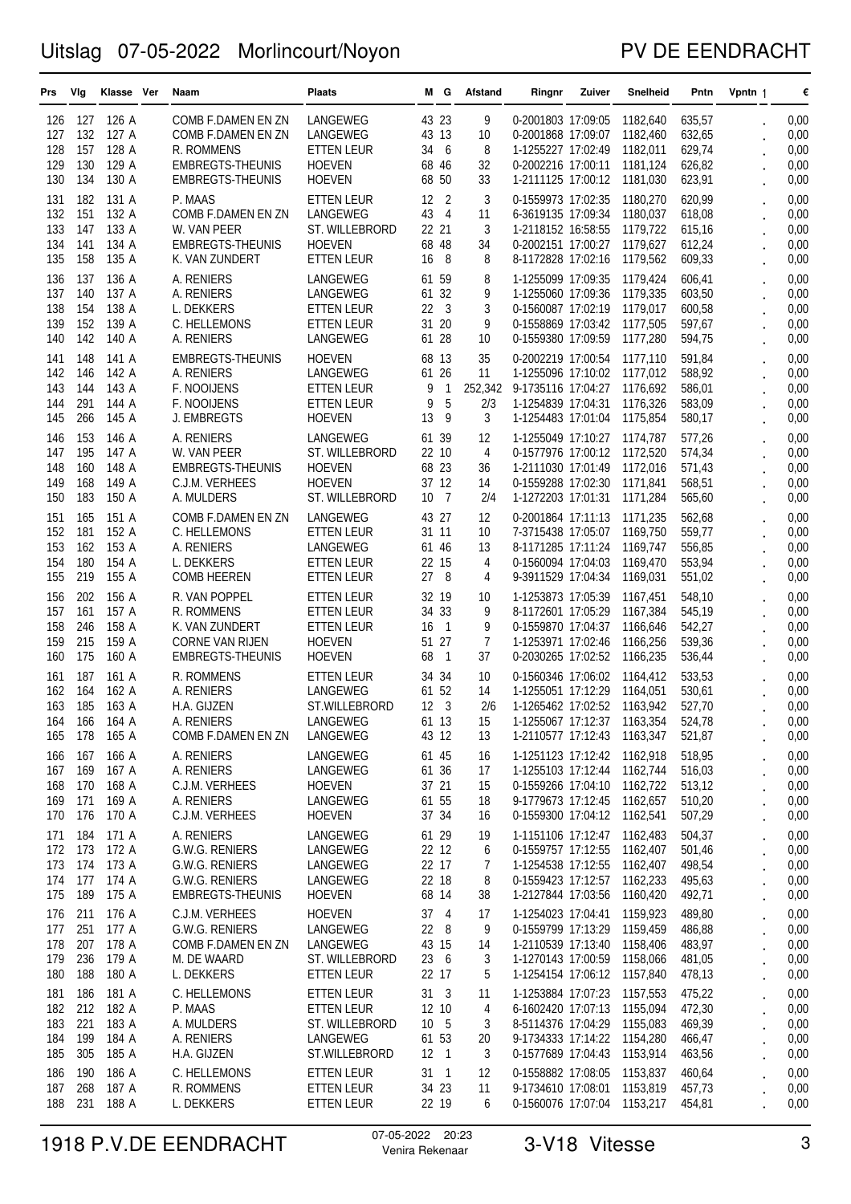### PV DE EENDRACHT

| Prs        | Vlg        | Klasse Ver     | Naam                                   | <b>Plaats</b>                   |          | MG.                     | Afstand        | Ringnr                                                     | Zuiver | <b>Snelheid</b>      | Pntn             | Vpntn 1              | €            |
|------------|------------|----------------|----------------------------------------|---------------------------------|----------|-------------------------|----------------|------------------------------------------------------------|--------|----------------------|------------------|----------------------|--------------|
| 126        | 127        | 126 A          | COMB F.DAMEN EN ZN                     | LANGEWEG                        |          | 43 23                   | 9              | 0-2001803 17:09:05                                         |        | 1182,640             | 635,57           |                      | 0,00         |
| 127        | 132        | 127 A          | COMB F.DAMEN EN ZN                     | LANGEWEG                        |          | 43 13                   | 10             | 0-2001868 17:09:07                                         |        | 1182,460             | 632,65           |                      | 0,00         |
| 128        | 157        | 128 A          | R. ROMMENS                             | <b>ETTEN LEUR</b>               | 34       | 6                       | 8              | 1-1255227 17:02:49                                         |        | 1182,011             | 629,74           |                      | 0,00         |
| 129        | 130        | 129 A          | EMBREGTS-THEUNIS                       | <b>HOEVEN</b>                   |          | 68 46                   | 32             | 0-2002216 17:00:11                                         |        | 1181,124             | 626,82           |                      | 0,00         |
| 130        | 134        | 130 A          | <b>EMBREGTS-THEUNIS</b>                | <b>HOEVEN</b>                   | 68       | 50                      | 33             | 1-2111125 17:00:12                                         |        | 1181,030             | 623,91           |                      | 0,00         |
| 131        | 182        | 131 A          | P. MAAS                                | <b>ETTEN LEUR</b>               | 12       | $\overline{2}$          | 3              | 0-1559973 17:02:35                                         |        | 1180,270             | 620,99           |                      | 0,00         |
| 132        | 151        | 132 A          | COMB F.DAMEN EN ZN                     | LANGEWEG                        | 43       | $\overline{4}$          | 11<br>3        | 6-3619135 17:09:34 1180,037                                |        |                      | 618,08           |                      | 0,00         |
| 133<br>134 | 147<br>141 | 133 A<br>134 A | W. VAN PEER<br><b>EMBREGTS-THEUNIS</b> | ST. WILLEBRORD<br><b>HOEVEN</b> | 22<br>68 | 21<br>48                | 34             | 1-2118152 16:58:55<br>0-2002151 17:00:27                   |        | 1179,722<br>1179,627 | 615,16<br>612,24 |                      | 0,00<br>0,00 |
| 135        | 158        | 135 A          | K. VAN ZUNDERT                         | <b>ETTEN LEUR</b>               | 16       | 8                       | 8              | 8-1172828 17:02:16                                         |        | 1179,562             | 609,33           |                      | 0,00         |
| 136        | 137        | 136 A          | A. RENIERS                             | LANGEWEG                        |          | 61 59                   | 8              | 1-1255099 17:09:35                                         |        | 1179,424             | 606,41           |                      | 0,00         |
| 137        | 140        | 137 A          | A. RENIERS                             | LANGEWEG                        |          | 61 32                   | 9              | 1-1255060 17:09:36                                         |        | 1179,335             | 603,50           |                      | 0,00         |
| 138        | 154        | 138 A          | L. DEKKERS                             | ETTEN LEUR                      | 22       | - 3                     | 3              | 0-1560087 17:02:19                                         |        | 1179,017             | 600,58           |                      | 0,00         |
| 139        | 152        | 139 A          | C. HELLEMONS                           | ETTEN LEUR                      |          | 31 20                   | 9              | 0-1558869 17:03:42 1177,505                                |        |                      | 597,67           |                      | 0,00         |
| 140        | 142        | 140 A          | A. RENIERS                             | LANGEWEG                        |          | 61 28                   | 10             | 0-1559380 17:09:59                                         |        | 1177,280             | 594,75           |                      | 0,00         |
| 141        | 148        | 141 A          | EMBREGTS-THEUNIS                       | <b>HOEVEN</b>                   |          | 68 13                   | 35             | 0-2002219 17:00:54                                         |        | 1177,110             | 591,84           |                      | 0,00         |
| 142        | 146        | 142 A          | A. RENIERS                             | LANGEWEG                        |          | 61 26                   | 11             | 1-1255096 17:10:02 1177,012                                |        |                      | 588,92           |                      | 0,00         |
| 143        | 144        | 143 A          | F. NOOIJENS                            | ETTEN LEUR                      | 9        | 1                       | 252,342        | 9-1735116 17:04:27                                         |        | 1176.692             | 586,01           |                      | 0,00         |
| 144        | 291        | 144 A          | F. NOOIJENS                            | ETTEN LEUR                      | 9        | 5                       | 2/3            | 1-1254839 17:04:31                                         |        | 1176,326             | 583,09           |                      | 0,00         |
| 145        | 266        | 145 A          | J. EMBREGTS                            | <b>HOEVEN</b>                   | 13       | 9                       | 3              | 1-1254483 17:01:04                                         |        | 1175,854             | 580,17           |                      | 0,00         |
| 146        | 153        | 146 A          | A. RENIERS                             | LANGEWEG                        |          | 61 39                   | 12             | 1-1255049 17:10:27                                         |        | 1174,787             | 577,26           |                      | 0,00         |
| 147        | 195        | 147 A          | W. VAN PEER                            | ST. WILLEBRORD                  |          | 22 10                   | $\overline{4}$ | 0-1577976 17:00:12 1172,520                                |        |                      | 574,34           |                      | 0,00         |
| 148        | 160        | 148 A          | EMBREGTS-THEUNIS                       | <b>HOEVEN</b>                   |          | 68 23                   | 36             | 1-2111030 17:01:49<br>0-1559288 17:02:30                   |        | 1172,016             | 571,43           |                      | 0,00         |
| 149<br>150 | 168<br>183 | 149 A<br>150 A | C.J.M. VERHEES<br>A. MULDERS           | <b>HOEVEN</b><br>ST. WILLEBRORD | 10       | 37 12<br>$\overline{7}$ | 14<br>2/4      | 1-1272203 17:01:31 1171,284                                |        | 1171,841             | 568,51<br>565,60 |                      | 0,00<br>0,00 |
| 151        | 165        | 151 A          | COMB F.DAMEN EN ZN                     | LANGEWEG                        |          | 43 27                   | 12             | 0-2001864 17:11:13                                         |        | 1171,235             | 562,68           |                      | 0,00         |
| 152        | 181        | 152 A          | C. HELLEMONS                           | <b>ETTEN LEUR</b>               |          | 31 11                   | 10             | 7-3715438 17:05:07                                         |        | 1169,750             | 559,77           |                      | 0,00         |
| 153        | 162        | 153 A          | A. RENIERS                             | LANGEWEG                        |          | 61 46                   | 13             | 8-1171285 17:11:24                                         |        | 1169,747             | 556,85           |                      | 0,00         |
| 154        | 180        | 154 A          | L. DEKKERS                             | ETTEN LEUR                      |          | 22 15                   | 4              | 0-1560094 17:04:03                                         |        | 1169,470             | 553,94           |                      | 0,00         |
| 155        | 219        | 155 A          | <b>COMB HEEREN</b>                     | ETTEN LEUR                      | 27       | - 8                     | 4              | 9-3911529 17:04:34                                         |        | 1169,031             | 551,02           |                      | 0,00         |
| 156        | 202        | 156 A          | R. VAN POPPEL                          | <b>ETTEN LEUR</b>               |          | 32 19                   | 10             | 1-1253873 17:05:39                                         |        | 1167,451             | 548,10           |                      | 0,00         |
| 157        | 161        | 157 A          | R. ROMMENS                             | ETTEN LEUR                      | 34       | 33                      | 9              | 8-1172601 17:05:29                                         |        | 1167,384             | 545,19           |                      | 0,00         |
| 158        | 246        | 158 A          | K. VAN ZUNDERT                         | ETTEN LEUR                      | 16       | 1                       | 9              | 0-1559870 17:04:37                                         |        | 1166,646             | 542,27           |                      | 0,00         |
| 159        | 215        | 159 A          | <b>CORNE VAN RIJEN</b>                 | <b>HOEVEN</b>                   |          | 51 27                   | 7              | 1-1253971 17:02:46                                         |        | 1166,256             | 539,36           |                      | 0,00         |
| 160        | 175        | 160 A          | EMBREGTS-THEUNIS                       | <b>HOEVEN</b>                   | 68       | 1                       | 37             | 0-2030265 17:02:52                                         |        | 1166,235             | 536,44           |                      | 0,00         |
| 161        | 187        | 161 A          | R. ROMMENS                             | ETTEN LEUR                      | 34       | 34                      | 10             | 0-1560346 17:06:02                                         |        | 1164,412             | 533,53           |                      | 0,00         |
| 162        | 164        | 162 A          | A. RENIERS                             | LANGEWEG                        |          | 61 52                   | 14             | 1-1255051 17:12:29                                         |        | 1164,051             | 530,61           |                      | 0,00         |
| 163<br>164 | 185<br>166 | 163 A<br>164 A | H.A. GIJZEN<br>A. RENIERS              | ST.WILLEBRORD<br>LANGEWEG       |          | 12 3<br>61 13           | 2/6<br>$15\,$  | 1-1265462 17:02:52<br>1-1255067 17:12:37 1163,354          |        | 1163,942             | 527,70<br>524,78 |                      | 0,00<br>0,00 |
| 165        | 178        | 165 A          | COMB F.DAMEN EN ZN                     | LANGEWEG                        |          | 43 12                   | 13             | 1-2110577 17:12:43 1163,347                                |        |                      | 521,87           |                      | 0,00         |
| 166        | 167        | 166 A          | A. RENIERS                             | LANGEWEG                        |          | 61 45                   | 16             | 1-1251123 17:12:42 1162,918                                |        |                      | 518,95           |                      | 0,00         |
| 167        | 169        | 167 A          | A. RENIERS                             | LANGEWEG                        |          | 61 36                   | 17             | 1-1255103 17:12:44 1162,744                                |        |                      | 516,03           |                      | 0,00         |
| 168        | 170        | 168 A          | C.J.M. VERHEES                         | <b>HOEVEN</b>                   |          | 37 21                   | 15             | 0-1559266 17:04:10 1162,722                                |        |                      | 513,12           |                      | 0,00         |
| 169        | 171        | 169 A          | A. RENIERS                             | LANGEWEG                        |          | 61 55                   | 18             | 9-1779673 17:12:45 1162,657                                |        |                      | 510,20           |                      | 0,00         |
| 170        | 176        | 170 A          | C.J.M. VERHEES                         | <b>HOEVEN</b>                   |          | 37 34                   | 16             | 0-1559300 17:04:12 1162,541                                |        |                      | 507,29           | $\bullet$            | 0,00         |
| 171        | 184        | 171 A          | A. RENIERS                             | LANGEWEG                        |          | 61 29                   | 19             | 1-1151106 17:12:47                                         |        | 1162.483             | 504,37           |                      | 0,00         |
| 172        | 173        | 172 A          | G.W.G. RENIERS                         | LANGEWEG                        |          | 22 12                   | 6              | 0-1559757 17:12:55                                         |        | 1162,407             | 501,46           | $\ddot{\phantom{0}}$ | 0,00         |
| 173        | 174        | 173 A          | G.W.G. RENIERS                         | LANGEWEG                        |          | 22 17                   | 7              | 1-1254538 17:12:55                                         |        | 1162,407             | 498,54           |                      | 0,00         |
| 174        | 177        | 174 A          | G.W.G. RENIERS                         | LANGEWEG                        |          | 22 18                   | 8              | 0-1559423 17:12:57 1162,233                                |        |                      | 495,63           |                      | 0,00         |
| 175        | 189        | 175 A          | EMBREGTS-THEUNIS                       | <b>HOEVEN</b>                   |          | 68 14                   | 38             | 1-2127844 17:03:56                                         |        | 1160,420             | 492,71           | $\ddot{\phantom{0}}$ | 0,00         |
| 176        | 211        | 176 A          | C.J.M. VERHEES                         | <b>HOEVEN</b>                   |          | $37 \quad 4$            | 17             | 1-1254023 17:04:41 1159,923                                |        |                      | 489,80           | $\ddot{\phantom{0}}$ | 0,00         |
| 177<br>178 | 251<br>207 | 177 A<br>178 A | G.W.G. RENIERS<br>COMB F.DAMEN EN ZN   | LANGEWEG                        |          | $22 \t 8$<br>43 15      | 9              | 0-1559799 17:13:29 1159,459                                |        |                      | 486,88           | $\ddot{\phantom{0}}$ | 0,00         |
| 179        | 236        | 179 A          | M. DE WAARD                            | LANGEWEG<br>ST. WILLEBRORD      |          | 23 6                    | 14<br>3        | 1-2110539 17:13:40 1158,406<br>1-1270143 17:00:59 1158,066 |        |                      | 483,97<br>481,05 |                      | 0,00<br>0,00 |
| 180        | 188        | 180 A          | L. DEKKERS                             | ETTEN LEUR                      |          | 22 17                   | 5              | 1-1254154 17:06:12 1157,840                                |        |                      | 478,13           |                      | 0,00         |
| 181        | 186        | 181 A          | C. HELLEMONS                           | <b>ETTEN LEUR</b>               |          | $31 \quad 3$            | 11             | 1-1253884 17:07:23 1157,553                                |        |                      | 475,22           |                      | 0,00         |
| 182        | 212        | 182 A          | P. MAAS                                | ETTEN LEUR                      |          | 12 10                   | 4              | 6-1602420 17:07:13 1155,094                                |        |                      | 472,30           |                      | 0,00         |
| 183        | 221        | 183 A          | A. MULDERS                             | ST. WILLEBRORD                  |          | 10 5                    | 3              | 8-5114376 17:04:29 1155,083                                |        |                      | 469,39           | $\ddot{\phantom{0}}$ | 0,00         |
| 184        | 199        | 184 A          | A. RENIERS                             | LANGEWEG                        |          | 61 53                   | 20             | 9-1734333 17:14:22 1154,280                                |        |                      | 466,47           |                      | 0,00         |
| 185        | 305        | 185 A          | H.A. GIJZEN                            | ST.WILLEBRORD                   |          | 12 1                    | 3              | 0-1577689 17:04:43 1153,914                                |        |                      | 463,56           |                      | 0,00         |
| 186        | 190        | 186 A          | C. HELLEMONS                           | <b>ETTEN LEUR</b>               |          | $31 \quad 1$            | 12             | 0-1558882 17:08:05                                         |        | 1153,837             | 460,64           |                      | 0,00         |
| 187        | 268        | 187 A          | R. ROMMENS                             | <b>ETTEN LEUR</b>               |          | 34 23                   | 11             | 9-1734610 17:08:01 1153,819                                |        |                      | 457,73           |                      | 0,00         |
| 188        | 231        | 188 A          | L. DEKKERS                             | <b>ETTEN LEUR</b>               |          | 22 19                   | 6              | 0-1560076 17:07:04 1153,217                                |        |                      | 454,81           |                      | 0,00         |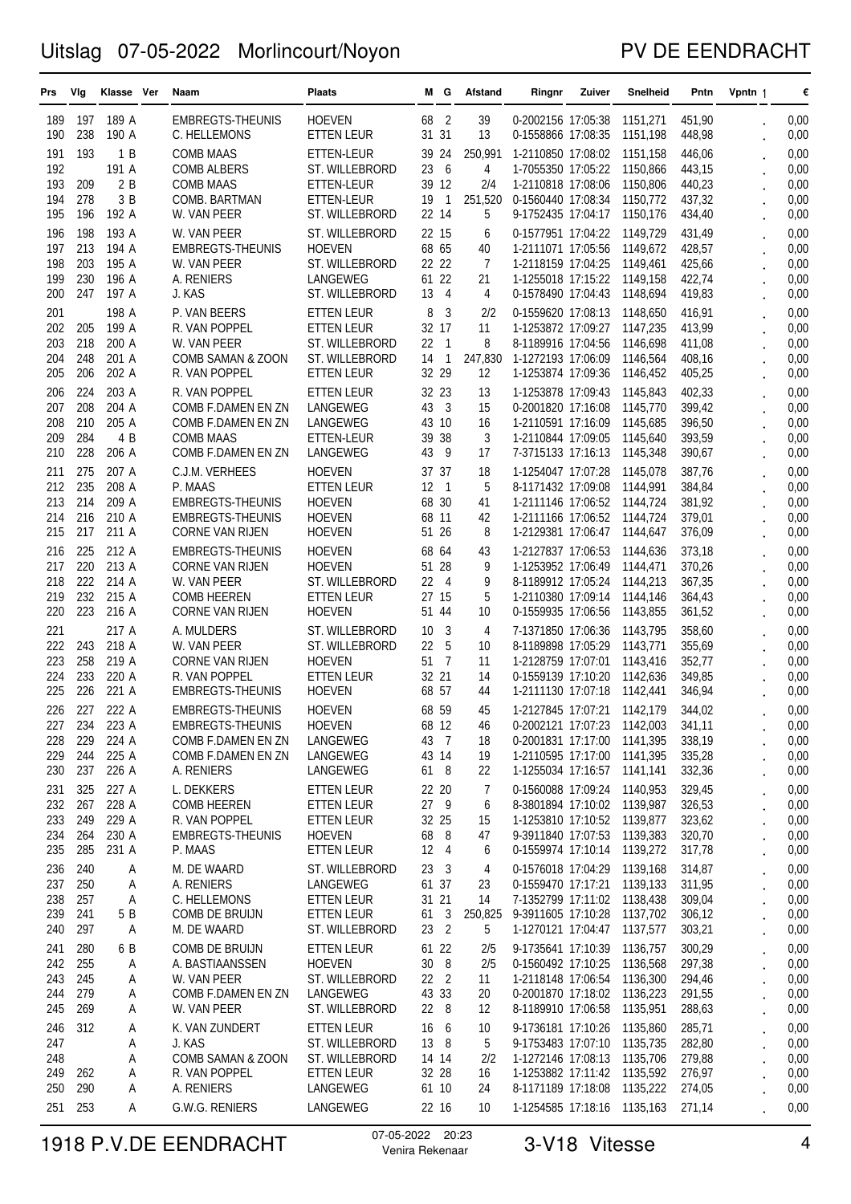### PV DE EENDRACHT

| 189 A<br>68<br>0,00<br><b>HOEVEN</b><br>2<br>39<br>0-2002156 17:05:38<br>1151,271<br>451,90<br>189<br>197<br>EMBREGTS-THEUNIS<br>238<br>190 A<br>31 31<br>13<br>0-1558866 17:08:35<br>448,98<br>190<br>C. HELLEMONS<br><b>ETTEN LEUR</b><br>1151,198<br>0,00<br>193<br>1B<br>446,06<br>0,00<br>191<br><b>COMB MAAS</b><br>39 24<br>250,991<br>1-2110850 17:08:02<br>1151,158<br>ETTEN-LEUR<br>6<br>192<br>191 A<br>23<br>4<br>443,15<br><b>COMB ALBERS</b><br>ST. WILLEBRORD<br>1-7055350 17:05:22<br>1150,866<br>0,00<br>193<br>209<br>2B<br>39 12<br>2/4<br>440,23<br>0,00<br><b>COMB MAAS</b><br>ETTEN-LEUR<br>1-2110818 17:08:06<br>1150,806<br>278<br>3 B<br>251,520<br>0,00<br>194<br>COMB. BARTMAN<br>19<br>1<br>0-1560440 17:08:34<br>437,32<br>ETTEN-LEUR<br>1150,772<br>195<br>196<br>192 A<br>22 14<br>5<br>9-1752435 17:04:17<br>1150,176<br>434,40<br>0,00<br>W. VAN PEER<br>ST. WILLEBRORD<br>198<br>193 A<br>22 15<br>6<br>431,49<br>0,00<br>196<br>W. VAN PEER<br>ST. WILLEBRORD<br>0-1577951 17:04:22<br>1149,729<br>213<br>194 A<br>68 65<br>428,57<br>197<br><b>EMBREGTS-THEUNIS</b><br><b>HOEVEN</b><br>40<br>1-2111071 17:05:56<br>1149,672<br>0,00<br>203<br>195 A<br>22 22<br>7<br>425,66<br>198<br>1-2118159 17:04:25<br>1149,461<br>0,00<br>W. VAN PEER<br>ST. WILLEBRORD<br>230<br>196 A<br>61 22<br>199<br>21<br>422,74<br>0,00<br>A. RENIERS<br>LANGEWEG<br>1-1255018 17:15:22<br>1149,158<br>247<br>200<br>197 A<br>13<br>$\overline{4}$<br>4<br>0-1578490 17:04:43<br>1148,694<br>419,83<br>0,00<br>J. KAS<br>ST. WILLEBRORD<br>198 A<br>0-1559620 17:08:13<br>0,00<br>201<br>P. VAN BEERS<br><b>ETTEN LEUR</b><br>8<br>3<br>2/2<br>1148,650<br>416,91<br>205<br>199 A<br>32 17<br>0,00<br>202<br>11<br>1-1253872 17:09:27<br>1147,235<br>413,99<br>R. VAN POPPEL<br>ETTEN LEUR<br>218<br>200 A<br>22<br>$\overline{1}$<br>8<br>203<br>8-1189916 17:04:56<br>1146,698<br>411,08<br>0,00<br>W. VAN PEER<br>ST. WILLEBRORD<br>248<br>$\mathbf{1}$<br>247,830<br>204<br>201 A<br>ST. WILLEBRORD<br>14<br>1-1272193 17:06:09<br>1146,564<br>408,16<br>0,00<br>COMB SAMAN & ZOON<br>206<br>202 A<br>32 29<br>12<br>205<br>R. VAN POPPEL<br>1-1253874 17:09:36<br>405,25<br>0,00<br><b>ETTEN LEUR</b><br>1146,452<br>224<br>203 A<br>32 23<br>13<br>402,33<br>0,00<br>206<br>R. VAN POPPEL<br><b>ETTEN LEUR</b><br>1-1253878 17:09:43<br>1145,843<br>208<br>204 A<br>43<br>3<br>15<br>0,00<br>207<br>COMB F.DAMEN EN ZN<br>LANGEWEG<br>0-2001820 17:16:08<br>1145,770<br>399,42<br>210<br>205 A<br>16<br>0,00<br>208<br>LANGEWEG<br>43 10<br>1-2110591 17:16:09<br>1145.685<br>396,50<br>COMB F.DAMEN EN ZN<br>284<br>4 B<br>38<br>3<br>209<br>39<br>1-2110844 17:09:05<br>1145,640<br>393,59<br>0,00<br><b>COMB MAAS</b><br>ETTEN-LEUR<br>228<br>206 A<br>43<br>17<br>210<br>9<br>7-3715133 17:16:13<br>1145,348<br>390,67<br>0,00<br>COMB F.DAMEN EN ZN<br>LANGEWEG<br>275<br>207 A<br>387,76<br>0,00<br>C.J.M. VERHEES<br><b>HOEVEN</b><br>37<br>37<br>18<br>1-1254047 17:07:28<br>1145,078<br>211<br>235<br>5<br>212<br>208 A<br>12<br>$\mathbf{1}$<br>P. MAAS<br><b>ETTEN LEUR</b><br>8-1171432 17:09:08<br>1144,991<br>384,84<br>0,00<br>214<br>209 A<br>68 30<br>213<br><b>HOEVEN</b><br>41<br>1-2111146 17:06:52 1144,724<br>381,92<br>0,00<br>EMBREGTS-THEUNIS<br>216<br>68<br>214<br>210 A<br><b>HOEVEN</b><br>-11<br>42<br>1-2111166 17:06:52<br>379,01<br>0,00<br>EMBREGTS-THEUNIS<br>1144,724<br>217<br>211 A<br>51 26<br>8<br>376,09<br>215<br><b>HOEVEN</b><br>1-2129381 17:06:47<br>0,00<br><b>CORNE VAN RIJEN</b><br>1144,647<br>225<br>212 A<br>68 64<br>1-2127837 17:06:53<br>373,18<br>0,00<br>216<br><b>EMBREGTS-THEUNIS</b><br><b>HOEVEN</b><br>43<br>1144,636<br>220<br>213 A<br>51<br>28<br>1-1253952 17:06:49<br>370,26<br>0,00<br>217<br><b>CORNE VAN RIJEN</b><br><b>HOEVEN</b><br>9<br>1144,471<br>222<br>214 A<br>22<br>9<br>218<br>-4<br>8-1189912 17:05:24<br>1144,213<br>367,35<br>0,00<br>W. VAN PEER<br>ST. WILLEBRORD<br>232<br>219<br>215 A<br>27 15<br>5<br>0,00<br><b>ETTEN LEUR</b><br>1-2110380 17:09:14<br>1144,146<br>364,43<br><b>COMB HEEREN</b><br>223<br>220<br>216 A<br>51 44<br>10<br>0-1559935 17:06:56<br>361,52<br>0,00<br><b>CORNE VAN RIJEN</b><br><b>HOEVEN</b><br>1143,855<br>0,00<br>221<br>217 A<br>A. MULDERS<br>ST. WILLEBRORD<br>10<br>3<br>4<br>7-1371850 17:06:36<br>1143,795<br>358,60<br>218 A<br>22<br>5<br>222<br>243<br>W. VAN PEER<br>ST. WILLEBRORD<br>10<br>8-1189898 17:05:29<br>1143,771<br>355,69<br>0,00<br>258<br>219 A<br>51<br>$\overline{7}$<br>223<br><b>HOEVEN</b><br>11<br>1-2128759 17:07:01<br>1143,416<br>352,77<br>0,00<br><b>CORNE VAN RIJEN</b><br>233<br>32 21<br>224<br>220 A<br>R. VAN POPPEL<br><b>ETTEN LEUR</b><br>14<br>0-1559139 17:10:20<br>1142,636<br>349,85<br>0,00<br>226<br>225<br>221 A<br><b>EMBREGTS-THEUNIS</b><br><b>HOEVEN</b><br>68 57<br>1-2111130 17:07:18<br>1142,441<br>0,00<br>44<br>346,94<br>227<br>222 A<br>68 59<br>0,00<br>226<br><b>EMBREGTS-THEUNIS</b><br><b>HOEVEN</b><br>45<br>1-2127845 17:07:21<br>1142,179<br>344,02<br>341,11<br>234<br>223 A<br>EMBREGTS-THEUNIS<br><b>HOEVEN</b><br>68 12<br>0-2002121 17:07:23 1142,003<br>0,00<br>227<br>46<br>228<br>229<br>224 A<br>LANGEWEG<br>43 7<br>0-2001831 17:17:00 1141,395<br>338,19<br>0,00<br>COMB F.DAMEN EN ZN<br>18<br>244<br>229<br>225 A<br>COMB F.DAMEN EN ZN<br>LANGEWEG<br>43 14<br>19<br>1-2110595 17:17:00 1141,395<br>335,28<br>0,00<br>230<br>237<br>226 A<br>LANGEWEG<br>61 8<br>22<br>1-1255034 17:16:57 1141,141<br>332,36<br>A. RENIERS<br>0,00<br>325<br>227 A<br>L. DEKKERS<br><b>ETTEN LEUR</b><br>22 20<br>7<br>0-1560088 17:09:24 1140,953<br>329,45<br>0,00<br>231<br>267<br>228 A<br>27 9<br>326,53<br>232<br><b>COMB HEEREN</b><br><b>ETTEN LEUR</b><br>6<br>8-3801894 17:10:02 1139,987<br>0,00<br>249<br>229 A<br>233<br>R. VAN POPPEL<br>32 25<br>15<br>1-1253810 17:10:52 1139,877<br>323,62<br>0,00<br>ETTEN LEUR<br>264<br>230 A<br>68<br>- 8<br>9-3911840 17:07:53 1139,383<br>320,70<br>0,00<br>234<br><b>EMBREGTS-THEUNIS</b><br><b>HOEVEN</b><br>47<br>235<br>285<br>231 A<br>12 4<br>0-1559974 17:10:14 1139,272<br>317,78<br>0,00<br>P. MAAS<br>ETTEN LEUR<br>6<br>$\ddot{\phantom{0}}$<br>240<br>0-1576018 17:04:29 1139,168<br>236<br>M. DE WAARD<br>ST. WILLEBRORD<br>23 <sub>3</sub><br>314,87<br>0,00<br>Α<br>4<br>250<br>Α<br>0-1559470 17:17:21 1139,133<br>237<br>A. RENIERS<br><b>LANGEWEG</b><br>61 37<br>23<br>311,95<br>0,00<br>257<br>31 21<br>238<br>Α<br>C. HELLEMONS<br><b>ETTEN LEUR</b><br>14<br>7-1352799 17:11:02 1138,438<br>309,04<br>0,00<br>241<br>61 3<br>239<br>5 B<br>COMB DE BRUIJN<br>250,825<br>9-3911605 17:10:28 1137,702<br>306,12<br>0,00<br>ETTEN LEUR<br>297<br>23 2<br>5<br>1-1270121 17:04:47<br>1137,577<br>303,21<br>0,00<br>240<br>Α<br>M. DE WAARD<br>ST. WILLEBRORD<br>$\ddot{\phantom{0}}$<br>280<br>300,29<br>0,00<br>6 B<br>COMB DE BRUIJN<br><b>ETTEN LEUR</b><br>61 22<br>9-1735641 17:10:39<br>1136,757<br>241<br>2/5<br>255<br>8<br>297,38<br>0,00<br>242<br>A. BASTIAANSSEN<br><b>HOEVEN</b><br>30<br>2/5<br>0-1560492 17:10:25 1136,568<br>Α<br>$\ddot{\phantom{0}}$<br>245<br>22 <sub>2</sub><br>1-2118148 17:06:54 1136,300<br>294,46<br>0,00<br>243<br>Α<br>W. VAN PEER<br>ST. WILLEBRORD<br>11<br>279<br>43 33<br>244<br>LANGEWEG<br>20<br>0-2001870 17:18:02 1136,223<br>291,55<br>0,00<br>Α<br>COMB F.DAMEN EN ZN<br>269<br>22 8<br>8-1189910 17:06:58 1135,951<br>288,63<br>0,00<br>245<br>Α<br>W. VAN PEER<br>ST. WILLEBRORD<br>12<br>312<br>285,71<br>246<br>K. VAN ZUNDERT<br><b>ETTEN LEUR</b><br>16<br>- 6<br>9-1736181 17:10:26 1135,860<br>0,00<br>Α<br>10<br>282,80<br>0,00<br>247<br>Α<br>J. KAS<br>ST. WILLEBRORD<br>13 8<br>5<br>9-1753483 17:07:10 1135,735<br>0,00<br>COMB SAMAN & ZOON<br>ST. WILLEBRORD<br>2/2<br>1-1272146 17:08:13 1135,706<br>279,88<br>248<br>Α<br>14 14<br>$\ddot{\phantom{0}}$<br>262<br>32 28<br>1-1253882 17:11:42 1135,592<br>276,97<br>0,00<br>249<br>R. VAN POPPEL<br>ETTEN LEUR<br>16<br>A<br>290<br>250<br>A. RENIERS<br>LANGEWEG<br>61 10<br>8-1171189 17:18:08 1135,222<br>274,05<br>0,00<br>Α<br>24<br>251 253<br>LANGEWEG<br>1-1254585 17:18:16 1135,163<br>0,00<br>G.W.G. RENIERS<br>22 16<br>271,14<br>Α<br>10 | Prs | Vlg | Klasse Ver | Naam | <b>Plaats</b> | м | G | Afstand | Ringnr | Zuiver | Snelheid | Pntn | Vpntn 1 | € |
|-------------------------------------------------------------------------------------------------------------------------------------------------------------------------------------------------------------------------------------------------------------------------------------------------------------------------------------------------------------------------------------------------------------------------------------------------------------------------------------------------------------------------------------------------------------------------------------------------------------------------------------------------------------------------------------------------------------------------------------------------------------------------------------------------------------------------------------------------------------------------------------------------------------------------------------------------------------------------------------------------------------------------------------------------------------------------------------------------------------------------------------------------------------------------------------------------------------------------------------------------------------------------------------------------------------------------------------------------------------------------------------------------------------------------------------------------------------------------------------------------------------------------------------------------------------------------------------------------------------------------------------------------------------------------------------------------------------------------------------------------------------------------------------------------------------------------------------------------------------------------------------------------------------------------------------------------------------------------------------------------------------------------------------------------------------------------------------------------------------------------------------------------------------------------------------------------------------------------------------------------------------------------------------------------------------------------------------------------------------------------------------------------------------------------------------------------------------------------------------------------------------------------------------------------------------------------------------------------------------------------------------------------------------------------------------------------------------------------------------------------------------------------------------------------------------------------------------------------------------------------------------------------------------------------------------------------------------------------------------------------------------------------------------------------------------------------------------------------------------------------------------------------------------------------------------------------------------------------------------------------------------------------------------------------------------------------------------------------------------------------------------------------------------------------------------------------------------------------------------------------------------------------------------------------------------------------------------------------------------------------------------------------------------------------------------------------------------------------------------------------------------------------------------------------------------------------------------------------------------------------------------------------------------------------------------------------------------------------------------------------------------------------------------------------------------------------------------------------------------------------------------------------------------------------------------------------------------------------------------------------------------------------------------------------------------------------------------------------------------------------------------------------------------------------------------------------------------------------------------------------------------------------------------------------------------------------------------------------------------------------------------------------------------------------------------------------------------------------------------------------------------------------------------------------------------------------------------------------------------------------------------------------------------------------------------------------------------------------------------------------------------------------------------------------------------------------------------------------------------------------------------------------------------------------------------------------------------------------------------------------------------------------------------------------------------------------------------------------------------------------------------------------------------------------------------------------------------------------------------------------------------------------------------------------------------------------------------------------------------------------------------------------------------------------------------------------------------------------------------------------------------------------------------------------------------------------------------------------------------------------------------------------------------------------------------------------------------------------------------------------------------------------------------------------------------------------------------------------------------------------------------------------------------------------------------------------------------------------------------------------------------------------------------------------------------------------------------------------------------------------------------------------------------------------------------------------------------------------------------------------------------------------------------------------------------------------------------------------------------------------------------------------------------------------------------------------------------------------------------------------------------------------------------------------------------------------------------------------------------------------------------------------------------------------------------------------------------------------------------------------------------------------------------------------------------------------------------------------------------------------------------------------------------------------------------------------------------------------------------------------------------------------------------------------------------------------------------------------------------------------------------------------------------------------------------------------------------------------------------------------------------------------------------------------------------------------------------------------------------------------------------------------------------------------------------------------------------------------------------------------------------------------------------------------------------------------------------------------------------------------------------------------------------------------------------------------------------------------------------------------------------------------------------------------------------------------------------------------------------------------------------------------------------------------------------------------------------------------------------------------------------------------|-----|-----|------------|------|---------------|---|---|---------|--------|--------|----------|------|---------|---|
|                                                                                                                                                                                                                                                                                                                                                                                                                                                                                                                                                                                                                                                                                                                                                                                                                                                                                                                                                                                                                                                                                                                                                                                                                                                                                                                                                                                                                                                                                                                                                                                                                                                                                                                                                                                                                                                                                                                                                                                                                                                                                                                                                                                                                                                                                                                                                                                                                                                                                                                                                                                                                                                                                                                                                                                                                                                                                                                                                                                                                                                                                                                                                                                                                                                                                                                                                                                                                                                                                                                                                                                                                                                                                                                                                                                                                                                                                                                                                                                                                                                                                                                                                                                                                                                                                                                                                                                                                                                                                                                                                                                                                                                                                                                                                                                                                                                                                                                                                                                                                                                                                                                                                                                                                                                                                                                                                                                                                                                                                                                                                                                                                                                                                                                                                                                                                                                                                                                                                                                                                                                                                                                                                                                                                                                                                                                                                                                                                                                                                                                                                                                                                                                                                                                                                                                                                                                                                                                                                                                                                                                                                                                                                                                                                                                                                                                                                                                                                                                                                                                                                                                                                                                                                                                                                                                                                                                                                                                                                                                                                                                                                                                                                                                                                                                                         |     |     |            |      |               |   |   |         |        |        |          |      |         |   |
|                                                                                                                                                                                                                                                                                                                                                                                                                                                                                                                                                                                                                                                                                                                                                                                                                                                                                                                                                                                                                                                                                                                                                                                                                                                                                                                                                                                                                                                                                                                                                                                                                                                                                                                                                                                                                                                                                                                                                                                                                                                                                                                                                                                                                                                                                                                                                                                                                                                                                                                                                                                                                                                                                                                                                                                                                                                                                                                                                                                                                                                                                                                                                                                                                                                                                                                                                                                                                                                                                                                                                                                                                                                                                                                                                                                                                                                                                                                                                                                                                                                                                                                                                                                                                                                                                                                                                                                                                                                                                                                                                                                                                                                                                                                                                                                                                                                                                                                                                                                                                                                                                                                                                                                                                                                                                                                                                                                                                                                                                                                                                                                                                                                                                                                                                                                                                                                                                                                                                                                                                                                                                                                                                                                                                                                                                                                                                                                                                                                                                                                                                                                                                                                                                                                                                                                                                                                                                                                                                                                                                                                                                                                                                                                                                                                                                                                                                                                                                                                                                                                                                                                                                                                                                                                                                                                                                                                                                                                                                                                                                                                                                                                                                                                                                                                                         |     |     |            |      |               |   |   |         |        |        |          |      |         |   |
|                                                                                                                                                                                                                                                                                                                                                                                                                                                                                                                                                                                                                                                                                                                                                                                                                                                                                                                                                                                                                                                                                                                                                                                                                                                                                                                                                                                                                                                                                                                                                                                                                                                                                                                                                                                                                                                                                                                                                                                                                                                                                                                                                                                                                                                                                                                                                                                                                                                                                                                                                                                                                                                                                                                                                                                                                                                                                                                                                                                                                                                                                                                                                                                                                                                                                                                                                                                                                                                                                                                                                                                                                                                                                                                                                                                                                                                                                                                                                                                                                                                                                                                                                                                                                                                                                                                                                                                                                                                                                                                                                                                                                                                                                                                                                                                                                                                                                                                                                                                                                                                                                                                                                                                                                                                                                                                                                                                                                                                                                                                                                                                                                                                                                                                                                                                                                                                                                                                                                                                                                                                                                                                                                                                                                                                                                                                                                                                                                                                                                                                                                                                                                                                                                                                                                                                                                                                                                                                                                                                                                                                                                                                                                                                                                                                                                                                                                                                                                                                                                                                                                                                                                                                                                                                                                                                                                                                                                                                                                                                                                                                                                                                                                                                                                                                                         |     |     |            |      |               |   |   |         |        |        |          |      |         |   |
|                                                                                                                                                                                                                                                                                                                                                                                                                                                                                                                                                                                                                                                                                                                                                                                                                                                                                                                                                                                                                                                                                                                                                                                                                                                                                                                                                                                                                                                                                                                                                                                                                                                                                                                                                                                                                                                                                                                                                                                                                                                                                                                                                                                                                                                                                                                                                                                                                                                                                                                                                                                                                                                                                                                                                                                                                                                                                                                                                                                                                                                                                                                                                                                                                                                                                                                                                                                                                                                                                                                                                                                                                                                                                                                                                                                                                                                                                                                                                                                                                                                                                                                                                                                                                                                                                                                                                                                                                                                                                                                                                                                                                                                                                                                                                                                                                                                                                                                                                                                                                                                                                                                                                                                                                                                                                                                                                                                                                                                                                                                                                                                                                                                                                                                                                                                                                                                                                                                                                                                                                                                                                                                                                                                                                                                                                                                                                                                                                                                                                                                                                                                                                                                                                                                                                                                                                                                                                                                                                                                                                                                                                                                                                                                                                                                                                                                                                                                                                                                                                                                                                                                                                                                                                                                                                                                                                                                                                                                                                                                                                                                                                                                                                                                                                                                                         |     |     |            |      |               |   |   |         |        |        |          |      |         |   |
|                                                                                                                                                                                                                                                                                                                                                                                                                                                                                                                                                                                                                                                                                                                                                                                                                                                                                                                                                                                                                                                                                                                                                                                                                                                                                                                                                                                                                                                                                                                                                                                                                                                                                                                                                                                                                                                                                                                                                                                                                                                                                                                                                                                                                                                                                                                                                                                                                                                                                                                                                                                                                                                                                                                                                                                                                                                                                                                                                                                                                                                                                                                                                                                                                                                                                                                                                                                                                                                                                                                                                                                                                                                                                                                                                                                                                                                                                                                                                                                                                                                                                                                                                                                                                                                                                                                                                                                                                                                                                                                                                                                                                                                                                                                                                                                                                                                                                                                                                                                                                                                                                                                                                                                                                                                                                                                                                                                                                                                                                                                                                                                                                                                                                                                                                                                                                                                                                                                                                                                                                                                                                                                                                                                                                                                                                                                                                                                                                                                                                                                                                                                                                                                                                                                                                                                                                                                                                                                                                                                                                                                                                                                                                                                                                                                                                                                                                                                                                                                                                                                                                                                                                                                                                                                                                                                                                                                                                                                                                                                                                                                                                                                                                                                                                                                                         |     |     |            |      |               |   |   |         |        |        |          |      |         |   |
|                                                                                                                                                                                                                                                                                                                                                                                                                                                                                                                                                                                                                                                                                                                                                                                                                                                                                                                                                                                                                                                                                                                                                                                                                                                                                                                                                                                                                                                                                                                                                                                                                                                                                                                                                                                                                                                                                                                                                                                                                                                                                                                                                                                                                                                                                                                                                                                                                                                                                                                                                                                                                                                                                                                                                                                                                                                                                                                                                                                                                                                                                                                                                                                                                                                                                                                                                                                                                                                                                                                                                                                                                                                                                                                                                                                                                                                                                                                                                                                                                                                                                                                                                                                                                                                                                                                                                                                                                                                                                                                                                                                                                                                                                                                                                                                                                                                                                                                                                                                                                                                                                                                                                                                                                                                                                                                                                                                                                                                                                                                                                                                                                                                                                                                                                                                                                                                                                                                                                                                                                                                                                                                                                                                                                                                                                                                                                                                                                                                                                                                                                                                                                                                                                                                                                                                                                                                                                                                                                                                                                                                                                                                                                                                                                                                                                                                                                                                                                                                                                                                                                                                                                                                                                                                                                                                                                                                                                                                                                                                                                                                                                                                                                                                                                                                                         |     |     |            |      |               |   |   |         |        |        |          |      |         |   |
|                                                                                                                                                                                                                                                                                                                                                                                                                                                                                                                                                                                                                                                                                                                                                                                                                                                                                                                                                                                                                                                                                                                                                                                                                                                                                                                                                                                                                                                                                                                                                                                                                                                                                                                                                                                                                                                                                                                                                                                                                                                                                                                                                                                                                                                                                                                                                                                                                                                                                                                                                                                                                                                                                                                                                                                                                                                                                                                                                                                                                                                                                                                                                                                                                                                                                                                                                                                                                                                                                                                                                                                                                                                                                                                                                                                                                                                                                                                                                                                                                                                                                                                                                                                                                                                                                                                                                                                                                                                                                                                                                                                                                                                                                                                                                                                                                                                                                                                                                                                                                                                                                                                                                                                                                                                                                                                                                                                                                                                                                                                                                                                                                                                                                                                                                                                                                                                                                                                                                                                                                                                                                                                                                                                                                                                                                                                                                                                                                                                                                                                                                                                                                                                                                                                                                                                                                                                                                                                                                                                                                                                                                                                                                                                                                                                                                                                                                                                                                                                                                                                                                                                                                                                                                                                                                                                                                                                                                                                                                                                                                                                                                                                                                                                                                                                                         |     |     |            |      |               |   |   |         |        |        |          |      |         |   |
|                                                                                                                                                                                                                                                                                                                                                                                                                                                                                                                                                                                                                                                                                                                                                                                                                                                                                                                                                                                                                                                                                                                                                                                                                                                                                                                                                                                                                                                                                                                                                                                                                                                                                                                                                                                                                                                                                                                                                                                                                                                                                                                                                                                                                                                                                                                                                                                                                                                                                                                                                                                                                                                                                                                                                                                                                                                                                                                                                                                                                                                                                                                                                                                                                                                                                                                                                                                                                                                                                                                                                                                                                                                                                                                                                                                                                                                                                                                                                                                                                                                                                                                                                                                                                                                                                                                                                                                                                                                                                                                                                                                                                                                                                                                                                                                                                                                                                                                                                                                                                                                                                                                                                                                                                                                                                                                                                                                                                                                                                                                                                                                                                                                                                                                                                                                                                                                                                                                                                                                                                                                                                                                                                                                                                                                                                                                                                                                                                                                                                                                                                                                                                                                                                                                                                                                                                                                                                                                                                                                                                                                                                                                                                                                                                                                                                                                                                                                                                                                                                                                                                                                                                                                                                                                                                                                                                                                                                                                                                                                                                                                                                                                                                                                                                                                                         |     |     |            |      |               |   |   |         |        |        |          |      |         |   |
|                                                                                                                                                                                                                                                                                                                                                                                                                                                                                                                                                                                                                                                                                                                                                                                                                                                                                                                                                                                                                                                                                                                                                                                                                                                                                                                                                                                                                                                                                                                                                                                                                                                                                                                                                                                                                                                                                                                                                                                                                                                                                                                                                                                                                                                                                                                                                                                                                                                                                                                                                                                                                                                                                                                                                                                                                                                                                                                                                                                                                                                                                                                                                                                                                                                                                                                                                                                                                                                                                                                                                                                                                                                                                                                                                                                                                                                                                                                                                                                                                                                                                                                                                                                                                                                                                                                                                                                                                                                                                                                                                                                                                                                                                                                                                                                                                                                                                                                                                                                                                                                                                                                                                                                                                                                                                                                                                                                                                                                                                                                                                                                                                                                                                                                                                                                                                                                                                                                                                                                                                                                                                                                                                                                                                                                                                                                                                                                                                                                                                                                                                                                                                                                                                                                                                                                                                                                                                                                                                                                                                                                                                                                                                                                                                                                                                                                                                                                                                                                                                                                                                                                                                                                                                                                                                                                                                                                                                                                                                                                                                                                                                                                                                                                                                                                                         |     |     |            |      |               |   |   |         |        |        |          |      |         |   |
|                                                                                                                                                                                                                                                                                                                                                                                                                                                                                                                                                                                                                                                                                                                                                                                                                                                                                                                                                                                                                                                                                                                                                                                                                                                                                                                                                                                                                                                                                                                                                                                                                                                                                                                                                                                                                                                                                                                                                                                                                                                                                                                                                                                                                                                                                                                                                                                                                                                                                                                                                                                                                                                                                                                                                                                                                                                                                                                                                                                                                                                                                                                                                                                                                                                                                                                                                                                                                                                                                                                                                                                                                                                                                                                                                                                                                                                                                                                                                                                                                                                                                                                                                                                                                                                                                                                                                                                                                                                                                                                                                                                                                                                                                                                                                                                                                                                                                                                                                                                                                                                                                                                                                                                                                                                                                                                                                                                                                                                                                                                                                                                                                                                                                                                                                                                                                                                                                                                                                                                                                                                                                                                                                                                                                                                                                                                                                                                                                                                                                                                                                                                                                                                                                                                                                                                                                                                                                                                                                                                                                                                                                                                                                                                                                                                                                                                                                                                                                                                                                                                                                                                                                                                                                                                                                                                                                                                                                                                                                                                                                                                                                                                                                                                                                                                                         |     |     |            |      |               |   |   |         |        |        |          |      |         |   |
|                                                                                                                                                                                                                                                                                                                                                                                                                                                                                                                                                                                                                                                                                                                                                                                                                                                                                                                                                                                                                                                                                                                                                                                                                                                                                                                                                                                                                                                                                                                                                                                                                                                                                                                                                                                                                                                                                                                                                                                                                                                                                                                                                                                                                                                                                                                                                                                                                                                                                                                                                                                                                                                                                                                                                                                                                                                                                                                                                                                                                                                                                                                                                                                                                                                                                                                                                                                                                                                                                                                                                                                                                                                                                                                                                                                                                                                                                                                                                                                                                                                                                                                                                                                                                                                                                                                                                                                                                                                                                                                                                                                                                                                                                                                                                                                                                                                                                                                                                                                                                                                                                                                                                                                                                                                                                                                                                                                                                                                                                                                                                                                                                                                                                                                                                                                                                                                                                                                                                                                                                                                                                                                                                                                                                                                                                                                                                                                                                                                                                                                                                                                                                                                                                                                                                                                                                                                                                                                                                                                                                                                                                                                                                                                                                                                                                                                                                                                                                                                                                                                                                                                                                                                                                                                                                                                                                                                                                                                                                                                                                                                                                                                                                                                                                                                                         |     |     |            |      |               |   |   |         |        |        |          |      |         |   |
|                                                                                                                                                                                                                                                                                                                                                                                                                                                                                                                                                                                                                                                                                                                                                                                                                                                                                                                                                                                                                                                                                                                                                                                                                                                                                                                                                                                                                                                                                                                                                                                                                                                                                                                                                                                                                                                                                                                                                                                                                                                                                                                                                                                                                                                                                                                                                                                                                                                                                                                                                                                                                                                                                                                                                                                                                                                                                                                                                                                                                                                                                                                                                                                                                                                                                                                                                                                                                                                                                                                                                                                                                                                                                                                                                                                                                                                                                                                                                                                                                                                                                                                                                                                                                                                                                                                                                                                                                                                                                                                                                                                                                                                                                                                                                                                                                                                                                                                                                                                                                                                                                                                                                                                                                                                                                                                                                                                                                                                                                                                                                                                                                                                                                                                                                                                                                                                                                                                                                                                                                                                                                                                                                                                                                                                                                                                                                                                                                                                                                                                                                                                                                                                                                                                                                                                                                                                                                                                                                                                                                                                                                                                                                                                                                                                                                                                                                                                                                                                                                                                                                                                                                                                                                                                                                                                                                                                                                                                                                                                                                                                                                                                                                                                                                                                                         |     |     |            |      |               |   |   |         |        |        |          |      |         |   |
|                                                                                                                                                                                                                                                                                                                                                                                                                                                                                                                                                                                                                                                                                                                                                                                                                                                                                                                                                                                                                                                                                                                                                                                                                                                                                                                                                                                                                                                                                                                                                                                                                                                                                                                                                                                                                                                                                                                                                                                                                                                                                                                                                                                                                                                                                                                                                                                                                                                                                                                                                                                                                                                                                                                                                                                                                                                                                                                                                                                                                                                                                                                                                                                                                                                                                                                                                                                                                                                                                                                                                                                                                                                                                                                                                                                                                                                                                                                                                                                                                                                                                                                                                                                                                                                                                                                                                                                                                                                                                                                                                                                                                                                                                                                                                                                                                                                                                                                                                                                                                                                                                                                                                                                                                                                                                                                                                                                                                                                                                                                                                                                                                                                                                                                                                                                                                                                                                                                                                                                                                                                                                                                                                                                                                                                                                                                                                                                                                                                                                                                                                                                                                                                                                                                                                                                                                                                                                                                                                                                                                                                                                                                                                                                                                                                                                                                                                                                                                                                                                                                                                                                                                                                                                                                                                                                                                                                                                                                                                                                                                                                                                                                                                                                                                                                                         |     |     |            |      |               |   |   |         |        |        |          |      |         |   |
|                                                                                                                                                                                                                                                                                                                                                                                                                                                                                                                                                                                                                                                                                                                                                                                                                                                                                                                                                                                                                                                                                                                                                                                                                                                                                                                                                                                                                                                                                                                                                                                                                                                                                                                                                                                                                                                                                                                                                                                                                                                                                                                                                                                                                                                                                                                                                                                                                                                                                                                                                                                                                                                                                                                                                                                                                                                                                                                                                                                                                                                                                                                                                                                                                                                                                                                                                                                                                                                                                                                                                                                                                                                                                                                                                                                                                                                                                                                                                                                                                                                                                                                                                                                                                                                                                                                                                                                                                                                                                                                                                                                                                                                                                                                                                                                                                                                                                                                                                                                                                                                                                                                                                                                                                                                                                                                                                                                                                                                                                                                                                                                                                                                                                                                                                                                                                                                                                                                                                                                                                                                                                                                                                                                                                                                                                                                                                                                                                                                                                                                                                                                                                                                                                                                                                                                                                                                                                                                                                                                                                                                                                                                                                                                                                                                                                                                                                                                                                                                                                                                                                                                                                                                                                                                                                                                                                                                                                                                                                                                                                                                                                                                                                                                                                                                                         |     |     |            |      |               |   |   |         |        |        |          |      |         |   |
|                                                                                                                                                                                                                                                                                                                                                                                                                                                                                                                                                                                                                                                                                                                                                                                                                                                                                                                                                                                                                                                                                                                                                                                                                                                                                                                                                                                                                                                                                                                                                                                                                                                                                                                                                                                                                                                                                                                                                                                                                                                                                                                                                                                                                                                                                                                                                                                                                                                                                                                                                                                                                                                                                                                                                                                                                                                                                                                                                                                                                                                                                                                                                                                                                                                                                                                                                                                                                                                                                                                                                                                                                                                                                                                                                                                                                                                                                                                                                                                                                                                                                                                                                                                                                                                                                                                                                                                                                                                                                                                                                                                                                                                                                                                                                                                                                                                                                                                                                                                                                                                                                                                                                                                                                                                                                                                                                                                                                                                                                                                                                                                                                                                                                                                                                                                                                                                                                                                                                                                                                                                                                                                                                                                                                                                                                                                                                                                                                                                                                                                                                                                                                                                                                                                                                                                                                                                                                                                                                                                                                                                                                                                                                                                                                                                                                                                                                                                                                                                                                                                                                                                                                                                                                                                                                                                                                                                                                                                                                                                                                                                                                                                                                                                                                                                                         |     |     |            |      |               |   |   |         |        |        |          |      |         |   |
|                                                                                                                                                                                                                                                                                                                                                                                                                                                                                                                                                                                                                                                                                                                                                                                                                                                                                                                                                                                                                                                                                                                                                                                                                                                                                                                                                                                                                                                                                                                                                                                                                                                                                                                                                                                                                                                                                                                                                                                                                                                                                                                                                                                                                                                                                                                                                                                                                                                                                                                                                                                                                                                                                                                                                                                                                                                                                                                                                                                                                                                                                                                                                                                                                                                                                                                                                                                                                                                                                                                                                                                                                                                                                                                                                                                                                                                                                                                                                                                                                                                                                                                                                                                                                                                                                                                                                                                                                                                                                                                                                                                                                                                                                                                                                                                                                                                                                                                                                                                                                                                                                                                                                                                                                                                                                                                                                                                                                                                                                                                                                                                                                                                                                                                                                                                                                                                                                                                                                                                                                                                                                                                                                                                                                                                                                                                                                                                                                                                                                                                                                                                                                                                                                                                                                                                                                                                                                                                                                                                                                                                                                                                                                                                                                                                                                                                                                                                                                                                                                                                                                                                                                                                                                                                                                                                                                                                                                                                                                                                                                                                                                                                                                                                                                                                                         |     |     |            |      |               |   |   |         |        |        |          |      |         |   |
|                                                                                                                                                                                                                                                                                                                                                                                                                                                                                                                                                                                                                                                                                                                                                                                                                                                                                                                                                                                                                                                                                                                                                                                                                                                                                                                                                                                                                                                                                                                                                                                                                                                                                                                                                                                                                                                                                                                                                                                                                                                                                                                                                                                                                                                                                                                                                                                                                                                                                                                                                                                                                                                                                                                                                                                                                                                                                                                                                                                                                                                                                                                                                                                                                                                                                                                                                                                                                                                                                                                                                                                                                                                                                                                                                                                                                                                                                                                                                                                                                                                                                                                                                                                                                                                                                                                                                                                                                                                                                                                                                                                                                                                                                                                                                                                                                                                                                                                                                                                                                                                                                                                                                                                                                                                                                                                                                                                                                                                                                                                                                                                                                                                                                                                                                                                                                                                                                                                                                                                                                                                                                                                                                                                                                                                                                                                                                                                                                                                                                                                                                                                                                                                                                                                                                                                                                                                                                                                                                                                                                                                                                                                                                                                                                                                                                                                                                                                                                                                                                                                                                                                                                                                                                                                                                                                                                                                                                                                                                                                                                                                                                                                                                                                                                                                                         |     |     |            |      |               |   |   |         |        |        |          |      |         |   |
|                                                                                                                                                                                                                                                                                                                                                                                                                                                                                                                                                                                                                                                                                                                                                                                                                                                                                                                                                                                                                                                                                                                                                                                                                                                                                                                                                                                                                                                                                                                                                                                                                                                                                                                                                                                                                                                                                                                                                                                                                                                                                                                                                                                                                                                                                                                                                                                                                                                                                                                                                                                                                                                                                                                                                                                                                                                                                                                                                                                                                                                                                                                                                                                                                                                                                                                                                                                                                                                                                                                                                                                                                                                                                                                                                                                                                                                                                                                                                                                                                                                                                                                                                                                                                                                                                                                                                                                                                                                                                                                                                                                                                                                                                                                                                                                                                                                                                                                                                                                                                                                                                                                                                                                                                                                                                                                                                                                                                                                                                                                                                                                                                                                                                                                                                                                                                                                                                                                                                                                                                                                                                                                                                                                                                                                                                                                                                                                                                                                                                                                                                                                                                                                                                                                                                                                                                                                                                                                                                                                                                                                                                                                                                                                                                                                                                                                                                                                                                                                                                                                                                                                                                                                                                                                                                                                                                                                                                                                                                                                                                                                                                                                                                                                                                                                                         |     |     |            |      |               |   |   |         |        |        |          |      |         |   |
|                                                                                                                                                                                                                                                                                                                                                                                                                                                                                                                                                                                                                                                                                                                                                                                                                                                                                                                                                                                                                                                                                                                                                                                                                                                                                                                                                                                                                                                                                                                                                                                                                                                                                                                                                                                                                                                                                                                                                                                                                                                                                                                                                                                                                                                                                                                                                                                                                                                                                                                                                                                                                                                                                                                                                                                                                                                                                                                                                                                                                                                                                                                                                                                                                                                                                                                                                                                                                                                                                                                                                                                                                                                                                                                                                                                                                                                                                                                                                                                                                                                                                                                                                                                                                                                                                                                                                                                                                                                                                                                                                                                                                                                                                                                                                                                                                                                                                                                                                                                                                                                                                                                                                                                                                                                                                                                                                                                                                                                                                                                                                                                                                                                                                                                                                                                                                                                                                                                                                                                                                                                                                                                                                                                                                                                                                                                                                                                                                                                                                                                                                                                                                                                                                                                                                                                                                                                                                                                                                                                                                                                                                                                                                                                                                                                                                                                                                                                                                                                                                                                                                                                                                                                                                                                                                                                                                                                                                                                                                                                                                                                                                                                                                                                                                                                                         |     |     |            |      |               |   |   |         |        |        |          |      |         |   |
|                                                                                                                                                                                                                                                                                                                                                                                                                                                                                                                                                                                                                                                                                                                                                                                                                                                                                                                                                                                                                                                                                                                                                                                                                                                                                                                                                                                                                                                                                                                                                                                                                                                                                                                                                                                                                                                                                                                                                                                                                                                                                                                                                                                                                                                                                                                                                                                                                                                                                                                                                                                                                                                                                                                                                                                                                                                                                                                                                                                                                                                                                                                                                                                                                                                                                                                                                                                                                                                                                                                                                                                                                                                                                                                                                                                                                                                                                                                                                                                                                                                                                                                                                                                                                                                                                                                                                                                                                                                                                                                                                                                                                                                                                                                                                                                                                                                                                                                                                                                                                                                                                                                                                                                                                                                                                                                                                                                                                                                                                                                                                                                                                                                                                                                                                                                                                                                                                                                                                                                                                                                                                                                                                                                                                                                                                                                                                                                                                                                                                                                                                                                                                                                                                                                                                                                                                                                                                                                                                                                                                                                                                                                                                                                                                                                                                                                                                                                                                                                                                                                                                                                                                                                                                                                                                                                                                                                                                                                                                                                                                                                                                                                                                                                                                                                                         |     |     |            |      |               |   |   |         |        |        |          |      |         |   |
|                                                                                                                                                                                                                                                                                                                                                                                                                                                                                                                                                                                                                                                                                                                                                                                                                                                                                                                                                                                                                                                                                                                                                                                                                                                                                                                                                                                                                                                                                                                                                                                                                                                                                                                                                                                                                                                                                                                                                                                                                                                                                                                                                                                                                                                                                                                                                                                                                                                                                                                                                                                                                                                                                                                                                                                                                                                                                                                                                                                                                                                                                                                                                                                                                                                                                                                                                                                                                                                                                                                                                                                                                                                                                                                                                                                                                                                                                                                                                                                                                                                                                                                                                                                                                                                                                                                                                                                                                                                                                                                                                                                                                                                                                                                                                                                                                                                                                                                                                                                                                                                                                                                                                                                                                                                                                                                                                                                                                                                                                                                                                                                                                                                                                                                                                                                                                                                                                                                                                                                                                                                                                                                                                                                                                                                                                                                                                                                                                                                                                                                                                                                                                                                                                                                                                                                                                                                                                                                                                                                                                                                                                                                                                                                                                                                                                                                                                                                                                                                                                                                                                                                                                                                                                                                                                                                                                                                                                                                                                                                                                                                                                                                                                                                                                                                                         |     |     |            |      |               |   |   |         |        |        |          |      |         |   |
|                                                                                                                                                                                                                                                                                                                                                                                                                                                                                                                                                                                                                                                                                                                                                                                                                                                                                                                                                                                                                                                                                                                                                                                                                                                                                                                                                                                                                                                                                                                                                                                                                                                                                                                                                                                                                                                                                                                                                                                                                                                                                                                                                                                                                                                                                                                                                                                                                                                                                                                                                                                                                                                                                                                                                                                                                                                                                                                                                                                                                                                                                                                                                                                                                                                                                                                                                                                                                                                                                                                                                                                                                                                                                                                                                                                                                                                                                                                                                                                                                                                                                                                                                                                                                                                                                                                                                                                                                                                                                                                                                                                                                                                                                                                                                                                                                                                                                                                                                                                                                                                                                                                                                                                                                                                                                                                                                                                                                                                                                                                                                                                                                                                                                                                                                                                                                                                                                                                                                                                                                                                                                                                                                                                                                                                                                                                                                                                                                                                                                                                                                                                                                                                                                                                                                                                                                                                                                                                                                                                                                                                                                                                                                                                                                                                                                                                                                                                                                                                                                                                                                                                                                                                                                                                                                                                                                                                                                                                                                                                                                                                                                                                                                                                                                                                                         |     |     |            |      |               |   |   |         |        |        |          |      |         |   |
|                                                                                                                                                                                                                                                                                                                                                                                                                                                                                                                                                                                                                                                                                                                                                                                                                                                                                                                                                                                                                                                                                                                                                                                                                                                                                                                                                                                                                                                                                                                                                                                                                                                                                                                                                                                                                                                                                                                                                                                                                                                                                                                                                                                                                                                                                                                                                                                                                                                                                                                                                                                                                                                                                                                                                                                                                                                                                                                                                                                                                                                                                                                                                                                                                                                                                                                                                                                                                                                                                                                                                                                                                                                                                                                                                                                                                                                                                                                                                                                                                                                                                                                                                                                                                                                                                                                                                                                                                                                                                                                                                                                                                                                                                                                                                                                                                                                                                                                                                                                                                                                                                                                                                                                                                                                                                                                                                                                                                                                                                                                                                                                                                                                                                                                                                                                                                                                                                                                                                                                                                                                                                                                                                                                                                                                                                                                                                                                                                                                                                                                                                                                                                                                                                                                                                                                                                                                                                                                                                                                                                                                                                                                                                                                                                                                                                                                                                                                                                                                                                                                                                                                                                                                                                                                                                                                                                                                                                                                                                                                                                                                                                                                                                                                                                                                                         |     |     |            |      |               |   |   |         |        |        |          |      |         |   |
|                                                                                                                                                                                                                                                                                                                                                                                                                                                                                                                                                                                                                                                                                                                                                                                                                                                                                                                                                                                                                                                                                                                                                                                                                                                                                                                                                                                                                                                                                                                                                                                                                                                                                                                                                                                                                                                                                                                                                                                                                                                                                                                                                                                                                                                                                                                                                                                                                                                                                                                                                                                                                                                                                                                                                                                                                                                                                                                                                                                                                                                                                                                                                                                                                                                                                                                                                                                                                                                                                                                                                                                                                                                                                                                                                                                                                                                                                                                                                                                                                                                                                                                                                                                                                                                                                                                                                                                                                                                                                                                                                                                                                                                                                                                                                                                                                                                                                                                                                                                                                                                                                                                                                                                                                                                                                                                                                                                                                                                                                                                                                                                                                                                                                                                                                                                                                                                                                                                                                                                                                                                                                                                                                                                                                                                                                                                                                                                                                                                                                                                                                                                                                                                                                                                                                                                                                                                                                                                                                                                                                                                                                                                                                                                                                                                                                                                                                                                                                                                                                                                                                                                                                                                                                                                                                                                                                                                                                                                                                                                                                                                                                                                                                                                                                                                                         |     |     |            |      |               |   |   |         |        |        |          |      |         |   |
|                                                                                                                                                                                                                                                                                                                                                                                                                                                                                                                                                                                                                                                                                                                                                                                                                                                                                                                                                                                                                                                                                                                                                                                                                                                                                                                                                                                                                                                                                                                                                                                                                                                                                                                                                                                                                                                                                                                                                                                                                                                                                                                                                                                                                                                                                                                                                                                                                                                                                                                                                                                                                                                                                                                                                                                                                                                                                                                                                                                                                                                                                                                                                                                                                                                                                                                                                                                                                                                                                                                                                                                                                                                                                                                                                                                                                                                                                                                                                                                                                                                                                                                                                                                                                                                                                                                                                                                                                                                                                                                                                                                                                                                                                                                                                                                                                                                                                                                                                                                                                                                                                                                                                                                                                                                                                                                                                                                                                                                                                                                                                                                                                                                                                                                                                                                                                                                                                                                                                                                                                                                                                                                                                                                                                                                                                                                                                                                                                                                                                                                                                                                                                                                                                                                                                                                                                                                                                                                                                                                                                                                                                                                                                                                                                                                                                                                                                                                                                                                                                                                                                                                                                                                                                                                                                                                                                                                                                                                                                                                                                                                                                                                                                                                                                                                                         |     |     |            |      |               |   |   |         |        |        |          |      |         |   |
|                                                                                                                                                                                                                                                                                                                                                                                                                                                                                                                                                                                                                                                                                                                                                                                                                                                                                                                                                                                                                                                                                                                                                                                                                                                                                                                                                                                                                                                                                                                                                                                                                                                                                                                                                                                                                                                                                                                                                                                                                                                                                                                                                                                                                                                                                                                                                                                                                                                                                                                                                                                                                                                                                                                                                                                                                                                                                                                                                                                                                                                                                                                                                                                                                                                                                                                                                                                                                                                                                                                                                                                                                                                                                                                                                                                                                                                                                                                                                                                                                                                                                                                                                                                                                                                                                                                                                                                                                                                                                                                                                                                                                                                                                                                                                                                                                                                                                                                                                                                                                                                                                                                                                                                                                                                                                                                                                                                                                                                                                                                                                                                                                                                                                                                                                                                                                                                                                                                                                                                                                                                                                                                                                                                                                                                                                                                                                                                                                                                                                                                                                                                                                                                                                                                                                                                                                                                                                                                                                                                                                                                                                                                                                                                                                                                                                                                                                                                                                                                                                                                                                                                                                                                                                                                                                                                                                                                                                                                                                                                                                                                                                                                                                                                                                                                                         |     |     |            |      |               |   |   |         |        |        |          |      |         |   |
|                                                                                                                                                                                                                                                                                                                                                                                                                                                                                                                                                                                                                                                                                                                                                                                                                                                                                                                                                                                                                                                                                                                                                                                                                                                                                                                                                                                                                                                                                                                                                                                                                                                                                                                                                                                                                                                                                                                                                                                                                                                                                                                                                                                                                                                                                                                                                                                                                                                                                                                                                                                                                                                                                                                                                                                                                                                                                                                                                                                                                                                                                                                                                                                                                                                                                                                                                                                                                                                                                                                                                                                                                                                                                                                                                                                                                                                                                                                                                                                                                                                                                                                                                                                                                                                                                                                                                                                                                                                                                                                                                                                                                                                                                                                                                                                                                                                                                                                                                                                                                                                                                                                                                                                                                                                                                                                                                                                                                                                                                                                                                                                                                                                                                                                                                                                                                                                                                                                                                                                                                                                                                                                                                                                                                                                                                                                                                                                                                                                                                                                                                                                                                                                                                                                                                                                                                                                                                                                                                                                                                                                                                                                                                                                                                                                                                                                                                                                                                                                                                                                                                                                                                                                                                                                                                                                                                                                                                                                                                                                                                                                                                                                                                                                                                                                                         |     |     |            |      |               |   |   |         |        |        |          |      |         |   |
|                                                                                                                                                                                                                                                                                                                                                                                                                                                                                                                                                                                                                                                                                                                                                                                                                                                                                                                                                                                                                                                                                                                                                                                                                                                                                                                                                                                                                                                                                                                                                                                                                                                                                                                                                                                                                                                                                                                                                                                                                                                                                                                                                                                                                                                                                                                                                                                                                                                                                                                                                                                                                                                                                                                                                                                                                                                                                                                                                                                                                                                                                                                                                                                                                                                                                                                                                                                                                                                                                                                                                                                                                                                                                                                                                                                                                                                                                                                                                                                                                                                                                                                                                                                                                                                                                                                                                                                                                                                                                                                                                                                                                                                                                                                                                                                                                                                                                                                                                                                                                                                                                                                                                                                                                                                                                                                                                                                                                                                                                                                                                                                                                                                                                                                                                                                                                                                                                                                                                                                                                                                                                                                                                                                                                                                                                                                                                                                                                                                                                                                                                                                                                                                                                                                                                                                                                                                                                                                                                                                                                                                                                                                                                                                                                                                                                                                                                                                                                                                                                                                                                                                                                                                                                                                                                                                                                                                                                                                                                                                                                                                                                                                                                                                                                                                                         |     |     |            |      |               |   |   |         |        |        |          |      |         |   |
|                                                                                                                                                                                                                                                                                                                                                                                                                                                                                                                                                                                                                                                                                                                                                                                                                                                                                                                                                                                                                                                                                                                                                                                                                                                                                                                                                                                                                                                                                                                                                                                                                                                                                                                                                                                                                                                                                                                                                                                                                                                                                                                                                                                                                                                                                                                                                                                                                                                                                                                                                                                                                                                                                                                                                                                                                                                                                                                                                                                                                                                                                                                                                                                                                                                                                                                                                                                                                                                                                                                                                                                                                                                                                                                                                                                                                                                                                                                                                                                                                                                                                                                                                                                                                                                                                                                                                                                                                                                                                                                                                                                                                                                                                                                                                                                                                                                                                                                                                                                                                                                                                                                                                                                                                                                                                                                                                                                                                                                                                                                                                                                                                                                                                                                                                                                                                                                                                                                                                                                                                                                                                                                                                                                                                                                                                                                                                                                                                                                                                                                                                                                                                                                                                                                                                                                                                                                                                                                                                                                                                                                                                                                                                                                                                                                                                                                                                                                                                                                                                                                                                                                                                                                                                                                                                                                                                                                                                                                                                                                                                                                                                                                                                                                                                                                                         |     |     |            |      |               |   |   |         |        |        |          |      |         |   |
|                                                                                                                                                                                                                                                                                                                                                                                                                                                                                                                                                                                                                                                                                                                                                                                                                                                                                                                                                                                                                                                                                                                                                                                                                                                                                                                                                                                                                                                                                                                                                                                                                                                                                                                                                                                                                                                                                                                                                                                                                                                                                                                                                                                                                                                                                                                                                                                                                                                                                                                                                                                                                                                                                                                                                                                                                                                                                                                                                                                                                                                                                                                                                                                                                                                                                                                                                                                                                                                                                                                                                                                                                                                                                                                                                                                                                                                                                                                                                                                                                                                                                                                                                                                                                                                                                                                                                                                                                                                                                                                                                                                                                                                                                                                                                                                                                                                                                                                                                                                                                                                                                                                                                                                                                                                                                                                                                                                                                                                                                                                                                                                                                                                                                                                                                                                                                                                                                                                                                                                                                                                                                                                                                                                                                                                                                                                                                                                                                                                                                                                                                                                                                                                                                                                                                                                                                                                                                                                                                                                                                                                                                                                                                                                                                                                                                                                                                                                                                                                                                                                                                                                                                                                                                                                                                                                                                                                                                                                                                                                                                                                                                                                                                                                                                                                                         |     |     |            |      |               |   |   |         |        |        |          |      |         |   |
|                                                                                                                                                                                                                                                                                                                                                                                                                                                                                                                                                                                                                                                                                                                                                                                                                                                                                                                                                                                                                                                                                                                                                                                                                                                                                                                                                                                                                                                                                                                                                                                                                                                                                                                                                                                                                                                                                                                                                                                                                                                                                                                                                                                                                                                                                                                                                                                                                                                                                                                                                                                                                                                                                                                                                                                                                                                                                                                                                                                                                                                                                                                                                                                                                                                                                                                                                                                                                                                                                                                                                                                                                                                                                                                                                                                                                                                                                                                                                                                                                                                                                                                                                                                                                                                                                                                                                                                                                                                                                                                                                                                                                                                                                                                                                                                                                                                                                                                                                                                                                                                                                                                                                                                                                                                                                                                                                                                                                                                                                                                                                                                                                                                                                                                                                                                                                                                                                                                                                                                                                                                                                                                                                                                                                                                                                                                                                                                                                                                                                                                                                                                                                                                                                                                                                                                                                                                                                                                                                                                                                                                                                                                                                                                                                                                                                                                                                                                                                                                                                                                                                                                                                                                                                                                                                                                                                                                                                                                                                                                                                                                                                                                                                                                                                                                                         |     |     |            |      |               |   |   |         |        |        |          |      |         |   |
|                                                                                                                                                                                                                                                                                                                                                                                                                                                                                                                                                                                                                                                                                                                                                                                                                                                                                                                                                                                                                                                                                                                                                                                                                                                                                                                                                                                                                                                                                                                                                                                                                                                                                                                                                                                                                                                                                                                                                                                                                                                                                                                                                                                                                                                                                                                                                                                                                                                                                                                                                                                                                                                                                                                                                                                                                                                                                                                                                                                                                                                                                                                                                                                                                                                                                                                                                                                                                                                                                                                                                                                                                                                                                                                                                                                                                                                                                                                                                                                                                                                                                                                                                                                                                                                                                                                                                                                                                                                                                                                                                                                                                                                                                                                                                                                                                                                                                                                                                                                                                                                                                                                                                                                                                                                                                                                                                                                                                                                                                                                                                                                                                                                                                                                                                                                                                                                                                                                                                                                                                                                                                                                                                                                                                                                                                                                                                                                                                                                                                                                                                                                                                                                                                                                                                                                                                                                                                                                                                                                                                                                                                                                                                                                                                                                                                                                                                                                                                                                                                                                                                                                                                                                                                                                                                                                                                                                                                                                                                                                                                                                                                                                                                                                                                                                                         |     |     |            |      |               |   |   |         |        |        |          |      |         |   |
|                                                                                                                                                                                                                                                                                                                                                                                                                                                                                                                                                                                                                                                                                                                                                                                                                                                                                                                                                                                                                                                                                                                                                                                                                                                                                                                                                                                                                                                                                                                                                                                                                                                                                                                                                                                                                                                                                                                                                                                                                                                                                                                                                                                                                                                                                                                                                                                                                                                                                                                                                                                                                                                                                                                                                                                                                                                                                                                                                                                                                                                                                                                                                                                                                                                                                                                                                                                                                                                                                                                                                                                                                                                                                                                                                                                                                                                                                                                                                                                                                                                                                                                                                                                                                                                                                                                                                                                                                                                                                                                                                                                                                                                                                                                                                                                                                                                                                                                                                                                                                                                                                                                                                                                                                                                                                                                                                                                                                                                                                                                                                                                                                                                                                                                                                                                                                                                                                                                                                                                                                                                                                                                                                                                                                                                                                                                                                                                                                                                                                                                                                                                                                                                                                                                                                                                                                                                                                                                                                                                                                                                                                                                                                                                                                                                                                                                                                                                                                                                                                                                                                                                                                                                                                                                                                                                                                                                                                                                                                                                                                                                                                                                                                                                                                                                                         |     |     |            |      |               |   |   |         |        |        |          |      |         |   |
|                                                                                                                                                                                                                                                                                                                                                                                                                                                                                                                                                                                                                                                                                                                                                                                                                                                                                                                                                                                                                                                                                                                                                                                                                                                                                                                                                                                                                                                                                                                                                                                                                                                                                                                                                                                                                                                                                                                                                                                                                                                                                                                                                                                                                                                                                                                                                                                                                                                                                                                                                                                                                                                                                                                                                                                                                                                                                                                                                                                                                                                                                                                                                                                                                                                                                                                                                                                                                                                                                                                                                                                                                                                                                                                                                                                                                                                                                                                                                                                                                                                                                                                                                                                                                                                                                                                                                                                                                                                                                                                                                                                                                                                                                                                                                                                                                                                                                                                                                                                                                                                                                                                                                                                                                                                                                                                                                                                                                                                                                                                                                                                                                                                                                                                                                                                                                                                                                                                                                                                                                                                                                                                                                                                                                                                                                                                                                                                                                                                                                                                                                                                                                                                                                                                                                                                                                                                                                                                                                                                                                                                                                                                                                                                                                                                                                                                                                                                                                                                                                                                                                                                                                                                                                                                                                                                                                                                                                                                                                                                                                                                                                                                                                                                                                                                                         |     |     |            |      |               |   |   |         |        |        |          |      |         |   |
|                                                                                                                                                                                                                                                                                                                                                                                                                                                                                                                                                                                                                                                                                                                                                                                                                                                                                                                                                                                                                                                                                                                                                                                                                                                                                                                                                                                                                                                                                                                                                                                                                                                                                                                                                                                                                                                                                                                                                                                                                                                                                                                                                                                                                                                                                                                                                                                                                                                                                                                                                                                                                                                                                                                                                                                                                                                                                                                                                                                                                                                                                                                                                                                                                                                                                                                                                                                                                                                                                                                                                                                                                                                                                                                                                                                                                                                                                                                                                                                                                                                                                                                                                                                                                                                                                                                                                                                                                                                                                                                                                                                                                                                                                                                                                                                                                                                                                                                                                                                                                                                                                                                                                                                                                                                                                                                                                                                                                                                                                                                                                                                                                                                                                                                                                                                                                                                                                                                                                                                                                                                                                                                                                                                                                                                                                                                                                                                                                                                                                                                                                                                                                                                                                                                                                                                                                                                                                                                                                                                                                                                                                                                                                                                                                                                                                                                                                                                                                                                                                                                                                                                                                                                                                                                                                                                                                                                                                                                                                                                                                                                                                                                                                                                                                                                                         |     |     |            |      |               |   |   |         |        |        |          |      |         |   |
|                                                                                                                                                                                                                                                                                                                                                                                                                                                                                                                                                                                                                                                                                                                                                                                                                                                                                                                                                                                                                                                                                                                                                                                                                                                                                                                                                                                                                                                                                                                                                                                                                                                                                                                                                                                                                                                                                                                                                                                                                                                                                                                                                                                                                                                                                                                                                                                                                                                                                                                                                                                                                                                                                                                                                                                                                                                                                                                                                                                                                                                                                                                                                                                                                                                                                                                                                                                                                                                                                                                                                                                                                                                                                                                                                                                                                                                                                                                                                                                                                                                                                                                                                                                                                                                                                                                                                                                                                                                                                                                                                                                                                                                                                                                                                                                                                                                                                                                                                                                                                                                                                                                                                                                                                                                                                                                                                                                                                                                                                                                                                                                                                                                                                                                                                                                                                                                                                                                                                                                                                                                                                                                                                                                                                                                                                                                                                                                                                                                                                                                                                                                                                                                                                                                                                                                                                                                                                                                                                                                                                                                                                                                                                                                                                                                                                                                                                                                                                                                                                                                                                                                                                                                                                                                                                                                                                                                                                                                                                                                                                                                                                                                                                                                                                                                                         |     |     |            |      |               |   |   |         |        |        |          |      |         |   |
|                                                                                                                                                                                                                                                                                                                                                                                                                                                                                                                                                                                                                                                                                                                                                                                                                                                                                                                                                                                                                                                                                                                                                                                                                                                                                                                                                                                                                                                                                                                                                                                                                                                                                                                                                                                                                                                                                                                                                                                                                                                                                                                                                                                                                                                                                                                                                                                                                                                                                                                                                                                                                                                                                                                                                                                                                                                                                                                                                                                                                                                                                                                                                                                                                                                                                                                                                                                                                                                                                                                                                                                                                                                                                                                                                                                                                                                                                                                                                                                                                                                                                                                                                                                                                                                                                                                                                                                                                                                                                                                                                                                                                                                                                                                                                                                                                                                                                                                                                                                                                                                                                                                                                                                                                                                                                                                                                                                                                                                                                                                                                                                                                                                                                                                                                                                                                                                                                                                                                                                                                                                                                                                                                                                                                                                                                                                                                                                                                                                                                                                                                                                                                                                                                                                                                                                                                                                                                                                                                                                                                                                                                                                                                                                                                                                                                                                                                                                                                                                                                                                                                                                                                                                                                                                                                                                                                                                                                                                                                                                                                                                                                                                                                                                                                                                                         |     |     |            |      |               |   |   |         |        |        |          |      |         |   |
|                                                                                                                                                                                                                                                                                                                                                                                                                                                                                                                                                                                                                                                                                                                                                                                                                                                                                                                                                                                                                                                                                                                                                                                                                                                                                                                                                                                                                                                                                                                                                                                                                                                                                                                                                                                                                                                                                                                                                                                                                                                                                                                                                                                                                                                                                                                                                                                                                                                                                                                                                                                                                                                                                                                                                                                                                                                                                                                                                                                                                                                                                                                                                                                                                                                                                                                                                                                                                                                                                                                                                                                                                                                                                                                                                                                                                                                                                                                                                                                                                                                                                                                                                                                                                                                                                                                                                                                                                                                                                                                                                                                                                                                                                                                                                                                                                                                                                                                                                                                                                                                                                                                                                                                                                                                                                                                                                                                                                                                                                                                                                                                                                                                                                                                                                                                                                                                                                                                                                                                                                                                                                                                                                                                                                                                                                                                                                                                                                                                                                                                                                                                                                                                                                                                                                                                                                                                                                                                                                                                                                                                                                                                                                                                                                                                                                                                                                                                                                                                                                                                                                                                                                                                                                                                                                                                                                                                                                                                                                                                                                                                                                                                                                                                                                                                                         |     |     |            |      |               |   |   |         |        |        |          |      |         |   |
|                                                                                                                                                                                                                                                                                                                                                                                                                                                                                                                                                                                                                                                                                                                                                                                                                                                                                                                                                                                                                                                                                                                                                                                                                                                                                                                                                                                                                                                                                                                                                                                                                                                                                                                                                                                                                                                                                                                                                                                                                                                                                                                                                                                                                                                                                                                                                                                                                                                                                                                                                                                                                                                                                                                                                                                                                                                                                                                                                                                                                                                                                                                                                                                                                                                                                                                                                                                                                                                                                                                                                                                                                                                                                                                                                                                                                                                                                                                                                                                                                                                                                                                                                                                                                                                                                                                                                                                                                                                                                                                                                                                                                                                                                                                                                                                                                                                                                                                                                                                                                                                                                                                                                                                                                                                                                                                                                                                                                                                                                                                                                                                                                                                                                                                                                                                                                                                                                                                                                                                                                                                                                                                                                                                                                                                                                                                                                                                                                                                                                                                                                                                                                                                                                                                                                                                                                                                                                                                                                                                                                                                                                                                                                                                                                                                                                                                                                                                                                                                                                                                                                                                                                                                                                                                                                                                                                                                                                                                                                                                                                                                                                                                                                                                                                                                                         |     |     |            |      |               |   |   |         |        |        |          |      |         |   |
|                                                                                                                                                                                                                                                                                                                                                                                                                                                                                                                                                                                                                                                                                                                                                                                                                                                                                                                                                                                                                                                                                                                                                                                                                                                                                                                                                                                                                                                                                                                                                                                                                                                                                                                                                                                                                                                                                                                                                                                                                                                                                                                                                                                                                                                                                                                                                                                                                                                                                                                                                                                                                                                                                                                                                                                                                                                                                                                                                                                                                                                                                                                                                                                                                                                                                                                                                                                                                                                                                                                                                                                                                                                                                                                                                                                                                                                                                                                                                                                                                                                                                                                                                                                                                                                                                                                                                                                                                                                                                                                                                                                                                                                                                                                                                                                                                                                                                                                                                                                                                                                                                                                                                                                                                                                                                                                                                                                                                                                                                                                                                                                                                                                                                                                                                                                                                                                                                                                                                                                                                                                                                                                                                                                                                                                                                                                                                                                                                                                                                                                                                                                                                                                                                                                                                                                                                                                                                                                                                                                                                                                                                                                                                                                                                                                                                                                                                                                                                                                                                                                                                                                                                                                                                                                                                                                                                                                                                                                                                                                                                                                                                                                                                                                                                                                                         |     |     |            |      |               |   |   |         |        |        |          |      |         |   |
|                                                                                                                                                                                                                                                                                                                                                                                                                                                                                                                                                                                                                                                                                                                                                                                                                                                                                                                                                                                                                                                                                                                                                                                                                                                                                                                                                                                                                                                                                                                                                                                                                                                                                                                                                                                                                                                                                                                                                                                                                                                                                                                                                                                                                                                                                                                                                                                                                                                                                                                                                                                                                                                                                                                                                                                                                                                                                                                                                                                                                                                                                                                                                                                                                                                                                                                                                                                                                                                                                                                                                                                                                                                                                                                                                                                                                                                                                                                                                                                                                                                                                                                                                                                                                                                                                                                                                                                                                                                                                                                                                                                                                                                                                                                                                                                                                                                                                                                                                                                                                                                                                                                                                                                                                                                                                                                                                                                                                                                                                                                                                                                                                                                                                                                                                                                                                                                                                                                                                                                                                                                                                                                                                                                                                                                                                                                                                                                                                                                                                                                                                                                                                                                                                                                                                                                                                                                                                                                                                                                                                                                                                                                                                                                                                                                                                                                                                                                                                                                                                                                                                                                                                                                                                                                                                                                                                                                                                                                                                                                                                                                                                                                                                                                                                                                                         |     |     |            |      |               |   |   |         |        |        |          |      |         |   |
|                                                                                                                                                                                                                                                                                                                                                                                                                                                                                                                                                                                                                                                                                                                                                                                                                                                                                                                                                                                                                                                                                                                                                                                                                                                                                                                                                                                                                                                                                                                                                                                                                                                                                                                                                                                                                                                                                                                                                                                                                                                                                                                                                                                                                                                                                                                                                                                                                                                                                                                                                                                                                                                                                                                                                                                                                                                                                                                                                                                                                                                                                                                                                                                                                                                                                                                                                                                                                                                                                                                                                                                                                                                                                                                                                                                                                                                                                                                                                                                                                                                                                                                                                                                                                                                                                                                                                                                                                                                                                                                                                                                                                                                                                                                                                                                                                                                                                                                                                                                                                                                                                                                                                                                                                                                                                                                                                                                                                                                                                                                                                                                                                                                                                                                                                                                                                                                                                                                                                                                                                                                                                                                                                                                                                                                                                                                                                                                                                                                                                                                                                                                                                                                                                                                                                                                                                                                                                                                                                                                                                                                                                                                                                                                                                                                                                                                                                                                                                                                                                                                                                                                                                                                                                                                                                                                                                                                                                                                                                                                                                                                                                                                                                                                                                                                                         |     |     |            |      |               |   |   |         |        |        |          |      |         |   |
|                                                                                                                                                                                                                                                                                                                                                                                                                                                                                                                                                                                                                                                                                                                                                                                                                                                                                                                                                                                                                                                                                                                                                                                                                                                                                                                                                                                                                                                                                                                                                                                                                                                                                                                                                                                                                                                                                                                                                                                                                                                                                                                                                                                                                                                                                                                                                                                                                                                                                                                                                                                                                                                                                                                                                                                                                                                                                                                                                                                                                                                                                                                                                                                                                                                                                                                                                                                                                                                                                                                                                                                                                                                                                                                                                                                                                                                                                                                                                                                                                                                                                                                                                                                                                                                                                                                                                                                                                                                                                                                                                                                                                                                                                                                                                                                                                                                                                                                                                                                                                                                                                                                                                                                                                                                                                                                                                                                                                                                                                                                                                                                                                                                                                                                                                                                                                                                                                                                                                                                                                                                                                                                                                                                                                                                                                                                                                                                                                                                                                                                                                                                                                                                                                                                                                                                                                                                                                                                                                                                                                                                                                                                                                                                                                                                                                                                                                                                                                                                                                                                                                                                                                                                                                                                                                                                                                                                                                                                                                                                                                                                                                                                                                                                                                                                                         |     |     |            |      |               |   |   |         |        |        |          |      |         |   |
|                                                                                                                                                                                                                                                                                                                                                                                                                                                                                                                                                                                                                                                                                                                                                                                                                                                                                                                                                                                                                                                                                                                                                                                                                                                                                                                                                                                                                                                                                                                                                                                                                                                                                                                                                                                                                                                                                                                                                                                                                                                                                                                                                                                                                                                                                                                                                                                                                                                                                                                                                                                                                                                                                                                                                                                                                                                                                                                                                                                                                                                                                                                                                                                                                                                                                                                                                                                                                                                                                                                                                                                                                                                                                                                                                                                                                                                                                                                                                                                                                                                                                                                                                                                                                                                                                                                                                                                                                                                                                                                                                                                                                                                                                                                                                                                                                                                                                                                                                                                                                                                                                                                                                                                                                                                                                                                                                                                                                                                                                                                                                                                                                                                                                                                                                                                                                                                                                                                                                                                                                                                                                                                                                                                                                                                                                                                                                                                                                                                                                                                                                                                                                                                                                                                                                                                                                                                                                                                                                                                                                                                                                                                                                                                                                                                                                                                                                                                                                                                                                                                                                                                                                                                                                                                                                                                                                                                                                                                                                                                                                                                                                                                                                                                                                                                                         |     |     |            |      |               |   |   |         |        |        |          |      |         |   |
|                                                                                                                                                                                                                                                                                                                                                                                                                                                                                                                                                                                                                                                                                                                                                                                                                                                                                                                                                                                                                                                                                                                                                                                                                                                                                                                                                                                                                                                                                                                                                                                                                                                                                                                                                                                                                                                                                                                                                                                                                                                                                                                                                                                                                                                                                                                                                                                                                                                                                                                                                                                                                                                                                                                                                                                                                                                                                                                                                                                                                                                                                                                                                                                                                                                                                                                                                                                                                                                                                                                                                                                                                                                                                                                                                                                                                                                                                                                                                                                                                                                                                                                                                                                                                                                                                                                                                                                                                                                                                                                                                                                                                                                                                                                                                                                                                                                                                                                                                                                                                                                                                                                                                                                                                                                                                                                                                                                                                                                                                                                                                                                                                                                                                                                                                                                                                                                                                                                                                                                                                                                                                                                                                                                                                                                                                                                                                                                                                                                                                                                                                                                                                                                                                                                                                                                                                                                                                                                                                                                                                                                                                                                                                                                                                                                                                                                                                                                                                                                                                                                                                                                                                                                                                                                                                                                                                                                                                                                                                                                                                                                                                                                                                                                                                                                                         |     |     |            |      |               |   |   |         |        |        |          |      |         |   |
|                                                                                                                                                                                                                                                                                                                                                                                                                                                                                                                                                                                                                                                                                                                                                                                                                                                                                                                                                                                                                                                                                                                                                                                                                                                                                                                                                                                                                                                                                                                                                                                                                                                                                                                                                                                                                                                                                                                                                                                                                                                                                                                                                                                                                                                                                                                                                                                                                                                                                                                                                                                                                                                                                                                                                                                                                                                                                                                                                                                                                                                                                                                                                                                                                                                                                                                                                                                                                                                                                                                                                                                                                                                                                                                                                                                                                                                                                                                                                                                                                                                                                                                                                                                                                                                                                                                                                                                                                                                                                                                                                                                                                                                                                                                                                                                                                                                                                                                                                                                                                                                                                                                                                                                                                                                                                                                                                                                                                                                                                                                                                                                                                                                                                                                                                                                                                                                                                                                                                                                                                                                                                                                                                                                                                                                                                                                                                                                                                                                                                                                                                                                                                                                                                                                                                                                                                                                                                                                                                                                                                                                                                                                                                                                                                                                                                                                                                                                                                                                                                                                                                                                                                                                                                                                                                                                                                                                                                                                                                                                                                                                                                                                                                                                                                                                                         |     |     |            |      |               |   |   |         |        |        |          |      |         |   |
|                                                                                                                                                                                                                                                                                                                                                                                                                                                                                                                                                                                                                                                                                                                                                                                                                                                                                                                                                                                                                                                                                                                                                                                                                                                                                                                                                                                                                                                                                                                                                                                                                                                                                                                                                                                                                                                                                                                                                                                                                                                                                                                                                                                                                                                                                                                                                                                                                                                                                                                                                                                                                                                                                                                                                                                                                                                                                                                                                                                                                                                                                                                                                                                                                                                                                                                                                                                                                                                                                                                                                                                                                                                                                                                                                                                                                                                                                                                                                                                                                                                                                                                                                                                                                                                                                                                                                                                                                                                                                                                                                                                                                                                                                                                                                                                                                                                                                                                                                                                                                                                                                                                                                                                                                                                                                                                                                                                                                                                                                                                                                                                                                                                                                                                                                                                                                                                                                                                                                                                                                                                                                                                                                                                                                                                                                                                                                                                                                                                                                                                                                                                                                                                                                                                                                                                                                                                                                                                                                                                                                                                                                                                                                                                                                                                                                                                                                                                                                                                                                                                                                                                                                                                                                                                                                                                                                                                                                                                                                                                                                                                                                                                                                                                                                                                                         |     |     |            |      |               |   |   |         |        |        |          |      |         |   |
|                                                                                                                                                                                                                                                                                                                                                                                                                                                                                                                                                                                                                                                                                                                                                                                                                                                                                                                                                                                                                                                                                                                                                                                                                                                                                                                                                                                                                                                                                                                                                                                                                                                                                                                                                                                                                                                                                                                                                                                                                                                                                                                                                                                                                                                                                                                                                                                                                                                                                                                                                                                                                                                                                                                                                                                                                                                                                                                                                                                                                                                                                                                                                                                                                                                                                                                                                                                                                                                                                                                                                                                                                                                                                                                                                                                                                                                                                                                                                                                                                                                                                                                                                                                                                                                                                                                                                                                                                                                                                                                                                                                                                                                                                                                                                                                                                                                                                                                                                                                                                                                                                                                                                                                                                                                                                                                                                                                                                                                                                                                                                                                                                                                                                                                                                                                                                                                                                                                                                                                                                                                                                                                                                                                                                                                                                                                                                                                                                                                                                                                                                                                                                                                                                                                                                                                                                                                                                                                                                                                                                                                                                                                                                                                                                                                                                                                                                                                                                                                                                                                                                                                                                                                                                                                                                                                                                                                                                                                                                                                                                                                                                                                                                                                                                                                                         |     |     |            |      |               |   |   |         |        |        |          |      |         |   |
|                                                                                                                                                                                                                                                                                                                                                                                                                                                                                                                                                                                                                                                                                                                                                                                                                                                                                                                                                                                                                                                                                                                                                                                                                                                                                                                                                                                                                                                                                                                                                                                                                                                                                                                                                                                                                                                                                                                                                                                                                                                                                                                                                                                                                                                                                                                                                                                                                                                                                                                                                                                                                                                                                                                                                                                                                                                                                                                                                                                                                                                                                                                                                                                                                                                                                                                                                                                                                                                                                                                                                                                                                                                                                                                                                                                                                                                                                                                                                                                                                                                                                                                                                                                                                                                                                                                                                                                                                                                                                                                                                                                                                                                                                                                                                                                                                                                                                                                                                                                                                                                                                                                                                                                                                                                                                                                                                                                                                                                                                                                                                                                                                                                                                                                                                                                                                                                                                                                                                                                                                                                                                                                                                                                                                                                                                                                                                                                                                                                                                                                                                                                                                                                                                                                                                                                                                                                                                                                                                                                                                                                                                                                                                                                                                                                                                                                                                                                                                                                                                                                                                                                                                                                                                                                                                                                                                                                                                                                                                                                                                                                                                                                                                                                                                                                                         |     |     |            |      |               |   |   |         |        |        |          |      |         |   |
|                                                                                                                                                                                                                                                                                                                                                                                                                                                                                                                                                                                                                                                                                                                                                                                                                                                                                                                                                                                                                                                                                                                                                                                                                                                                                                                                                                                                                                                                                                                                                                                                                                                                                                                                                                                                                                                                                                                                                                                                                                                                                                                                                                                                                                                                                                                                                                                                                                                                                                                                                                                                                                                                                                                                                                                                                                                                                                                                                                                                                                                                                                                                                                                                                                                                                                                                                                                                                                                                                                                                                                                                                                                                                                                                                                                                                                                                                                                                                                                                                                                                                                                                                                                                                                                                                                                                                                                                                                                                                                                                                                                                                                                                                                                                                                                                                                                                                                                                                                                                                                                                                                                                                                                                                                                                                                                                                                                                                                                                                                                                                                                                                                                                                                                                                                                                                                                                                                                                                                                                                                                                                                                                                                                                                                                                                                                                                                                                                                                                                                                                                                                                                                                                                                                                                                                                                                                                                                                                                                                                                                                                                                                                                                                                                                                                                                                                                                                                                                                                                                                                                                                                                                                                                                                                                                                                                                                                                                                                                                                                                                                                                                                                                                                                                                                                         |     |     |            |      |               |   |   |         |        |        |          |      |         |   |
|                                                                                                                                                                                                                                                                                                                                                                                                                                                                                                                                                                                                                                                                                                                                                                                                                                                                                                                                                                                                                                                                                                                                                                                                                                                                                                                                                                                                                                                                                                                                                                                                                                                                                                                                                                                                                                                                                                                                                                                                                                                                                                                                                                                                                                                                                                                                                                                                                                                                                                                                                                                                                                                                                                                                                                                                                                                                                                                                                                                                                                                                                                                                                                                                                                                                                                                                                                                                                                                                                                                                                                                                                                                                                                                                                                                                                                                                                                                                                                                                                                                                                                                                                                                                                                                                                                                                                                                                                                                                                                                                                                                                                                                                                                                                                                                                                                                                                                                                                                                                                                                                                                                                                                                                                                                                                                                                                                                                                                                                                                                                                                                                                                                                                                                                                                                                                                                                                                                                                                                                                                                                                                                                                                                                                                                                                                                                                                                                                                                                                                                                                                                                                                                                                                                                                                                                                                                                                                                                                                                                                                                                                                                                                                                                                                                                                                                                                                                                                                                                                                                                                                                                                                                                                                                                                                                                                                                                                                                                                                                                                                                                                                                                                                                                                                                                         |     |     |            |      |               |   |   |         |        |        |          |      |         |   |
|                                                                                                                                                                                                                                                                                                                                                                                                                                                                                                                                                                                                                                                                                                                                                                                                                                                                                                                                                                                                                                                                                                                                                                                                                                                                                                                                                                                                                                                                                                                                                                                                                                                                                                                                                                                                                                                                                                                                                                                                                                                                                                                                                                                                                                                                                                                                                                                                                                                                                                                                                                                                                                                                                                                                                                                                                                                                                                                                                                                                                                                                                                                                                                                                                                                                                                                                                                                                                                                                                                                                                                                                                                                                                                                                                                                                                                                                                                                                                                                                                                                                                                                                                                                                                                                                                                                                                                                                                                                                                                                                                                                                                                                                                                                                                                                                                                                                                                                                                                                                                                                                                                                                                                                                                                                                                                                                                                                                                                                                                                                                                                                                                                                                                                                                                                                                                                                                                                                                                                                                                                                                                                                                                                                                                                                                                                                                                                                                                                                                                                                                                                                                                                                                                                                                                                                                                                                                                                                                                                                                                                                                                                                                                                                                                                                                                                                                                                                                                                                                                                                                                                                                                                                                                                                                                                                                                                                                                                                                                                                                                                                                                                                                                                                                                                                                         |     |     |            |      |               |   |   |         |        |        |          |      |         |   |
|                                                                                                                                                                                                                                                                                                                                                                                                                                                                                                                                                                                                                                                                                                                                                                                                                                                                                                                                                                                                                                                                                                                                                                                                                                                                                                                                                                                                                                                                                                                                                                                                                                                                                                                                                                                                                                                                                                                                                                                                                                                                                                                                                                                                                                                                                                                                                                                                                                                                                                                                                                                                                                                                                                                                                                                                                                                                                                                                                                                                                                                                                                                                                                                                                                                                                                                                                                                                                                                                                                                                                                                                                                                                                                                                                                                                                                                                                                                                                                                                                                                                                                                                                                                                                                                                                                                                                                                                                                                                                                                                                                                                                                                                                                                                                                                                                                                                                                                                                                                                                                                                                                                                                                                                                                                                                                                                                                                                                                                                                                                                                                                                                                                                                                                                                                                                                                                                                                                                                                                                                                                                                                                                                                                                                                                                                                                                                                                                                                                                                                                                                                                                                                                                                                                                                                                                                                                                                                                                                                                                                                                                                                                                                                                                                                                                                                                                                                                                                                                                                                                                                                                                                                                                                                                                                                                                                                                                                                                                                                                                                                                                                                                                                                                                                                                                         |     |     |            |      |               |   |   |         |        |        |          |      |         |   |

# 1918 P.V.DE EENDRACHT <sup>07-05-2022</sup> <sup>20:23</sup> 3-V18 Vitesse 3.4 4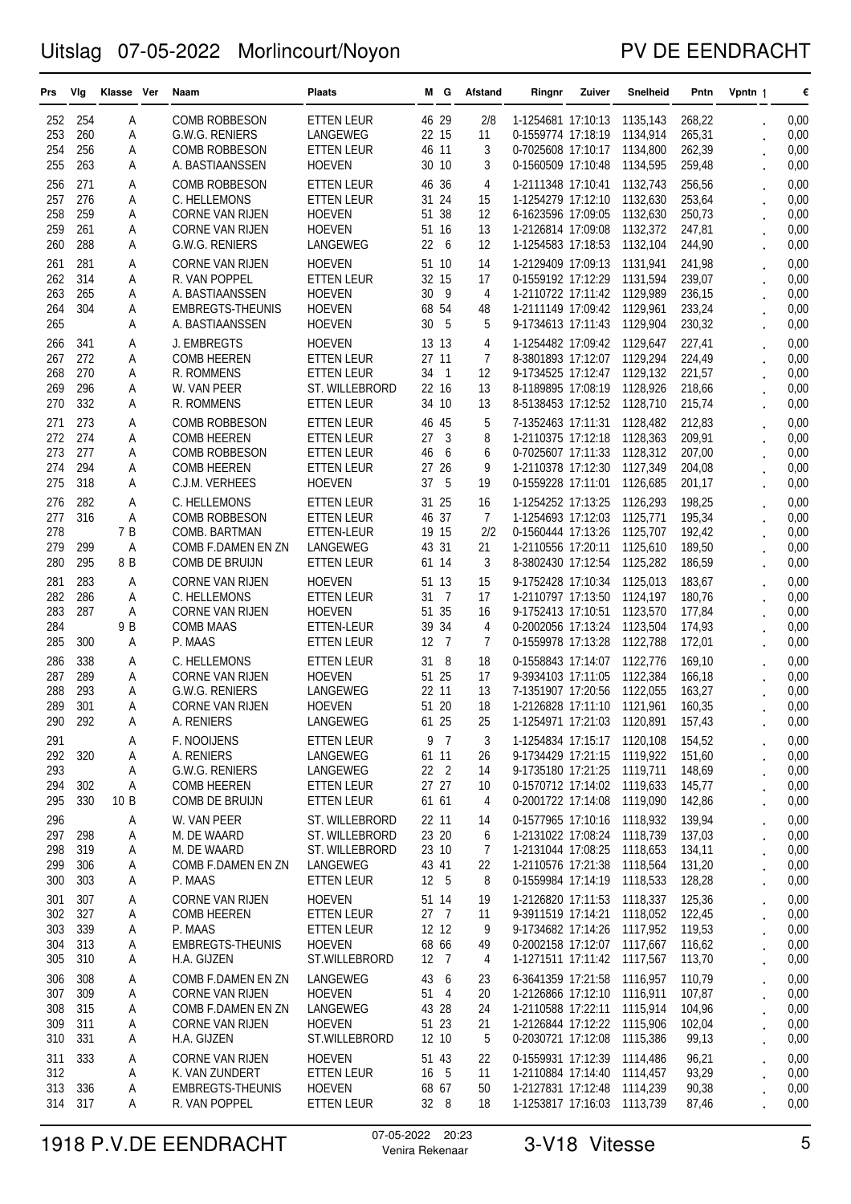### PV DE EENDRACHT

| 268,22<br>252<br>254<br><b>COMB ROBBESON</b><br><b>ETTEN LEUR</b><br>46 29<br>2/8<br>1-1254681 17:10:13<br>1135,143<br>0,00<br>Α<br>253<br>260<br>22 15<br>11<br>265,31<br>Α<br>G.W.G. RENIERS<br>LANGEWEG<br>0-1559774 17:18:19<br>1134,914<br>0,00<br>256<br>46<br>11<br>3<br>262,39<br>0,00<br>254<br><b>COMB ROBBESON</b><br><b>ETTEN LEUR</b><br>0-7025608 17:10:17<br>1134,800<br>Α<br>263<br>0,00<br>255<br><b>HOEVEN</b><br>30 10<br>3<br>0-1560509 17:10:48<br>1134,595<br>259,48<br>A. BASTIAANSSEN<br>Α<br>271<br>1-2111348 17:10:41<br>256,56<br>0,00<br>256<br><b>COMB ROBBESON</b><br><b>ETTEN LEUR</b><br>46<br>36<br>4<br>1132,743<br>Α<br>257<br>276<br>24<br>15<br>1132,630<br>253,64<br>0,00<br>C. HELLEMONS<br><b>ETTEN LEUR</b><br>31<br>1-1254279 17:12:10<br>Α<br>259<br>51 38<br>12<br>250,73<br>258<br><b>HOEVEN</b><br>6-1623596 17:09:05<br>1132,630<br>0,00<br>Α<br><b>CORNE VAN RIJEN</b><br>261<br>13<br>259<br><b>HOEVEN</b><br>51 16<br>1-2126814 17:09:08<br>1132,372<br>247,81<br>0,00<br>Α<br><b>CORNE VAN RIJEN</b><br>288<br>22<br>260<br><b>G.W.G. RENIERS</b><br>LANGEWEG<br>6<br>12<br>1-1254583 17:18:53<br>1132,104<br>244,90<br>0,00<br>Α<br>281<br>1-2129409 17:09:13<br>0,00<br>261<br><b>HOEVEN</b><br>51 10<br>1131,941<br>241,98<br>Α<br><b>CORNE VAN RIJEN</b><br>14<br>262<br>314<br>32<br>15<br>17<br>1131,594<br>239,07<br>A<br>R. VAN POPPEL<br><b>ETTEN LEUR</b><br>0-1559192 17:12:29<br>0,00<br>265<br>30<br>- 9<br>236,15<br>263<br><b>HOEVEN</b><br>4<br>1-2110722 17:11:42 1129,989<br>0,00<br>Α<br>A. BASTIAANSSEN<br>304<br>68 54<br>264<br><b>HOEVEN</b><br>48<br>1-2111149 17:09:42<br>1129,961<br>233,24<br>0,00<br>Α<br>EMBREGTS-THEUNIS<br>265<br>30<br>5<br>230,32<br><b>HOEVEN</b><br>5<br>9-1734613 17:11:43<br>1129,904<br>0,00<br>Α<br>A. BASTIAANSSEN<br>J. EMBREGTS<br><b>HOEVEN</b><br>13 13<br>1-1254482 17:09:42<br>1129,647<br>227,41<br>0,00<br>266<br>341<br>4<br>Α<br>272<br>267<br>27<br>11<br>$\overline{7}$<br>8-3801893 17:12:07<br>1129,294<br>224,49<br>A<br><b>COMB HEEREN</b><br><b>ETTEN LEUR</b><br>0,00<br>268<br>270<br>34<br>$\mathbf{1}$<br>12<br>9-1734525 17:12:47<br>1129,132<br>221,57<br>Α<br>R. ROMMENS<br>0,00<br>ETTEN LEUR<br>296<br>22 16<br>13<br>218,66<br>269<br>ST. WILLEBRORD<br>8-1189895 17:08:19<br>1128,926<br>0,00<br>Α<br>W. VAN PEER<br>332<br>270<br>34 10<br>13<br>8-5138453 17:12:52<br>1128,710<br>215,74<br>0,00<br>Α<br>R. ROMMENS<br>ETTEN LEUR<br>273<br>46<br>5<br>7-1352463 17:11:31<br>0,00<br>271<br><b>COMB ROBBESON</b><br><b>ETTEN LEUR</b><br>45<br>1128,482<br>212,83<br>Α<br>272<br>274<br>27<br>3<br>8<br>209,91<br><b>COMB HEEREN</b><br>1-2110375 17:12:18<br>1128,363<br>0,00<br>Α<br>ETTEN LEUR<br>273<br>277<br>46<br>6<br>6<br>207,00<br>A<br><b>COMB ROBBESON</b><br><b>ETTEN LEUR</b><br>0-7025607 17:11:33<br>1128,312<br>0,00<br>294<br>27<br>26<br>9<br>274<br><b>COMB HEEREN</b><br><b>ETTEN LEUR</b><br>1-2110378 17:12:30<br>1127,349<br>204,08<br>0,00<br>A<br>318<br>37<br>5<br>275<br><b>HOEVEN</b><br>19<br>0-1559228 17:11:01<br>1126.685<br>201,17<br>0,00<br>Α<br>C.J.M. VERHEES<br>276<br>282<br>25<br>16<br>1-1254252 17:13:25<br>198,25<br>0,00<br>A<br>C. HELLEMONS<br><b>ETTEN LEUR</b><br>31<br>1126,293<br>277<br>316<br>46<br>37<br>$\overline{7}$<br>195,34<br>0,00<br>Α<br><b>COMB ROBBESON</b><br><b>ETTEN LEUR</b><br>1-1254693 17:12:03<br>1125,771<br>278<br>7 B<br>19 15<br>2/2<br>0,00<br>COMB. BARTMAN<br>0-1560444 17:13:26<br>1125,707<br>192,42<br>ETTEN-LEUR<br>299<br>31<br>189,50<br>279<br>Α<br>LANGEWEG<br>43<br>21<br>1-2110556 17:20:11<br>1125,610<br>0,00<br>COMB F.DAMEN EN ZN<br>280<br>295<br>8 B<br>3<br>COMB DE BRUIJN<br>61 14<br>8-3802430 17:12:54<br>1125,282<br>186,59<br>0,00<br><b>ETTEN LEUR</b><br>281<br>283<br>9-1752428 17:10:34<br>183,67<br>0,00<br><b>CORNE VAN RIJEN</b><br><b>HOEVEN</b><br>51 13<br>15<br>1125,013<br>Α<br>286<br>282<br>31<br>$\overline{7}$<br>17<br>1-2110797 17:13:50<br>1124,197<br>180,76<br>0,00<br>Α<br>C. HELLEMONS<br><b>ETTEN LEUR</b><br>283<br>287<br>51 35<br>Α<br><b>CORNE VAN RIJEN</b><br><b>HOEVEN</b><br>16<br>9-1752413 17:10:51<br>1123,570<br>177,84<br>0,00<br>9 B<br>39<br>34<br>284<br>4<br>0-2002056 17:13:24<br>1123,504<br>174,93<br>0,00<br><b>COMB MAAS</b><br>ETTEN-LEUR<br>285<br>12<br>7<br>$\overline{7}$<br>300<br>P. MAAS<br>ETTEN LEUR<br>0-1559978 17:13:28<br>1122,788<br>172,01<br>0,00<br>Α<br>338<br>- 8<br>18<br>169,10<br>0,00<br>286<br>C. HELLEMONS<br><b>ETTEN LEUR</b><br>31<br>0-1558843 17:14:07<br>1122,776<br>Α<br>289<br>51 25<br>17<br>1122,384<br>166,18<br>287<br><b>CORNE VAN RIJEN</b><br><b>HOEVEN</b><br>9-3934103 17:11:05<br>0,00<br>A<br>293<br>22 11<br>13<br>1122,055<br>288<br><b>G.W.G. RENIERS</b><br>LANGEWEG<br>7-1351907 17:20:56<br>163,27<br>0,00<br>Α<br>301<br>51 20<br>18<br>289<br>1-2126828 17:11:10<br>1121,961<br>160.35<br>0,00<br>Α<br><b>CORNE VAN RIJEN</b><br><b>HOEVEN</b><br>290<br>292<br>A<br>A. RENIERS<br>LANGEWEG<br>61 25<br>25<br>1-1254971 17:21:03<br>1120,891<br>157,43<br>0,00<br>9<br>$\overline{7}$<br>0,00<br>291<br>F. NOOIJENS<br><b>ETTEN LEUR</b><br>3<br>1-1254834 17:15:17 1120,108<br>154,52<br>Α<br>320<br>61 11<br>26<br>9-1734429 17:21:15 1119,922<br>151,60<br>0,00<br>292<br>Α<br>A. RENIERS<br>LANGEWEG<br>$\ddot{\phantom{0}}$<br>22 <sub>2</sub><br>148,69<br>293<br>Α<br>G.W.G. RENIERS<br>LANGEWEG<br>14<br>9-1735180 17:21:25 1119,711<br>0,00<br>27 27<br>145,77<br>302<br>Α<br>0-1570712 17:14:02 1119,633<br>294<br><b>COMB HEEREN</b><br>ETTEN LEUR<br>10<br>0,00<br>330<br>61 61<br>295<br>10 B<br>4<br>0-2001722 17:14:08 1119,090<br>142,86<br>0,00<br>COMB DE BRUIJN<br>ETTEN LEUR<br>296<br>0-1577965 17:10:16 1118,932<br>139,94<br>0,00<br>Α<br>W. VAN PEER<br>ST. WILLEBRORD<br>22 11<br>14<br>23 20<br>137,03<br>0,00<br>297<br>298<br>Α<br>M. DE WAARD<br>ST. WILLEBRORD<br>6<br>1-2131022 17:08:24 1118,739<br>319<br>$\overline{7}$<br>298<br>M. DE WAARD<br>ST. WILLEBRORD<br>23 10<br>1-2131044 17:08:25 1118,653<br>134,11<br>0,00<br>Α<br>306<br>131,20<br>299<br>Α<br>COMB F.DAMEN EN ZN<br>LANGEWEG<br>43 41<br>22<br>1-2110576 17:21:38 1118,564<br>0,00<br>303<br>12 5<br>8<br><b>ETTEN LEUR</b><br>0-1559984 17:14:19 1118,533<br>128,28<br>300<br>Α<br>P. MAAS<br>0,00<br>125,36<br>307<br>1-2126820 17:11:53 1118,337<br>0,00<br>301<br>А<br><b>CORNE VAN RIJEN</b><br><b>HOEVEN</b><br>51 14<br>19<br>327<br>302<br><b>COMB HEEREN</b><br>27<br>$\overline{7}$<br>9-3911519 17:14:21 1118,052<br>122,45<br>Α<br><b>ETTEN LEUR</b><br>11<br>0,00<br>339<br>12 12<br>0,00<br>303<br>А<br>P. MAAS<br><b>ETTEN LEUR</b><br>9<br>9-1734682 17:14:26 1117,952<br>119,53<br>$\ddot{\phantom{0}}$<br>313<br>68 66<br>0-2002158 17:12:07 1117,667<br>116,62<br>0,00<br>304<br>Α<br>EMBREGTS-THEUNIS<br><b>HOEVEN</b><br>49<br>$\cdot$<br>310<br>305<br>А<br>12 7<br>4<br>1-1271511 17:11:42 1117,567<br>113,70<br>0,00<br>H.A. GIJZEN<br>ST.WILLEBRORD<br>$\ddot{\phantom{0}}$<br>308<br>43<br>6<br>6-3641359 17:21:58<br>110,79<br>0,00<br>306<br>COMB F.DAMEN EN ZN<br>LANGEWEG<br>23<br>1116,957<br>Α<br>309<br>51 4<br>1-2126866 17:12:10 1116,911<br>107,87<br>307<br>А<br><b>CORNE VAN RIJEN</b><br><b>HOEVEN</b><br>20<br>0,00<br>315<br>308<br>Α<br>LANGEWEG<br>43 28<br>24<br>1-2110588 17:22:11 1115,914<br>104,96<br>0,00<br>COMB F.DAMEN EN ZN<br>311<br><b>HOEVEN</b><br>51 23<br>1-2126844 17:12:22 1115,906<br>102,04<br>0,00<br>309<br>Α<br><b>CORNE VAN RIJEN</b><br>21<br>$\ddot{\phantom{0}}$<br>331<br>5<br>12 10<br>0-2030721 17:12:08<br>0,00<br>310<br>Α<br>H.A. GIJZEN<br>ST.WILLEBRORD<br>1115,386<br>99,13<br>$\ddot{\phantom{0}}$<br>0-1559931 17:12:39 1114,486<br>311<br>333<br>Α<br><b>CORNE VAN RIJEN</b><br><b>HOEVEN</b><br>51 43<br>96,21<br>0,00<br>22<br>5<br>312<br>Α<br>K. VAN ZUNDERT<br><b>ETTEN LEUR</b><br>16<br>11<br>1-2110884 17:14:40 1114,457<br>93,29<br>0,00<br>0,00<br>313<br>336<br>Α<br>EMBREGTS-THEUNIS<br><b>HOEVEN</b><br>68 67<br>50<br>1-2127831 17:12:48<br>1114,239<br>90,38<br>317<br>314<br>Α<br>R. VAN POPPEL<br><b>ETTEN LEUR</b><br>32 8<br>18<br>1-1253817 17:16:03 1113,739<br>0,00<br>87,46 | Prs | Vlg | Klasse Ver | Naam | <b>Plaats</b> | MG. | Afstand | Ringnr | Zuiver | Snelheid | Pntn | Vpntn 1 | € |
|-------------------------------------------------------------------------------------------------------------------------------------------------------------------------------------------------------------------------------------------------------------------------------------------------------------------------------------------------------------------------------------------------------------------------------------------------------------------------------------------------------------------------------------------------------------------------------------------------------------------------------------------------------------------------------------------------------------------------------------------------------------------------------------------------------------------------------------------------------------------------------------------------------------------------------------------------------------------------------------------------------------------------------------------------------------------------------------------------------------------------------------------------------------------------------------------------------------------------------------------------------------------------------------------------------------------------------------------------------------------------------------------------------------------------------------------------------------------------------------------------------------------------------------------------------------------------------------------------------------------------------------------------------------------------------------------------------------------------------------------------------------------------------------------------------------------------------------------------------------------------------------------------------------------------------------------------------------------------------------------------------------------------------------------------------------------------------------------------------------------------------------------------------------------------------------------------------------------------------------------------------------------------------------------------------------------------------------------------------------------------------------------------------------------------------------------------------------------------------------------------------------------------------------------------------------------------------------------------------------------------------------------------------------------------------------------------------------------------------------------------------------------------------------------------------------------------------------------------------------------------------------------------------------------------------------------------------------------------------------------------------------------------------------------------------------------------------------------------------------------------------------------------------------------------------------------------------------------------------------------------------------------------------------------------------------------------------------------------------------------------------------------------------------------------------------------------------------------------------------------------------------------------------------------------------------------------------------------------------------------------------------------------------------------------------------------------------------------------------------------------------------------------------------------------------------------------------------------------------------------------------------------------------------------------------------------------------------------------------------------------------------------------------------------------------------------------------------------------------------------------------------------------------------------------------------------------------------------------------------------------------------------------------------------------------------------------------------------------------------------------------------------------------------------------------------------------------------------------------------------------------------------------------------------------------------------------------------------------------------------------------------------------------------------------------------------------------------------------------------------------------------------------------------------------------------------------------------------------------------------------------------------------------------------------------------------------------------------------------------------------------------------------------------------------------------------------------------------------------------------------------------------------------------------------------------------------------------------------------------------------------------------------------------------------------------------------------------------------------------------------------------------------------------------------------------------------------------------------------------------------------------------------------------------------------------------------------------------------------------------------------------------------------------------------------------------------------------------------------------------------------------------------------------------------------------------------------------------------------------------------------------------------------------------------------------------------------------------------------------------------------------------------------------------------------------------------------------------------------------------------------------------------------------------------------------------------------------------------------------------------------------------------------------------------------------------------------------------------------------------------------------------------------------------------------------------------------------------------------------------------------------------------------------------------------------------------------------------------------------------------------------------------------------------------------------------------------------------------------------------------------------------------------------------------------------------------------------------------------------------------------------------------------------------------------------------------------------------------------------------------------------------------------------------------------------------------------------------------------------------------------------------------------------------------------------------------------------------------------------------------------------------------------------------------------------------------------------------------------------------------------------------------------------------------------------------------------------------------------------------------------------------------------------------------------------------------------------------------------------------------------------------------------------------------------------------------------------------------------------------------------------------------------------------------------------------------------------------------------------------------------------------------------------------------------------------------------------------------------------------------------------------------------------------------------------------------------------------------------------------------------------------------------------------------------------------------------------------------------------------|-----|-----|------------|------|---------------|-----|---------|--------|--------|----------|------|---------|---|
|                                                                                                                                                                                                                                                                                                                                                                                                                                                                                                                                                                                                                                                                                                                                                                                                                                                                                                                                                                                                                                                                                                                                                                                                                                                                                                                                                                                                                                                                                                                                                                                                                                                                                                                                                                                                                                                                                                                                                                                                                                                                                                                                                                                                                                                                                                                                                                                                                                                                                                                                                                                                                                                                                                                                                                                                                                                                                                                                                                                                                                                                                                                                                                                                                                                                                                                                                                                                                                                                                                                                                                                                                                                                                                                                                                                                                                                                                                                                                                                                                                                                                                                                                                                                                                                                                                                                                                                                                                                                                                                                                                                                                                                                                                                                                                                                                                                                                                                                                                                                                                                                                                                                                                                                                                                                                                                                                                                                                                                                                                                                                                                                                                                                                                                                                                                                                                                                                                                                                                                                                                                                                                                                                                                                                                                                                                                                                                                                                                                                                                                                                                                                                                                                                                                                                                                                                                                                                                                                                                                                                                                                                                                                                                                                                                                                                                                                                                                                                                                                                                                                                                                                                                                                                                                                                                                                                                                                                                                                                                                                                                                                                                                                                                                                                                           |     |     |            |      |               |     |         |        |        |          |      |         |   |
|                                                                                                                                                                                                                                                                                                                                                                                                                                                                                                                                                                                                                                                                                                                                                                                                                                                                                                                                                                                                                                                                                                                                                                                                                                                                                                                                                                                                                                                                                                                                                                                                                                                                                                                                                                                                                                                                                                                                                                                                                                                                                                                                                                                                                                                                                                                                                                                                                                                                                                                                                                                                                                                                                                                                                                                                                                                                                                                                                                                                                                                                                                                                                                                                                                                                                                                                                                                                                                                                                                                                                                                                                                                                                                                                                                                                                                                                                                                                                                                                                                                                                                                                                                                                                                                                                                                                                                                                                                                                                                                                                                                                                                                                                                                                                                                                                                                                                                                                                                                                                                                                                                                                                                                                                                                                                                                                                                                                                                                                                                                                                                                                                                                                                                                                                                                                                                                                                                                                                                                                                                                                                                                                                                                                                                                                                                                                                                                                                                                                                                                                                                                                                                                                                                                                                                                                                                                                                                                                                                                                                                                                                                                                                                                                                                                                                                                                                                                                                                                                                                                                                                                                                                                                                                                                                                                                                                                                                                                                                                                                                                                                                                                                                                                                                                           |     |     |            |      |               |     |         |        |        |          |      |         |   |
|                                                                                                                                                                                                                                                                                                                                                                                                                                                                                                                                                                                                                                                                                                                                                                                                                                                                                                                                                                                                                                                                                                                                                                                                                                                                                                                                                                                                                                                                                                                                                                                                                                                                                                                                                                                                                                                                                                                                                                                                                                                                                                                                                                                                                                                                                                                                                                                                                                                                                                                                                                                                                                                                                                                                                                                                                                                                                                                                                                                                                                                                                                                                                                                                                                                                                                                                                                                                                                                                                                                                                                                                                                                                                                                                                                                                                                                                                                                                                                                                                                                                                                                                                                                                                                                                                                                                                                                                                                                                                                                                                                                                                                                                                                                                                                                                                                                                                                                                                                                                                                                                                                                                                                                                                                                                                                                                                                                                                                                                                                                                                                                                                                                                                                                                                                                                                                                                                                                                                                                                                                                                                                                                                                                                                                                                                                                                                                                                                                                                                                                                                                                                                                                                                                                                                                                                                                                                                                                                                                                                                                                                                                                                                                                                                                                                                                                                                                                                                                                                                                                                                                                                                                                                                                                                                                                                                                                                                                                                                                                                                                                                                                                                                                                                                                           |     |     |            |      |               |     |         |        |        |          |      |         |   |
|                                                                                                                                                                                                                                                                                                                                                                                                                                                                                                                                                                                                                                                                                                                                                                                                                                                                                                                                                                                                                                                                                                                                                                                                                                                                                                                                                                                                                                                                                                                                                                                                                                                                                                                                                                                                                                                                                                                                                                                                                                                                                                                                                                                                                                                                                                                                                                                                                                                                                                                                                                                                                                                                                                                                                                                                                                                                                                                                                                                                                                                                                                                                                                                                                                                                                                                                                                                                                                                                                                                                                                                                                                                                                                                                                                                                                                                                                                                                                                                                                                                                                                                                                                                                                                                                                                                                                                                                                                                                                                                                                                                                                                                                                                                                                                                                                                                                                                                                                                                                                                                                                                                                                                                                                                                                                                                                                                                                                                                                                                                                                                                                                                                                                                                                                                                                                                                                                                                                                                                                                                                                                                                                                                                                                                                                                                                                                                                                                                                                                                                                                                                                                                                                                                                                                                                                                                                                                                                                                                                                                                                                                                                                                                                                                                                                                                                                                                                                                                                                                                                                                                                                                                                                                                                                                                                                                                                                                                                                                                                                                                                                                                                                                                                                                                           |     |     |            |      |               |     |         |        |        |          |      |         |   |
|                                                                                                                                                                                                                                                                                                                                                                                                                                                                                                                                                                                                                                                                                                                                                                                                                                                                                                                                                                                                                                                                                                                                                                                                                                                                                                                                                                                                                                                                                                                                                                                                                                                                                                                                                                                                                                                                                                                                                                                                                                                                                                                                                                                                                                                                                                                                                                                                                                                                                                                                                                                                                                                                                                                                                                                                                                                                                                                                                                                                                                                                                                                                                                                                                                                                                                                                                                                                                                                                                                                                                                                                                                                                                                                                                                                                                                                                                                                                                                                                                                                                                                                                                                                                                                                                                                                                                                                                                                                                                                                                                                                                                                                                                                                                                                                                                                                                                                                                                                                                                                                                                                                                                                                                                                                                                                                                                                                                                                                                                                                                                                                                                                                                                                                                                                                                                                                                                                                                                                                                                                                                                                                                                                                                                                                                                                                                                                                                                                                                                                                                                                                                                                                                                                                                                                                                                                                                                                                                                                                                                                                                                                                                                                                                                                                                                                                                                                                                                                                                                                                                                                                                                                                                                                                                                                                                                                                                                                                                                                                                                                                                                                                                                                                                                                           |     |     |            |      |               |     |         |        |        |          |      |         |   |
|                                                                                                                                                                                                                                                                                                                                                                                                                                                                                                                                                                                                                                                                                                                                                                                                                                                                                                                                                                                                                                                                                                                                                                                                                                                                                                                                                                                                                                                                                                                                                                                                                                                                                                                                                                                                                                                                                                                                                                                                                                                                                                                                                                                                                                                                                                                                                                                                                                                                                                                                                                                                                                                                                                                                                                                                                                                                                                                                                                                                                                                                                                                                                                                                                                                                                                                                                                                                                                                                                                                                                                                                                                                                                                                                                                                                                                                                                                                                                                                                                                                                                                                                                                                                                                                                                                                                                                                                                                                                                                                                                                                                                                                                                                                                                                                                                                                                                                                                                                                                                                                                                                                                                                                                                                                                                                                                                                                                                                                                                                                                                                                                                                                                                                                                                                                                                                                                                                                                                                                                                                                                                                                                                                                                                                                                                                                                                                                                                                                                                                                                                                                                                                                                                                                                                                                                                                                                                                                                                                                                                                                                                                                                                                                                                                                                                                                                                                                                                                                                                                                                                                                                                                                                                                                                                                                                                                                                                                                                                                                                                                                                                                                                                                                                                                           |     |     |            |      |               |     |         |        |        |          |      |         |   |
|                                                                                                                                                                                                                                                                                                                                                                                                                                                                                                                                                                                                                                                                                                                                                                                                                                                                                                                                                                                                                                                                                                                                                                                                                                                                                                                                                                                                                                                                                                                                                                                                                                                                                                                                                                                                                                                                                                                                                                                                                                                                                                                                                                                                                                                                                                                                                                                                                                                                                                                                                                                                                                                                                                                                                                                                                                                                                                                                                                                                                                                                                                                                                                                                                                                                                                                                                                                                                                                                                                                                                                                                                                                                                                                                                                                                                                                                                                                                                                                                                                                                                                                                                                                                                                                                                                                                                                                                                                                                                                                                                                                                                                                                                                                                                                                                                                                                                                                                                                                                                                                                                                                                                                                                                                                                                                                                                                                                                                                                                                                                                                                                                                                                                                                                                                                                                                                                                                                                                                                                                                                                                                                                                                                                                                                                                                                                                                                                                                                                                                                                                                                                                                                                                                                                                                                                                                                                                                                                                                                                                                                                                                                                                                                                                                                                                                                                                                                                                                                                                                                                                                                                                                                                                                                                                                                                                                                                                                                                                                                                                                                                                                                                                                                                                                           |     |     |            |      |               |     |         |        |        |          |      |         |   |
|                                                                                                                                                                                                                                                                                                                                                                                                                                                                                                                                                                                                                                                                                                                                                                                                                                                                                                                                                                                                                                                                                                                                                                                                                                                                                                                                                                                                                                                                                                                                                                                                                                                                                                                                                                                                                                                                                                                                                                                                                                                                                                                                                                                                                                                                                                                                                                                                                                                                                                                                                                                                                                                                                                                                                                                                                                                                                                                                                                                                                                                                                                                                                                                                                                                                                                                                                                                                                                                                                                                                                                                                                                                                                                                                                                                                                                                                                                                                                                                                                                                                                                                                                                                                                                                                                                                                                                                                                                                                                                                                                                                                                                                                                                                                                                                                                                                                                                                                                                                                                                                                                                                                                                                                                                                                                                                                                                                                                                                                                                                                                                                                                                                                                                                                                                                                                                                                                                                                                                                                                                                                                                                                                                                                                                                                                                                                                                                                                                                                                                                                                                                                                                                                                                                                                                                                                                                                                                                                                                                                                                                                                                                                                                                                                                                                                                                                                                                                                                                                                                                                                                                                                                                                                                                                                                                                                                                                                                                                                                                                                                                                                                                                                                                                                                           |     |     |            |      |               |     |         |        |        |          |      |         |   |
|                                                                                                                                                                                                                                                                                                                                                                                                                                                                                                                                                                                                                                                                                                                                                                                                                                                                                                                                                                                                                                                                                                                                                                                                                                                                                                                                                                                                                                                                                                                                                                                                                                                                                                                                                                                                                                                                                                                                                                                                                                                                                                                                                                                                                                                                                                                                                                                                                                                                                                                                                                                                                                                                                                                                                                                                                                                                                                                                                                                                                                                                                                                                                                                                                                                                                                                                                                                                                                                                                                                                                                                                                                                                                                                                                                                                                                                                                                                                                                                                                                                                                                                                                                                                                                                                                                                                                                                                                                                                                                                                                                                                                                                                                                                                                                                                                                                                                                                                                                                                                                                                                                                                                                                                                                                                                                                                                                                                                                                                                                                                                                                                                                                                                                                                                                                                                                                                                                                                                                                                                                                                                                                                                                                                                                                                                                                                                                                                                                                                                                                                                                                                                                                                                                                                                                                                                                                                                                                                                                                                                                                                                                                                                                                                                                                                                                                                                                                                                                                                                                                                                                                                                                                                                                                                                                                                                                                                                                                                                                                                                                                                                                                                                                                                                                           |     |     |            |      |               |     |         |        |        |          |      |         |   |
|                                                                                                                                                                                                                                                                                                                                                                                                                                                                                                                                                                                                                                                                                                                                                                                                                                                                                                                                                                                                                                                                                                                                                                                                                                                                                                                                                                                                                                                                                                                                                                                                                                                                                                                                                                                                                                                                                                                                                                                                                                                                                                                                                                                                                                                                                                                                                                                                                                                                                                                                                                                                                                                                                                                                                                                                                                                                                                                                                                                                                                                                                                                                                                                                                                                                                                                                                                                                                                                                                                                                                                                                                                                                                                                                                                                                                                                                                                                                                                                                                                                                                                                                                                                                                                                                                                                                                                                                                                                                                                                                                                                                                                                                                                                                                                                                                                                                                                                                                                                                                                                                                                                                                                                                                                                                                                                                                                                                                                                                                                                                                                                                                                                                                                                                                                                                                                                                                                                                                                                                                                                                                                                                                                                                                                                                                                                                                                                                                                                                                                                                                                                                                                                                                                                                                                                                                                                                                                                                                                                                                                                                                                                                                                                                                                                                                                                                                                                                                                                                                                                                                                                                                                                                                                                                                                                                                                                                                                                                                                                                                                                                                                                                                                                                                                           |     |     |            |      |               |     |         |        |        |          |      |         |   |
|                                                                                                                                                                                                                                                                                                                                                                                                                                                                                                                                                                                                                                                                                                                                                                                                                                                                                                                                                                                                                                                                                                                                                                                                                                                                                                                                                                                                                                                                                                                                                                                                                                                                                                                                                                                                                                                                                                                                                                                                                                                                                                                                                                                                                                                                                                                                                                                                                                                                                                                                                                                                                                                                                                                                                                                                                                                                                                                                                                                                                                                                                                                                                                                                                                                                                                                                                                                                                                                                                                                                                                                                                                                                                                                                                                                                                                                                                                                                                                                                                                                                                                                                                                                                                                                                                                                                                                                                                                                                                                                                                                                                                                                                                                                                                                                                                                                                                                                                                                                                                                                                                                                                                                                                                                                                                                                                                                                                                                                                                                                                                                                                                                                                                                                                                                                                                                                                                                                                                                                                                                                                                                                                                                                                                                                                                                                                                                                                                                                                                                                                                                                                                                                                                                                                                                                                                                                                                                                                                                                                                                                                                                                                                                                                                                                                                                                                                                                                                                                                                                                                                                                                                                                                                                                                                                                                                                                                                                                                                                                                                                                                                                                                                                                                                                           |     |     |            |      |               |     |         |        |        |          |      |         |   |
|                                                                                                                                                                                                                                                                                                                                                                                                                                                                                                                                                                                                                                                                                                                                                                                                                                                                                                                                                                                                                                                                                                                                                                                                                                                                                                                                                                                                                                                                                                                                                                                                                                                                                                                                                                                                                                                                                                                                                                                                                                                                                                                                                                                                                                                                                                                                                                                                                                                                                                                                                                                                                                                                                                                                                                                                                                                                                                                                                                                                                                                                                                                                                                                                                                                                                                                                                                                                                                                                                                                                                                                                                                                                                                                                                                                                                                                                                                                                                                                                                                                                                                                                                                                                                                                                                                                                                                                                                                                                                                                                                                                                                                                                                                                                                                                                                                                                                                                                                                                                                                                                                                                                                                                                                                                                                                                                                                                                                                                                                                                                                                                                                                                                                                                                                                                                                                                                                                                                                                                                                                                                                                                                                                                                                                                                                                                                                                                                                                                                                                                                                                                                                                                                                                                                                                                                                                                                                                                                                                                                                                                                                                                                                                                                                                                                                                                                                                                                                                                                                                                                                                                                                                                                                                                                                                                                                                                                                                                                                                                                                                                                                                                                                                                                                                           |     |     |            |      |               |     |         |        |        |          |      |         |   |
|                                                                                                                                                                                                                                                                                                                                                                                                                                                                                                                                                                                                                                                                                                                                                                                                                                                                                                                                                                                                                                                                                                                                                                                                                                                                                                                                                                                                                                                                                                                                                                                                                                                                                                                                                                                                                                                                                                                                                                                                                                                                                                                                                                                                                                                                                                                                                                                                                                                                                                                                                                                                                                                                                                                                                                                                                                                                                                                                                                                                                                                                                                                                                                                                                                                                                                                                                                                                                                                                                                                                                                                                                                                                                                                                                                                                                                                                                                                                                                                                                                                                                                                                                                                                                                                                                                                                                                                                                                                                                                                                                                                                                                                                                                                                                                                                                                                                                                                                                                                                                                                                                                                                                                                                                                                                                                                                                                                                                                                                                                                                                                                                                                                                                                                                                                                                                                                                                                                                                                                                                                                                                                                                                                                                                                                                                                                                                                                                                                                                                                                                                                                                                                                                                                                                                                                                                                                                                                                                                                                                                                                                                                                                                                                                                                                                                                                                                                                                                                                                                                                                                                                                                                                                                                                                                                                                                                                                                                                                                                                                                                                                                                                                                                                                                                           |     |     |            |      |               |     |         |        |        |          |      |         |   |
|                                                                                                                                                                                                                                                                                                                                                                                                                                                                                                                                                                                                                                                                                                                                                                                                                                                                                                                                                                                                                                                                                                                                                                                                                                                                                                                                                                                                                                                                                                                                                                                                                                                                                                                                                                                                                                                                                                                                                                                                                                                                                                                                                                                                                                                                                                                                                                                                                                                                                                                                                                                                                                                                                                                                                                                                                                                                                                                                                                                                                                                                                                                                                                                                                                                                                                                                                                                                                                                                                                                                                                                                                                                                                                                                                                                                                                                                                                                                                                                                                                                                                                                                                                                                                                                                                                                                                                                                                                                                                                                                                                                                                                                                                                                                                                                                                                                                                                                                                                                                                                                                                                                                                                                                                                                                                                                                                                                                                                                                                                                                                                                                                                                                                                                                                                                                                                                                                                                                                                                                                                                                                                                                                                                                                                                                                                                                                                                                                                                                                                                                                                                                                                                                                                                                                                                                                                                                                                                                                                                                                                                                                                                                                                                                                                                                                                                                                                                                                                                                                                                                                                                                                                                                                                                                                                                                                                                                                                                                                                                                                                                                                                                                                                                                                                           |     |     |            |      |               |     |         |        |        |          |      |         |   |
|                                                                                                                                                                                                                                                                                                                                                                                                                                                                                                                                                                                                                                                                                                                                                                                                                                                                                                                                                                                                                                                                                                                                                                                                                                                                                                                                                                                                                                                                                                                                                                                                                                                                                                                                                                                                                                                                                                                                                                                                                                                                                                                                                                                                                                                                                                                                                                                                                                                                                                                                                                                                                                                                                                                                                                                                                                                                                                                                                                                                                                                                                                                                                                                                                                                                                                                                                                                                                                                                                                                                                                                                                                                                                                                                                                                                                                                                                                                                                                                                                                                                                                                                                                                                                                                                                                                                                                                                                                                                                                                                                                                                                                                                                                                                                                                                                                                                                                                                                                                                                                                                                                                                                                                                                                                                                                                                                                                                                                                                                                                                                                                                                                                                                                                                                                                                                                                                                                                                                                                                                                                                                                                                                                                                                                                                                                                                                                                                                                                                                                                                                                                                                                                                                                                                                                                                                                                                                                                                                                                                                                                                                                                                                                                                                                                                                                                                                                                                                                                                                                                                                                                                                                                                                                                                                                                                                                                                                                                                                                                                                                                                                                                                                                                                                                           |     |     |            |      |               |     |         |        |        |          |      |         |   |
|                                                                                                                                                                                                                                                                                                                                                                                                                                                                                                                                                                                                                                                                                                                                                                                                                                                                                                                                                                                                                                                                                                                                                                                                                                                                                                                                                                                                                                                                                                                                                                                                                                                                                                                                                                                                                                                                                                                                                                                                                                                                                                                                                                                                                                                                                                                                                                                                                                                                                                                                                                                                                                                                                                                                                                                                                                                                                                                                                                                                                                                                                                                                                                                                                                                                                                                                                                                                                                                                                                                                                                                                                                                                                                                                                                                                                                                                                                                                                                                                                                                                                                                                                                                                                                                                                                                                                                                                                                                                                                                                                                                                                                                                                                                                                                                                                                                                                                                                                                                                                                                                                                                                                                                                                                                                                                                                                                                                                                                                                                                                                                                                                                                                                                                                                                                                                                                                                                                                                                                                                                                                                                                                                                                                                                                                                                                                                                                                                                                                                                                                                                                                                                                                                                                                                                                                                                                                                                                                                                                                                                                                                                                                                                                                                                                                                                                                                                                                                                                                                                                                                                                                                                                                                                                                                                                                                                                                                                                                                                                                                                                                                                                                                                                                                                           |     |     |            |      |               |     |         |        |        |          |      |         |   |
|                                                                                                                                                                                                                                                                                                                                                                                                                                                                                                                                                                                                                                                                                                                                                                                                                                                                                                                                                                                                                                                                                                                                                                                                                                                                                                                                                                                                                                                                                                                                                                                                                                                                                                                                                                                                                                                                                                                                                                                                                                                                                                                                                                                                                                                                                                                                                                                                                                                                                                                                                                                                                                                                                                                                                                                                                                                                                                                                                                                                                                                                                                                                                                                                                                                                                                                                                                                                                                                                                                                                                                                                                                                                                                                                                                                                                                                                                                                                                                                                                                                                                                                                                                                                                                                                                                                                                                                                                                                                                                                                                                                                                                                                                                                                                                                                                                                                                                                                                                                                                                                                                                                                                                                                                                                                                                                                                                                                                                                                                                                                                                                                                                                                                                                                                                                                                                                                                                                                                                                                                                                                                                                                                                                                                                                                                                                                                                                                                                                                                                                                                                                                                                                                                                                                                                                                                                                                                                                                                                                                                                                                                                                                                                                                                                                                                                                                                                                                                                                                                                                                                                                                                                                                                                                                                                                                                                                                                                                                                                                                                                                                                                                                                                                                                                           |     |     |            |      |               |     |         |        |        |          |      |         |   |
|                                                                                                                                                                                                                                                                                                                                                                                                                                                                                                                                                                                                                                                                                                                                                                                                                                                                                                                                                                                                                                                                                                                                                                                                                                                                                                                                                                                                                                                                                                                                                                                                                                                                                                                                                                                                                                                                                                                                                                                                                                                                                                                                                                                                                                                                                                                                                                                                                                                                                                                                                                                                                                                                                                                                                                                                                                                                                                                                                                                                                                                                                                                                                                                                                                                                                                                                                                                                                                                                                                                                                                                                                                                                                                                                                                                                                                                                                                                                                                                                                                                                                                                                                                                                                                                                                                                                                                                                                                                                                                                                                                                                                                                                                                                                                                                                                                                                                                                                                                                                                                                                                                                                                                                                                                                                                                                                                                                                                                                                                                                                                                                                                                                                                                                                                                                                                                                                                                                                                                                                                                                                                                                                                                                                                                                                                                                                                                                                                                                                                                                                                                                                                                                                                                                                                                                                                                                                                                                                                                                                                                                                                                                                                                                                                                                                                                                                                                                                                                                                                                                                                                                                                                                                                                                                                                                                                                                                                                                                                                                                                                                                                                                                                                                                                                           |     |     |            |      |               |     |         |        |        |          |      |         |   |
|                                                                                                                                                                                                                                                                                                                                                                                                                                                                                                                                                                                                                                                                                                                                                                                                                                                                                                                                                                                                                                                                                                                                                                                                                                                                                                                                                                                                                                                                                                                                                                                                                                                                                                                                                                                                                                                                                                                                                                                                                                                                                                                                                                                                                                                                                                                                                                                                                                                                                                                                                                                                                                                                                                                                                                                                                                                                                                                                                                                                                                                                                                                                                                                                                                                                                                                                                                                                                                                                                                                                                                                                                                                                                                                                                                                                                                                                                                                                                                                                                                                                                                                                                                                                                                                                                                                                                                                                                                                                                                                                                                                                                                                                                                                                                                                                                                                                                                                                                                                                                                                                                                                                                                                                                                                                                                                                                                                                                                                                                                                                                                                                                                                                                                                                                                                                                                                                                                                                                                                                                                                                                                                                                                                                                                                                                                                                                                                                                                                                                                                                                                                                                                                                                                                                                                                                                                                                                                                                                                                                                                                                                                                                                                                                                                                                                                                                                                                                                                                                                                                                                                                                                                                                                                                                                                                                                                                                                                                                                                                                                                                                                                                                                                                                                                           |     |     |            |      |               |     |         |        |        |          |      |         |   |
|                                                                                                                                                                                                                                                                                                                                                                                                                                                                                                                                                                                                                                                                                                                                                                                                                                                                                                                                                                                                                                                                                                                                                                                                                                                                                                                                                                                                                                                                                                                                                                                                                                                                                                                                                                                                                                                                                                                                                                                                                                                                                                                                                                                                                                                                                                                                                                                                                                                                                                                                                                                                                                                                                                                                                                                                                                                                                                                                                                                                                                                                                                                                                                                                                                                                                                                                                                                                                                                                                                                                                                                                                                                                                                                                                                                                                                                                                                                                                                                                                                                                                                                                                                                                                                                                                                                                                                                                                                                                                                                                                                                                                                                                                                                                                                                                                                                                                                                                                                                                                                                                                                                                                                                                                                                                                                                                                                                                                                                                                                                                                                                                                                                                                                                                                                                                                                                                                                                                                                                                                                                                                                                                                                                                                                                                                                                                                                                                                                                                                                                                                                                                                                                                                                                                                                                                                                                                                                                                                                                                                                                                                                                                                                                                                                                                                                                                                                                                                                                                                                                                                                                                                                                                                                                                                                                                                                                                                                                                                                                                                                                                                                                                                                                                                                           |     |     |            |      |               |     |         |        |        |          |      |         |   |
|                                                                                                                                                                                                                                                                                                                                                                                                                                                                                                                                                                                                                                                                                                                                                                                                                                                                                                                                                                                                                                                                                                                                                                                                                                                                                                                                                                                                                                                                                                                                                                                                                                                                                                                                                                                                                                                                                                                                                                                                                                                                                                                                                                                                                                                                                                                                                                                                                                                                                                                                                                                                                                                                                                                                                                                                                                                                                                                                                                                                                                                                                                                                                                                                                                                                                                                                                                                                                                                                                                                                                                                                                                                                                                                                                                                                                                                                                                                                                                                                                                                                                                                                                                                                                                                                                                                                                                                                                                                                                                                                                                                                                                                                                                                                                                                                                                                                                                                                                                                                                                                                                                                                                                                                                                                                                                                                                                                                                                                                                                                                                                                                                                                                                                                                                                                                                                                                                                                                                                                                                                                                                                                                                                                                                                                                                                                                                                                                                                                                                                                                                                                                                                                                                                                                                                                                                                                                                                                                                                                                                                                                                                                                                                                                                                                                                                                                                                                                                                                                                                                                                                                                                                                                                                                                                                                                                                                                                                                                                                                                                                                                                                                                                                                                                                           |     |     |            |      |               |     |         |        |        |          |      |         |   |
|                                                                                                                                                                                                                                                                                                                                                                                                                                                                                                                                                                                                                                                                                                                                                                                                                                                                                                                                                                                                                                                                                                                                                                                                                                                                                                                                                                                                                                                                                                                                                                                                                                                                                                                                                                                                                                                                                                                                                                                                                                                                                                                                                                                                                                                                                                                                                                                                                                                                                                                                                                                                                                                                                                                                                                                                                                                                                                                                                                                                                                                                                                                                                                                                                                                                                                                                                                                                                                                                                                                                                                                                                                                                                                                                                                                                                                                                                                                                                                                                                                                                                                                                                                                                                                                                                                                                                                                                                                                                                                                                                                                                                                                                                                                                                                                                                                                                                                                                                                                                                                                                                                                                                                                                                                                                                                                                                                                                                                                                                                                                                                                                                                                                                                                                                                                                                                                                                                                                                                                                                                                                                                                                                                                                                                                                                                                                                                                                                                                                                                                                                                                                                                                                                                                                                                                                                                                                                                                                                                                                                                                                                                                                                                                                                                                                                                                                                                                                                                                                                                                                                                                                                                                                                                                                                                                                                                                                                                                                                                                                                                                                                                                                                                                                                                           |     |     |            |      |               |     |         |        |        |          |      |         |   |
|                                                                                                                                                                                                                                                                                                                                                                                                                                                                                                                                                                                                                                                                                                                                                                                                                                                                                                                                                                                                                                                                                                                                                                                                                                                                                                                                                                                                                                                                                                                                                                                                                                                                                                                                                                                                                                                                                                                                                                                                                                                                                                                                                                                                                                                                                                                                                                                                                                                                                                                                                                                                                                                                                                                                                                                                                                                                                                                                                                                                                                                                                                                                                                                                                                                                                                                                                                                                                                                                                                                                                                                                                                                                                                                                                                                                                                                                                                                                                                                                                                                                                                                                                                                                                                                                                                                                                                                                                                                                                                                                                                                                                                                                                                                                                                                                                                                                                                                                                                                                                                                                                                                                                                                                                                                                                                                                                                                                                                                                                                                                                                                                                                                                                                                                                                                                                                                                                                                                                                                                                                                                                                                                                                                                                                                                                                                                                                                                                                                                                                                                                                                                                                                                                                                                                                                                                                                                                                                                                                                                                                                                                                                                                                                                                                                                                                                                                                                                                                                                                                                                                                                                                                                                                                                                                                                                                                                                                                                                                                                                                                                                                                                                                                                                                                           |     |     |            |      |               |     |         |        |        |          |      |         |   |
|                                                                                                                                                                                                                                                                                                                                                                                                                                                                                                                                                                                                                                                                                                                                                                                                                                                                                                                                                                                                                                                                                                                                                                                                                                                                                                                                                                                                                                                                                                                                                                                                                                                                                                                                                                                                                                                                                                                                                                                                                                                                                                                                                                                                                                                                                                                                                                                                                                                                                                                                                                                                                                                                                                                                                                                                                                                                                                                                                                                                                                                                                                                                                                                                                                                                                                                                                                                                                                                                                                                                                                                                                                                                                                                                                                                                                                                                                                                                                                                                                                                                                                                                                                                                                                                                                                                                                                                                                                                                                                                                                                                                                                                                                                                                                                                                                                                                                                                                                                                                                                                                                                                                                                                                                                                                                                                                                                                                                                                                                                                                                                                                                                                                                                                                                                                                                                                                                                                                                                                                                                                                                                                                                                                                                                                                                                                                                                                                                                                                                                                                                                                                                                                                                                                                                                                                                                                                                                                                                                                                                                                                                                                                                                                                                                                                                                                                                                                                                                                                                                                                                                                                                                                                                                                                                                                                                                                                                                                                                                                                                                                                                                                                                                                                                                           |     |     |            |      |               |     |         |        |        |          |      |         |   |
|                                                                                                                                                                                                                                                                                                                                                                                                                                                                                                                                                                                                                                                                                                                                                                                                                                                                                                                                                                                                                                                                                                                                                                                                                                                                                                                                                                                                                                                                                                                                                                                                                                                                                                                                                                                                                                                                                                                                                                                                                                                                                                                                                                                                                                                                                                                                                                                                                                                                                                                                                                                                                                                                                                                                                                                                                                                                                                                                                                                                                                                                                                                                                                                                                                                                                                                                                                                                                                                                                                                                                                                                                                                                                                                                                                                                                                                                                                                                                                                                                                                                                                                                                                                                                                                                                                                                                                                                                                                                                                                                                                                                                                                                                                                                                                                                                                                                                                                                                                                                                                                                                                                                                                                                                                                                                                                                                                                                                                                                                                                                                                                                                                                                                                                                                                                                                                                                                                                                                                                                                                                                                                                                                                                                                                                                                                                                                                                                                                                                                                                                                                                                                                                                                                                                                                                                                                                                                                                                                                                                                                                                                                                                                                                                                                                                                                                                                                                                                                                                                                                                                                                                                                                                                                                                                                                                                                                                                                                                                                                                                                                                                                                                                                                                                                           |     |     |            |      |               |     |         |        |        |          |      |         |   |
|                                                                                                                                                                                                                                                                                                                                                                                                                                                                                                                                                                                                                                                                                                                                                                                                                                                                                                                                                                                                                                                                                                                                                                                                                                                                                                                                                                                                                                                                                                                                                                                                                                                                                                                                                                                                                                                                                                                                                                                                                                                                                                                                                                                                                                                                                                                                                                                                                                                                                                                                                                                                                                                                                                                                                                                                                                                                                                                                                                                                                                                                                                                                                                                                                                                                                                                                                                                                                                                                                                                                                                                                                                                                                                                                                                                                                                                                                                                                                                                                                                                                                                                                                                                                                                                                                                                                                                                                                                                                                                                                                                                                                                                                                                                                                                                                                                                                                                                                                                                                                                                                                                                                                                                                                                                                                                                                                                                                                                                                                                                                                                                                                                                                                                                                                                                                                                                                                                                                                                                                                                                                                                                                                                                                                                                                                                                                                                                                                                                                                                                                                                                                                                                                                                                                                                                                                                                                                                                                                                                                                                                                                                                                                                                                                                                                                                                                                                                                                                                                                                                                                                                                                                                                                                                                                                                                                                                                                                                                                                                                                                                                                                                                                                                                                                           |     |     |            |      |               |     |         |        |        |          |      |         |   |
|                                                                                                                                                                                                                                                                                                                                                                                                                                                                                                                                                                                                                                                                                                                                                                                                                                                                                                                                                                                                                                                                                                                                                                                                                                                                                                                                                                                                                                                                                                                                                                                                                                                                                                                                                                                                                                                                                                                                                                                                                                                                                                                                                                                                                                                                                                                                                                                                                                                                                                                                                                                                                                                                                                                                                                                                                                                                                                                                                                                                                                                                                                                                                                                                                                                                                                                                                                                                                                                                                                                                                                                                                                                                                                                                                                                                                                                                                                                                                                                                                                                                                                                                                                                                                                                                                                                                                                                                                                                                                                                                                                                                                                                                                                                                                                                                                                                                                                                                                                                                                                                                                                                                                                                                                                                                                                                                                                                                                                                                                                                                                                                                                                                                                                                                                                                                                                                                                                                                                                                                                                                                                                                                                                                                                                                                                                                                                                                                                                                                                                                                                                                                                                                                                                                                                                                                                                                                                                                                                                                                                                                                                                                                                                                                                                                                                                                                                                                                                                                                                                                                                                                                                                                                                                                                                                                                                                                                                                                                                                                                                                                                                                                                                                                                                                           |     |     |            |      |               |     |         |        |        |          |      |         |   |
|                                                                                                                                                                                                                                                                                                                                                                                                                                                                                                                                                                                                                                                                                                                                                                                                                                                                                                                                                                                                                                                                                                                                                                                                                                                                                                                                                                                                                                                                                                                                                                                                                                                                                                                                                                                                                                                                                                                                                                                                                                                                                                                                                                                                                                                                                                                                                                                                                                                                                                                                                                                                                                                                                                                                                                                                                                                                                                                                                                                                                                                                                                                                                                                                                                                                                                                                                                                                                                                                                                                                                                                                                                                                                                                                                                                                                                                                                                                                                                                                                                                                                                                                                                                                                                                                                                                                                                                                                                                                                                                                                                                                                                                                                                                                                                                                                                                                                                                                                                                                                                                                                                                                                                                                                                                                                                                                                                                                                                                                                                                                                                                                                                                                                                                                                                                                                                                                                                                                                                                                                                                                                                                                                                                                                                                                                                                                                                                                                                                                                                                                                                                                                                                                                                                                                                                                                                                                                                                                                                                                                                                                                                                                                                                                                                                                                                                                                                                                                                                                                                                                                                                                                                                                                                                                                                                                                                                                                                                                                                                                                                                                                                                                                                                                                                           |     |     |            |      |               |     |         |        |        |          |      |         |   |
|                                                                                                                                                                                                                                                                                                                                                                                                                                                                                                                                                                                                                                                                                                                                                                                                                                                                                                                                                                                                                                                                                                                                                                                                                                                                                                                                                                                                                                                                                                                                                                                                                                                                                                                                                                                                                                                                                                                                                                                                                                                                                                                                                                                                                                                                                                                                                                                                                                                                                                                                                                                                                                                                                                                                                                                                                                                                                                                                                                                                                                                                                                                                                                                                                                                                                                                                                                                                                                                                                                                                                                                                                                                                                                                                                                                                                                                                                                                                                                                                                                                                                                                                                                                                                                                                                                                                                                                                                                                                                                                                                                                                                                                                                                                                                                                                                                                                                                                                                                                                                                                                                                                                                                                                                                                                                                                                                                                                                                                                                                                                                                                                                                                                                                                                                                                                                                                                                                                                                                                                                                                                                                                                                                                                                                                                                                                                                                                                                                                                                                                                                                                                                                                                                                                                                                                                                                                                                                                                                                                                                                                                                                                                                                                                                                                                                                                                                                                                                                                                                                                                                                                                                                                                                                                                                                                                                                                                                                                                                                                                                                                                                                                                                                                                                                           |     |     |            |      |               |     |         |        |        |          |      |         |   |
|                                                                                                                                                                                                                                                                                                                                                                                                                                                                                                                                                                                                                                                                                                                                                                                                                                                                                                                                                                                                                                                                                                                                                                                                                                                                                                                                                                                                                                                                                                                                                                                                                                                                                                                                                                                                                                                                                                                                                                                                                                                                                                                                                                                                                                                                                                                                                                                                                                                                                                                                                                                                                                                                                                                                                                                                                                                                                                                                                                                                                                                                                                                                                                                                                                                                                                                                                                                                                                                                                                                                                                                                                                                                                                                                                                                                                                                                                                                                                                                                                                                                                                                                                                                                                                                                                                                                                                                                                                                                                                                                                                                                                                                                                                                                                                                                                                                                                                                                                                                                                                                                                                                                                                                                                                                                                                                                                                                                                                                                                                                                                                                                                                                                                                                                                                                                                                                                                                                                                                                                                                                                                                                                                                                                                                                                                                                                                                                                                                                                                                                                                                                                                                                                                                                                                                                                                                                                                                                                                                                                                                                                                                                                                                                                                                                                                                                                                                                                                                                                                                                                                                                                                                                                                                                                                                                                                                                                                                                                                                                                                                                                                                                                                                                                                                           |     |     |            |      |               |     |         |        |        |          |      |         |   |
|                                                                                                                                                                                                                                                                                                                                                                                                                                                                                                                                                                                                                                                                                                                                                                                                                                                                                                                                                                                                                                                                                                                                                                                                                                                                                                                                                                                                                                                                                                                                                                                                                                                                                                                                                                                                                                                                                                                                                                                                                                                                                                                                                                                                                                                                                                                                                                                                                                                                                                                                                                                                                                                                                                                                                                                                                                                                                                                                                                                                                                                                                                                                                                                                                                                                                                                                                                                                                                                                                                                                                                                                                                                                                                                                                                                                                                                                                                                                                                                                                                                                                                                                                                                                                                                                                                                                                                                                                                                                                                                                                                                                                                                                                                                                                                                                                                                                                                                                                                                                                                                                                                                                                                                                                                                                                                                                                                                                                                                                                                                                                                                                                                                                                                                                                                                                                                                                                                                                                                                                                                                                                                                                                                                                                                                                                                                                                                                                                                                                                                                                                                                                                                                                                                                                                                                                                                                                                                                                                                                                                                                                                                                                                                                                                                                                                                                                                                                                                                                                                                                                                                                                                                                                                                                                                                                                                                                                                                                                                                                                                                                                                                                                                                                                                                           |     |     |            |      |               |     |         |        |        |          |      |         |   |
|                                                                                                                                                                                                                                                                                                                                                                                                                                                                                                                                                                                                                                                                                                                                                                                                                                                                                                                                                                                                                                                                                                                                                                                                                                                                                                                                                                                                                                                                                                                                                                                                                                                                                                                                                                                                                                                                                                                                                                                                                                                                                                                                                                                                                                                                                                                                                                                                                                                                                                                                                                                                                                                                                                                                                                                                                                                                                                                                                                                                                                                                                                                                                                                                                                                                                                                                                                                                                                                                                                                                                                                                                                                                                                                                                                                                                                                                                                                                                                                                                                                                                                                                                                                                                                                                                                                                                                                                                                                                                                                                                                                                                                                                                                                                                                                                                                                                                                                                                                                                                                                                                                                                                                                                                                                                                                                                                                                                                                                                                                                                                                                                                                                                                                                                                                                                                                                                                                                                                                                                                                                                                                                                                                                                                                                                                                                                                                                                                                                                                                                                                                                                                                                                                                                                                                                                                                                                                                                                                                                                                                                                                                                                                                                                                                                                                                                                                                                                                                                                                                                                                                                                                                                                                                                                                                                                                                                                                                                                                                                                                                                                                                                                                                                                                                           |     |     |            |      |               |     |         |        |        |          |      |         |   |
|                                                                                                                                                                                                                                                                                                                                                                                                                                                                                                                                                                                                                                                                                                                                                                                                                                                                                                                                                                                                                                                                                                                                                                                                                                                                                                                                                                                                                                                                                                                                                                                                                                                                                                                                                                                                                                                                                                                                                                                                                                                                                                                                                                                                                                                                                                                                                                                                                                                                                                                                                                                                                                                                                                                                                                                                                                                                                                                                                                                                                                                                                                                                                                                                                                                                                                                                                                                                                                                                                                                                                                                                                                                                                                                                                                                                                                                                                                                                                                                                                                                                                                                                                                                                                                                                                                                                                                                                                                                                                                                                                                                                                                                                                                                                                                                                                                                                                                                                                                                                                                                                                                                                                                                                                                                                                                                                                                                                                                                                                                                                                                                                                                                                                                                                                                                                                                                                                                                                                                                                                                                                                                                                                                                                                                                                                                                                                                                                                                                                                                                                                                                                                                                                                                                                                                                                                                                                                                                                                                                                                                                                                                                                                                                                                                                                                                                                                                                                                                                                                                                                                                                                                                                                                                                                                                                                                                                                                                                                                                                                                                                                                                                                                                                                                                           |     |     |            |      |               |     |         |        |        |          |      |         |   |
|                                                                                                                                                                                                                                                                                                                                                                                                                                                                                                                                                                                                                                                                                                                                                                                                                                                                                                                                                                                                                                                                                                                                                                                                                                                                                                                                                                                                                                                                                                                                                                                                                                                                                                                                                                                                                                                                                                                                                                                                                                                                                                                                                                                                                                                                                                                                                                                                                                                                                                                                                                                                                                                                                                                                                                                                                                                                                                                                                                                                                                                                                                                                                                                                                                                                                                                                                                                                                                                                                                                                                                                                                                                                                                                                                                                                                                                                                                                                                                                                                                                                                                                                                                                                                                                                                                                                                                                                                                                                                                                                                                                                                                                                                                                                                                                                                                                                                                                                                                                                                                                                                                                                                                                                                                                                                                                                                                                                                                                                                                                                                                                                                                                                                                                                                                                                                                                                                                                                                                                                                                                                                                                                                                                                                                                                                                                                                                                                                                                                                                                                                                                                                                                                                                                                                                                                                                                                                                                                                                                                                                                                                                                                                                                                                                                                                                                                                                                                                                                                                                                                                                                                                                                                                                                                                                                                                                                                                                                                                                                                                                                                                                                                                                                                                                           |     |     |            |      |               |     |         |        |        |          |      |         |   |
|                                                                                                                                                                                                                                                                                                                                                                                                                                                                                                                                                                                                                                                                                                                                                                                                                                                                                                                                                                                                                                                                                                                                                                                                                                                                                                                                                                                                                                                                                                                                                                                                                                                                                                                                                                                                                                                                                                                                                                                                                                                                                                                                                                                                                                                                                                                                                                                                                                                                                                                                                                                                                                                                                                                                                                                                                                                                                                                                                                                                                                                                                                                                                                                                                                                                                                                                                                                                                                                                                                                                                                                                                                                                                                                                                                                                                                                                                                                                                                                                                                                                                                                                                                                                                                                                                                                                                                                                                                                                                                                                                                                                                                                                                                                                                                                                                                                                                                                                                                                                                                                                                                                                                                                                                                                                                                                                                                                                                                                                                                                                                                                                                                                                                                                                                                                                                                                                                                                                                                                                                                                                                                                                                                                                                                                                                                                                                                                                                                                                                                                                                                                                                                                                                                                                                                                                                                                                                                                                                                                                                                                                                                                                                                                                                                                                                                                                                                                                                                                                                                                                                                                                                                                                                                                                                                                                                                                                                                                                                                                                                                                                                                                                                                                                                                           |     |     |            |      |               |     |         |        |        |          |      |         |   |
|                                                                                                                                                                                                                                                                                                                                                                                                                                                                                                                                                                                                                                                                                                                                                                                                                                                                                                                                                                                                                                                                                                                                                                                                                                                                                                                                                                                                                                                                                                                                                                                                                                                                                                                                                                                                                                                                                                                                                                                                                                                                                                                                                                                                                                                                                                                                                                                                                                                                                                                                                                                                                                                                                                                                                                                                                                                                                                                                                                                                                                                                                                                                                                                                                                                                                                                                                                                                                                                                                                                                                                                                                                                                                                                                                                                                                                                                                                                                                                                                                                                                                                                                                                                                                                                                                                                                                                                                                                                                                                                                                                                                                                                                                                                                                                                                                                                                                                                                                                                                                                                                                                                                                                                                                                                                                                                                                                                                                                                                                                                                                                                                                                                                                                                                                                                                                                                                                                                                                                                                                                                                                                                                                                                                                                                                                                                                                                                                                                                                                                                                                                                                                                                                                                                                                                                                                                                                                                                                                                                                                                                                                                                                                                                                                                                                                                                                                                                                                                                                                                                                                                                                                                                                                                                                                                                                                                                                                                                                                                                                                                                                                                                                                                                                                                           |     |     |            |      |               |     |         |        |        |          |      |         |   |
|                                                                                                                                                                                                                                                                                                                                                                                                                                                                                                                                                                                                                                                                                                                                                                                                                                                                                                                                                                                                                                                                                                                                                                                                                                                                                                                                                                                                                                                                                                                                                                                                                                                                                                                                                                                                                                                                                                                                                                                                                                                                                                                                                                                                                                                                                                                                                                                                                                                                                                                                                                                                                                                                                                                                                                                                                                                                                                                                                                                                                                                                                                                                                                                                                                                                                                                                                                                                                                                                                                                                                                                                                                                                                                                                                                                                                                                                                                                                                                                                                                                                                                                                                                                                                                                                                                                                                                                                                                                                                                                                                                                                                                                                                                                                                                                                                                                                                                                                                                                                                                                                                                                                                                                                                                                                                                                                                                                                                                                                                                                                                                                                                                                                                                                                                                                                                                                                                                                                                                                                                                                                                                                                                                                                                                                                                                                                                                                                                                                                                                                                                                                                                                                                                                                                                                                                                                                                                                                                                                                                                                                                                                                                                                                                                                                                                                                                                                                                                                                                                                                                                                                                                                                                                                                                                                                                                                                                                                                                                                                                                                                                                                                                                                                                                                           |     |     |            |      |               |     |         |        |        |          |      |         |   |
|                                                                                                                                                                                                                                                                                                                                                                                                                                                                                                                                                                                                                                                                                                                                                                                                                                                                                                                                                                                                                                                                                                                                                                                                                                                                                                                                                                                                                                                                                                                                                                                                                                                                                                                                                                                                                                                                                                                                                                                                                                                                                                                                                                                                                                                                                                                                                                                                                                                                                                                                                                                                                                                                                                                                                                                                                                                                                                                                                                                                                                                                                                                                                                                                                                                                                                                                                                                                                                                                                                                                                                                                                                                                                                                                                                                                                                                                                                                                                                                                                                                                                                                                                                                                                                                                                                                                                                                                                                                                                                                                                                                                                                                                                                                                                                                                                                                                                                                                                                                                                                                                                                                                                                                                                                                                                                                                                                                                                                                                                                                                                                                                                                                                                                                                                                                                                                                                                                                                                                                                                                                                                                                                                                                                                                                                                                                                                                                                                                                                                                                                                                                                                                                                                                                                                                                                                                                                                                                                                                                                                                                                                                                                                                                                                                                                                                                                                                                                                                                                                                                                                                                                                                                                                                                                                                                                                                                                                                                                                                                                                                                                                                                                                                                                                                           |     |     |            |      |               |     |         |        |        |          |      |         |   |
|                                                                                                                                                                                                                                                                                                                                                                                                                                                                                                                                                                                                                                                                                                                                                                                                                                                                                                                                                                                                                                                                                                                                                                                                                                                                                                                                                                                                                                                                                                                                                                                                                                                                                                                                                                                                                                                                                                                                                                                                                                                                                                                                                                                                                                                                                                                                                                                                                                                                                                                                                                                                                                                                                                                                                                                                                                                                                                                                                                                                                                                                                                                                                                                                                                                                                                                                                                                                                                                                                                                                                                                                                                                                                                                                                                                                                                                                                                                                                                                                                                                                                                                                                                                                                                                                                                                                                                                                                                                                                                                                                                                                                                                                                                                                                                                                                                                                                                                                                                                                                                                                                                                                                                                                                                                                                                                                                                                                                                                                                                                                                                                                                                                                                                                                                                                                                                                                                                                                                                                                                                                                                                                                                                                                                                                                                                                                                                                                                                                                                                                                                                                                                                                                                                                                                                                                                                                                                                                                                                                                                                                                                                                                                                                                                                                                                                                                                                                                                                                                                                                                                                                                                                                                                                                                                                                                                                                                                                                                                                                                                                                                                                                                                                                                                                           |     |     |            |      |               |     |         |        |        |          |      |         |   |
|                                                                                                                                                                                                                                                                                                                                                                                                                                                                                                                                                                                                                                                                                                                                                                                                                                                                                                                                                                                                                                                                                                                                                                                                                                                                                                                                                                                                                                                                                                                                                                                                                                                                                                                                                                                                                                                                                                                                                                                                                                                                                                                                                                                                                                                                                                                                                                                                                                                                                                                                                                                                                                                                                                                                                                                                                                                                                                                                                                                                                                                                                                                                                                                                                                                                                                                                                                                                                                                                                                                                                                                                                                                                                                                                                                                                                                                                                                                                                                                                                                                                                                                                                                                                                                                                                                                                                                                                                                                                                                                                                                                                                                                                                                                                                                                                                                                                                                                                                                                                                                                                                                                                                                                                                                                                                                                                                                                                                                                                                                                                                                                                                                                                                                                                                                                                                                                                                                                                                                                                                                                                                                                                                                                                                                                                                                                                                                                                                                                                                                                                                                                                                                                                                                                                                                                                                                                                                                                                                                                                                                                                                                                                                                                                                                                                                                                                                                                                                                                                                                                                                                                                                                                                                                                                                                                                                                                                                                                                                                                                                                                                                                                                                                                                                                           |     |     |            |      |               |     |         |        |        |          |      |         |   |
|                                                                                                                                                                                                                                                                                                                                                                                                                                                                                                                                                                                                                                                                                                                                                                                                                                                                                                                                                                                                                                                                                                                                                                                                                                                                                                                                                                                                                                                                                                                                                                                                                                                                                                                                                                                                                                                                                                                                                                                                                                                                                                                                                                                                                                                                                                                                                                                                                                                                                                                                                                                                                                                                                                                                                                                                                                                                                                                                                                                                                                                                                                                                                                                                                                                                                                                                                                                                                                                                                                                                                                                                                                                                                                                                                                                                                                                                                                                                                                                                                                                                                                                                                                                                                                                                                                                                                                                                                                                                                                                                                                                                                                                                                                                                                                                                                                                                                                                                                                                                                                                                                                                                                                                                                                                                                                                                                                                                                                                                                                                                                                                                                                                                                                                                                                                                                                                                                                                                                                                                                                                                                                                                                                                                                                                                                                                                                                                                                                                                                                                                                                                                                                                                                                                                                                                                                                                                                                                                                                                                                                                                                                                                                                                                                                                                                                                                                                                                                                                                                                                                                                                                                                                                                                                                                                                                                                                                                                                                                                                                                                                                                                                                                                                                                                           |     |     |            |      |               |     |         |        |        |          |      |         |   |
|                                                                                                                                                                                                                                                                                                                                                                                                                                                                                                                                                                                                                                                                                                                                                                                                                                                                                                                                                                                                                                                                                                                                                                                                                                                                                                                                                                                                                                                                                                                                                                                                                                                                                                                                                                                                                                                                                                                                                                                                                                                                                                                                                                                                                                                                                                                                                                                                                                                                                                                                                                                                                                                                                                                                                                                                                                                                                                                                                                                                                                                                                                                                                                                                                                                                                                                                                                                                                                                                                                                                                                                                                                                                                                                                                                                                                                                                                                                                                                                                                                                                                                                                                                                                                                                                                                                                                                                                                                                                                                                                                                                                                                                                                                                                                                                                                                                                                                                                                                                                                                                                                                                                                                                                                                                                                                                                                                                                                                                                                                                                                                                                                                                                                                                                                                                                                                                                                                                                                                                                                                                                                                                                                                                                                                                                                                                                                                                                                                                                                                                                                                                                                                                                                                                                                                                                                                                                                                                                                                                                                                                                                                                                                                                                                                                                                                                                                                                                                                                                                                                                                                                                                                                                                                                                                                                                                                                                                                                                                                                                                                                                                                                                                                                                                                           |     |     |            |      |               |     |         |        |        |          |      |         |   |
|                                                                                                                                                                                                                                                                                                                                                                                                                                                                                                                                                                                                                                                                                                                                                                                                                                                                                                                                                                                                                                                                                                                                                                                                                                                                                                                                                                                                                                                                                                                                                                                                                                                                                                                                                                                                                                                                                                                                                                                                                                                                                                                                                                                                                                                                                                                                                                                                                                                                                                                                                                                                                                                                                                                                                                                                                                                                                                                                                                                                                                                                                                                                                                                                                                                                                                                                                                                                                                                                                                                                                                                                                                                                                                                                                                                                                                                                                                                                                                                                                                                                                                                                                                                                                                                                                                                                                                                                                                                                                                                                                                                                                                                                                                                                                                                                                                                                                                                                                                                                                                                                                                                                                                                                                                                                                                                                                                                                                                                                                                                                                                                                                                                                                                                                                                                                                                                                                                                                                                                                                                                                                                                                                                                                                                                                                                                                                                                                                                                                                                                                                                                                                                                                                                                                                                                                                                                                                                                                                                                                                                                                                                                                                                                                                                                                                                                                                                                                                                                                                                                                                                                                                                                                                                                                                                                                                                                                                                                                                                                                                                                                                                                                                                                                                                           |     |     |            |      |               |     |         |        |        |          |      |         |   |
|                                                                                                                                                                                                                                                                                                                                                                                                                                                                                                                                                                                                                                                                                                                                                                                                                                                                                                                                                                                                                                                                                                                                                                                                                                                                                                                                                                                                                                                                                                                                                                                                                                                                                                                                                                                                                                                                                                                                                                                                                                                                                                                                                                                                                                                                                                                                                                                                                                                                                                                                                                                                                                                                                                                                                                                                                                                                                                                                                                                                                                                                                                                                                                                                                                                                                                                                                                                                                                                                                                                                                                                                                                                                                                                                                                                                                                                                                                                                                                                                                                                                                                                                                                                                                                                                                                                                                                                                                                                                                                                                                                                                                                                                                                                                                                                                                                                                                                                                                                                                                                                                                                                                                                                                                                                                                                                                                                                                                                                                                                                                                                                                                                                                                                                                                                                                                                                                                                                                                                                                                                                                                                                                                                                                                                                                                                                                                                                                                                                                                                                                                                                                                                                                                                                                                                                                                                                                                                                                                                                                                                                                                                                                                                                                                                                                                                                                                                                                                                                                                                                                                                                                                                                                                                                                                                                                                                                                                                                                                                                                                                                                                                                                                                                                                                           |     |     |            |      |               |     |         |        |        |          |      |         |   |
|                                                                                                                                                                                                                                                                                                                                                                                                                                                                                                                                                                                                                                                                                                                                                                                                                                                                                                                                                                                                                                                                                                                                                                                                                                                                                                                                                                                                                                                                                                                                                                                                                                                                                                                                                                                                                                                                                                                                                                                                                                                                                                                                                                                                                                                                                                                                                                                                                                                                                                                                                                                                                                                                                                                                                                                                                                                                                                                                                                                                                                                                                                                                                                                                                                                                                                                                                                                                                                                                                                                                                                                                                                                                                                                                                                                                                                                                                                                                                                                                                                                                                                                                                                                                                                                                                                                                                                                                                                                                                                                                                                                                                                                                                                                                                                                                                                                                                                                                                                                                                                                                                                                                                                                                                                                                                                                                                                                                                                                                                                                                                                                                                                                                                                                                                                                                                                                                                                                                                                                                                                                                                                                                                                                                                                                                                                                                                                                                                                                                                                                                                                                                                                                                                                                                                                                                                                                                                                                                                                                                                                                                                                                                                                                                                                                                                                                                                                                                                                                                                                                                                                                                                                                                                                                                                                                                                                                                                                                                                                                                                                                                                                                                                                                                                                           |     |     |            |      |               |     |         |        |        |          |      |         |   |
|                                                                                                                                                                                                                                                                                                                                                                                                                                                                                                                                                                                                                                                                                                                                                                                                                                                                                                                                                                                                                                                                                                                                                                                                                                                                                                                                                                                                                                                                                                                                                                                                                                                                                                                                                                                                                                                                                                                                                                                                                                                                                                                                                                                                                                                                                                                                                                                                                                                                                                                                                                                                                                                                                                                                                                                                                                                                                                                                                                                                                                                                                                                                                                                                                                                                                                                                                                                                                                                                                                                                                                                                                                                                                                                                                                                                                                                                                                                                                                                                                                                                                                                                                                                                                                                                                                                                                                                                                                                                                                                                                                                                                                                                                                                                                                                                                                                                                                                                                                                                                                                                                                                                                                                                                                                                                                                                                                                                                                                                                                                                                                                                                                                                                                                                                                                                                                                                                                                                                                                                                                                                                                                                                                                                                                                                                                                                                                                                                                                                                                                                                                                                                                                                                                                                                                                                                                                                                                                                                                                                                                                                                                                                                                                                                                                                                                                                                                                                                                                                                                                                                                                                                                                                                                                                                                                                                                                                                                                                                                                                                                                                                                                                                                                                                                           |     |     |            |      |               |     |         |        |        |          |      |         |   |
|                                                                                                                                                                                                                                                                                                                                                                                                                                                                                                                                                                                                                                                                                                                                                                                                                                                                                                                                                                                                                                                                                                                                                                                                                                                                                                                                                                                                                                                                                                                                                                                                                                                                                                                                                                                                                                                                                                                                                                                                                                                                                                                                                                                                                                                                                                                                                                                                                                                                                                                                                                                                                                                                                                                                                                                                                                                                                                                                                                                                                                                                                                                                                                                                                                                                                                                                                                                                                                                                                                                                                                                                                                                                                                                                                                                                                                                                                                                                                                                                                                                                                                                                                                                                                                                                                                                                                                                                                                                                                                                                                                                                                                                                                                                                                                                                                                                                                                                                                                                                                                                                                                                                                                                                                                                                                                                                                                                                                                                                                                                                                                                                                                                                                                                                                                                                                                                                                                                                                                                                                                                                                                                                                                                                                                                                                                                                                                                                                                                                                                                                                                                                                                                                                                                                                                                                                                                                                                                                                                                                                                                                                                                                                                                                                                                                                                                                                                                                                                                                                                                                                                                                                                                                                                                                                                                                                                                                                                                                                                                                                                                                                                                                                                                                                                           |     |     |            |      |               |     |         |        |        |          |      |         |   |
|                                                                                                                                                                                                                                                                                                                                                                                                                                                                                                                                                                                                                                                                                                                                                                                                                                                                                                                                                                                                                                                                                                                                                                                                                                                                                                                                                                                                                                                                                                                                                                                                                                                                                                                                                                                                                                                                                                                                                                                                                                                                                                                                                                                                                                                                                                                                                                                                                                                                                                                                                                                                                                                                                                                                                                                                                                                                                                                                                                                                                                                                                                                                                                                                                                                                                                                                                                                                                                                                                                                                                                                                                                                                                                                                                                                                                                                                                                                                                                                                                                                                                                                                                                                                                                                                                                                                                                                                                                                                                                                                                                                                                                                                                                                                                                                                                                                                                                                                                                                                                                                                                                                                                                                                                                                                                                                                                                                                                                                                                                                                                                                                                                                                                                                                                                                                                                                                                                                                                                                                                                                                                                                                                                                                                                                                                                                                                                                                                                                                                                                                                                                                                                                                                                                                                                                                                                                                                                                                                                                                                                                                                                                                                                                                                                                                                                                                                                                                                                                                                                                                                                                                                                                                                                                                                                                                                                                                                                                                                                                                                                                                                                                                                                                                                                           |     |     |            |      |               |     |         |        |        |          |      |         |   |
|                                                                                                                                                                                                                                                                                                                                                                                                                                                                                                                                                                                                                                                                                                                                                                                                                                                                                                                                                                                                                                                                                                                                                                                                                                                                                                                                                                                                                                                                                                                                                                                                                                                                                                                                                                                                                                                                                                                                                                                                                                                                                                                                                                                                                                                                                                                                                                                                                                                                                                                                                                                                                                                                                                                                                                                                                                                                                                                                                                                                                                                                                                                                                                                                                                                                                                                                                                                                                                                                                                                                                                                                                                                                                                                                                                                                                                                                                                                                                                                                                                                                                                                                                                                                                                                                                                                                                                                                                                                                                                                                                                                                                                                                                                                                                                                                                                                                                                                                                                                                                                                                                                                                                                                                                                                                                                                                                                                                                                                                                                                                                                                                                                                                                                                                                                                                                                                                                                                                                                                                                                                                                                                                                                                                                                                                                                                                                                                                                                                                                                                                                                                                                                                                                                                                                                                                                                                                                                                                                                                                                                                                                                                                                                                                                                                                                                                                                                                                                                                                                                                                                                                                                                                                                                                                                                                                                                                                                                                                                                                                                                                                                                                                                                                                                                           |     |     |            |      |               |     |         |        |        |          |      |         |   |
|                                                                                                                                                                                                                                                                                                                                                                                                                                                                                                                                                                                                                                                                                                                                                                                                                                                                                                                                                                                                                                                                                                                                                                                                                                                                                                                                                                                                                                                                                                                                                                                                                                                                                                                                                                                                                                                                                                                                                                                                                                                                                                                                                                                                                                                                                                                                                                                                                                                                                                                                                                                                                                                                                                                                                                                                                                                                                                                                                                                                                                                                                                                                                                                                                                                                                                                                                                                                                                                                                                                                                                                                                                                                                                                                                                                                                                                                                                                                                                                                                                                                                                                                                                                                                                                                                                                                                                                                                                                                                                                                                                                                                                                                                                                                                                                                                                                                                                                                                                                                                                                                                                                                                                                                                                                                                                                                                                                                                                                                                                                                                                                                                                                                                                                                                                                                                                                                                                                                                                                                                                                                                                                                                                                                                                                                                                                                                                                                                                                                                                                                                                                                                                                                                                                                                                                                                                                                                                                                                                                                                                                                                                                                                                                                                                                                                                                                                                                                                                                                                                                                                                                                                                                                                                                                                                                                                                                                                                                                                                                                                                                                                                                                                                                                                                           |     |     |            |      |               |     |         |        |        |          |      |         |   |
|                                                                                                                                                                                                                                                                                                                                                                                                                                                                                                                                                                                                                                                                                                                                                                                                                                                                                                                                                                                                                                                                                                                                                                                                                                                                                                                                                                                                                                                                                                                                                                                                                                                                                                                                                                                                                                                                                                                                                                                                                                                                                                                                                                                                                                                                                                                                                                                                                                                                                                                                                                                                                                                                                                                                                                                                                                                                                                                                                                                                                                                                                                                                                                                                                                                                                                                                                                                                                                                                                                                                                                                                                                                                                                                                                                                                                                                                                                                                                                                                                                                                                                                                                                                                                                                                                                                                                                                                                                                                                                                                                                                                                                                                                                                                                                                                                                                                                                                                                                                                                                                                                                                                                                                                                                                                                                                                                                                                                                                                                                                                                                                                                                                                                                                                                                                                                                                                                                                                                                                                                                                                                                                                                                                                                                                                                                                                                                                                                                                                                                                                                                                                                                                                                                                                                                                                                                                                                                                                                                                                                                                                                                                                                                                                                                                                                                                                                                                                                                                                                                                                                                                                                                                                                                                                                                                                                                                                                                                                                                                                                                                                                                                                                                                                                                           |     |     |            |      |               |     |         |        |        |          |      |         |   |
|                                                                                                                                                                                                                                                                                                                                                                                                                                                                                                                                                                                                                                                                                                                                                                                                                                                                                                                                                                                                                                                                                                                                                                                                                                                                                                                                                                                                                                                                                                                                                                                                                                                                                                                                                                                                                                                                                                                                                                                                                                                                                                                                                                                                                                                                                                                                                                                                                                                                                                                                                                                                                                                                                                                                                                                                                                                                                                                                                                                                                                                                                                                                                                                                                                                                                                                                                                                                                                                                                                                                                                                                                                                                                                                                                                                                                                                                                                                                                                                                                                                                                                                                                                                                                                                                                                                                                                                                                                                                                                                                                                                                                                                                                                                                                                                                                                                                                                                                                                                                                                                                                                                                                                                                                                                                                                                                                                                                                                                                                                                                                                                                                                                                                                                                                                                                                                                                                                                                                                                                                                                                                                                                                                                                                                                                                                                                                                                                                                                                                                                                                                                                                                                                                                                                                                                                                                                                                                                                                                                                                                                                                                                                                                                                                                                                                                                                                                                                                                                                                                                                                                                                                                                                                                                                                                                                                                                                                                                                                                                                                                                                                                                                                                                                                                           |     |     |            |      |               |     |         |        |        |          |      |         |   |
|                                                                                                                                                                                                                                                                                                                                                                                                                                                                                                                                                                                                                                                                                                                                                                                                                                                                                                                                                                                                                                                                                                                                                                                                                                                                                                                                                                                                                                                                                                                                                                                                                                                                                                                                                                                                                                                                                                                                                                                                                                                                                                                                                                                                                                                                                                                                                                                                                                                                                                                                                                                                                                                                                                                                                                                                                                                                                                                                                                                                                                                                                                                                                                                                                                                                                                                                                                                                                                                                                                                                                                                                                                                                                                                                                                                                                                                                                                                                                                                                                                                                                                                                                                                                                                                                                                                                                                                                                                                                                                                                                                                                                                                                                                                                                                                                                                                                                                                                                                                                                                                                                                                                                                                                                                                                                                                                                                                                                                                                                                                                                                                                                                                                                                                                                                                                                                                                                                                                                                                                                                                                                                                                                                                                                                                                                                                                                                                                                                                                                                                                                                                                                                                                                                                                                                                                                                                                                                                                                                                                                                                                                                                                                                                                                                                                                                                                                                                                                                                                                                                                                                                                                                                                                                                                                                                                                                                                                                                                                                                                                                                                                                                                                                                                                                           |     |     |            |      |               |     |         |        |        |          |      |         |   |
|                                                                                                                                                                                                                                                                                                                                                                                                                                                                                                                                                                                                                                                                                                                                                                                                                                                                                                                                                                                                                                                                                                                                                                                                                                                                                                                                                                                                                                                                                                                                                                                                                                                                                                                                                                                                                                                                                                                                                                                                                                                                                                                                                                                                                                                                                                                                                                                                                                                                                                                                                                                                                                                                                                                                                                                                                                                                                                                                                                                                                                                                                                                                                                                                                                                                                                                                                                                                                                                                                                                                                                                                                                                                                                                                                                                                                                                                                                                                                                                                                                                                                                                                                                                                                                                                                                                                                                                                                                                                                                                                                                                                                                                                                                                                                                                                                                                                                                                                                                                                                                                                                                                                                                                                                                                                                                                                                                                                                                                                                                                                                                                                                                                                                                                                                                                                                                                                                                                                                                                                                                                                                                                                                                                                                                                                                                                                                                                                                                                                                                                                                                                                                                                                                                                                                                                                                                                                                                                                                                                                                                                                                                                                                                                                                                                                                                                                                                                                                                                                                                                                                                                                                                                                                                                                                                                                                                                                                                                                                                                                                                                                                                                                                                                                                                           |     |     |            |      |               |     |         |        |        |          |      |         |   |
|                                                                                                                                                                                                                                                                                                                                                                                                                                                                                                                                                                                                                                                                                                                                                                                                                                                                                                                                                                                                                                                                                                                                                                                                                                                                                                                                                                                                                                                                                                                                                                                                                                                                                                                                                                                                                                                                                                                                                                                                                                                                                                                                                                                                                                                                                                                                                                                                                                                                                                                                                                                                                                                                                                                                                                                                                                                                                                                                                                                                                                                                                                                                                                                                                                                                                                                                                                                                                                                                                                                                                                                                                                                                                                                                                                                                                                                                                                                                                                                                                                                                                                                                                                                                                                                                                                                                                                                                                                                                                                                                                                                                                                                                                                                                                                                                                                                                                                                                                                                                                                                                                                                                                                                                                                                                                                                                                                                                                                                                                                                                                                                                                                                                                                                                                                                                                                                                                                                                                                                                                                                                                                                                                                                                                                                                                                                                                                                                                                                                                                                                                                                                                                                                                                                                                                                                                                                                                                                                                                                                                                                                                                                                                                                                                                                                                                                                                                                                                                                                                                                                                                                                                                                                                                                                                                                                                                                                                                                                                                                                                                                                                                                                                                                                                                           |     |     |            |      |               |     |         |        |        |          |      |         |   |
|                                                                                                                                                                                                                                                                                                                                                                                                                                                                                                                                                                                                                                                                                                                                                                                                                                                                                                                                                                                                                                                                                                                                                                                                                                                                                                                                                                                                                                                                                                                                                                                                                                                                                                                                                                                                                                                                                                                                                                                                                                                                                                                                                                                                                                                                                                                                                                                                                                                                                                                                                                                                                                                                                                                                                                                                                                                                                                                                                                                                                                                                                                                                                                                                                                                                                                                                                                                                                                                                                                                                                                                                                                                                                                                                                                                                                                                                                                                                                                                                                                                                                                                                                                                                                                                                                                                                                                                                                                                                                                                                                                                                                                                                                                                                                                                                                                                                                                                                                                                                                                                                                                                                                                                                                                                                                                                                                                                                                                                                                                                                                                                                                                                                                                                                                                                                                                                                                                                                                                                                                                                                                                                                                                                                                                                                                                                                                                                                                                                                                                                                                                                                                                                                                                                                                                                                                                                                                                                                                                                                                                                                                                                                                                                                                                                                                                                                                                                                                                                                                                                                                                                                                                                                                                                                                                                                                                                                                                                                                                                                                                                                                                                                                                                                                                           |     |     |            |      |               |     |         |        |        |          |      |         |   |
|                                                                                                                                                                                                                                                                                                                                                                                                                                                                                                                                                                                                                                                                                                                                                                                                                                                                                                                                                                                                                                                                                                                                                                                                                                                                                                                                                                                                                                                                                                                                                                                                                                                                                                                                                                                                                                                                                                                                                                                                                                                                                                                                                                                                                                                                                                                                                                                                                                                                                                                                                                                                                                                                                                                                                                                                                                                                                                                                                                                                                                                                                                                                                                                                                                                                                                                                                                                                                                                                                                                                                                                                                                                                                                                                                                                                                                                                                                                                                                                                                                                                                                                                                                                                                                                                                                                                                                                                                                                                                                                                                                                                                                                                                                                                                                                                                                                                                                                                                                                                                                                                                                                                                                                                                                                                                                                                                                                                                                                                                                                                                                                                                                                                                                                                                                                                                                                                                                                                                                                                                                                                                                                                                                                                                                                                                                                                                                                                                                                                                                                                                                                                                                                                                                                                                                                                                                                                                                                                                                                                                                                                                                                                                                                                                                                                                                                                                                                                                                                                                                                                                                                                                                                                                                                                                                                                                                                                                                                                                                                                                                                                                                                                                                                                                                           |     |     |            |      |               |     |         |        |        |          |      |         |   |
|                                                                                                                                                                                                                                                                                                                                                                                                                                                                                                                                                                                                                                                                                                                                                                                                                                                                                                                                                                                                                                                                                                                                                                                                                                                                                                                                                                                                                                                                                                                                                                                                                                                                                                                                                                                                                                                                                                                                                                                                                                                                                                                                                                                                                                                                                                                                                                                                                                                                                                                                                                                                                                                                                                                                                                                                                                                                                                                                                                                                                                                                                                                                                                                                                                                                                                                                                                                                                                                                                                                                                                                                                                                                                                                                                                                                                                                                                                                                                                                                                                                                                                                                                                                                                                                                                                                                                                                                                                                                                                                                                                                                                                                                                                                                                                                                                                                                                                                                                                                                                                                                                                                                                                                                                                                                                                                                                                                                                                                                                                                                                                                                                                                                                                                                                                                                                                                                                                                                                                                                                                                                                                                                                                                                                                                                                                                                                                                                                                                                                                                                                                                                                                                                                                                                                                                                                                                                                                                                                                                                                                                                                                                                                                                                                                                                                                                                                                                                                                                                                                                                                                                                                                                                                                                                                                                                                                                                                                                                                                                                                                                                                                                                                                                                                                           |     |     |            |      |               |     |         |        |        |          |      |         |   |

# 1918 P.V.DE EENDRACHT <sup>07-05-2022</sup> <sup>20:23</sup> 3-V18 Vitesse 3 3-V18 S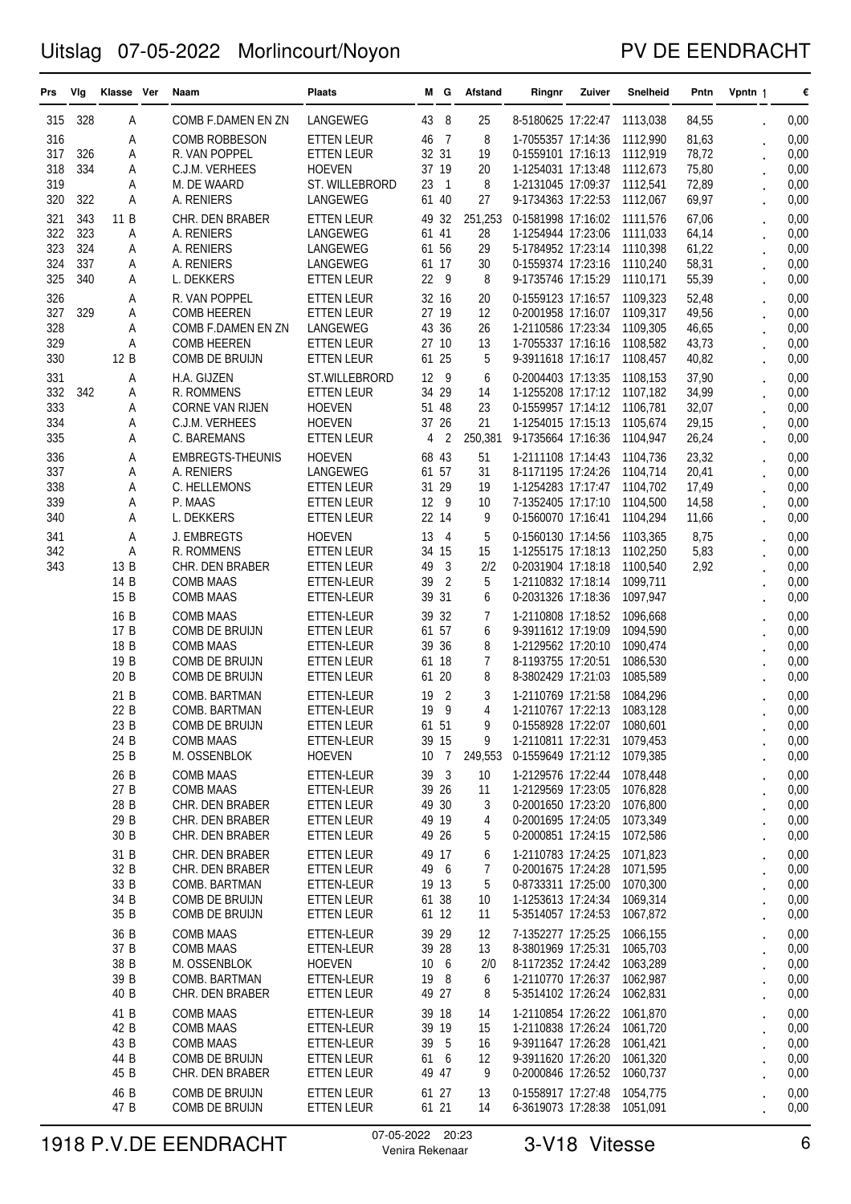### PV DE EENDRACHT

| Prs        | Vlg        | Klasse Ver   | Naam                                  | <b>Plaats</b>                          |                | MG.                 | Afstand   | Ringnr                                                     | Zuiver | Snelheid             | Pntn           | Vpntn 1 | €            |
|------------|------------|--------------|---------------------------------------|----------------------------------------|----------------|---------------------|-----------|------------------------------------------------------------|--------|----------------------|----------------|---------|--------------|
| 315        | 328        | Α            | COMB F.DAMEN EN ZN                    | LANGEWEG                               | 43             | 8                   | 25        | 8-5180625 17:22:47                                         |        | 1113,038             | 84,55          |         | 0,00         |
| 316<br>317 | 326        | Α<br>Α       | <b>COMB ROBBESON</b><br>R. VAN POPPEL | <b>ETTEN LEUR</b><br><b>ETTEN LEUR</b> | 46<br>32 31    | $\overline{7}$      | 8<br>19   | 1-7055357 17:14:36<br>0-1559101 17:16:13                   |        | 1112,990<br>1112,919 | 81,63<br>78,72 |         | 0,00<br>0,00 |
| 318        | 334        | Α            | C.J.M. VERHEES                        | <b>HOEVEN</b>                          | 37 19          |                     | 20        | 1-1254031 17:13:48                                         |        | 1112,673             | 75,80          |         | 0,00         |
| 319        |            | Α            | M. DE WAARD                           | ST. WILLEBRORD                         | 23<br>61 40    | -1                  | 8<br>27   | 1-2131045 17:09:37                                         |        | 1112,541             | 72,89          |         | 0,00         |
| 320<br>321 | 322<br>343 | Α<br>11 B    | A. RENIERS<br>CHR. DEN BRABER         | LANGEWEG<br><b>ETTEN LEUR</b>          | 49             | 32                  | 251,253   | 9-1734363 17:22:53<br>0-1581998 17:16:02                   |        | 1112,067<br>1111.576 | 69,97<br>67,06 |         | 0,00<br>0,00 |
| 322        | 323        | Α            | A. RENIERS                            | LANGEWEG                               | 61 41          |                     | 28        | 1-1254944 17:23:06                                         |        | 1111,033             | 64,14          |         | 0,00         |
| 323        | 324        | Α            | A. RENIERS                            | LANGEWEG                               | 61 56          |                     | 29        | 5-1784952 17:23:14                                         |        | 1110,398             | 61,22          |         | 0,00         |
| 324<br>325 | 337<br>340 | Α<br>Α       | A. RENIERS<br>L. DEKKERS              | LANGEWEG<br>ETTEN LEUR                 | 61 17<br>22    | 9                   | 30<br>8   | 0-1559374 17:23:16<br>9-1735746 17:15:29                   |        | 1110,240<br>1110,171 | 58,31<br>55,39 |         | 0,00<br>0,00 |
| 326        |            | Α            | R. VAN POPPEL                         | <b>ETTEN LEUR</b>                      | 32 16          |                     | 20        | 0-1559123 17:16:57                                         |        | 1109,323             | 52,48          |         | 0,00         |
| 327        | 329        | Α            | <b>COMB HEEREN</b>                    | <b>ETTEN LEUR</b>                      | 27 19          |                     | 12        | 0-2001958 17:16:07                                         |        | 1109,317             | 49,56          |         | 0,00         |
| 328<br>329 |            | Α<br>Α       | COMB F.DAMEN EN ZN<br>COMB HEEREN     | LANGEWEG<br>ETTEN LEUR                 | 43 36<br>27 10 |                     | 26<br>13  | 1-2110586 17:23:34<br>1-7055337 17:16:16                   |        | 1109,305<br>1108,582 | 46,65<br>43,73 |         | 0,00<br>0,00 |
| 330        |            | 12 B         | COMB DE BRUIJN                        | <b>ETTEN LEUR</b>                      | 61             | 25                  | 5         | 9-3911618 17:16:17                                         |        | 1108,457             | 40,82          |         | 0,00         |
| 331        |            | Α            | H.A. GIJZEN                           | ST.WILLEBRORD                          | 12             | - 9                 | 6         | 0-2004403 17:13:35                                         |        | 1108,153             | 37,90          |         | 0,00         |
| 332<br>333 | 342        | Α<br>Α       | R. ROMMENS<br><b>CORNE VAN RIJEN</b>  | <b>ETTEN LEUR</b><br><b>HOEVEN</b>     | 34<br>51 48    | 29                  | 14<br>23  | 1-1255208 17:17:12 1107,182<br>0-1559957 17:14:12          |        | 1106,781             | 34,99<br>32,07 |         | 0,00<br>0,00 |
| 334        |            | Α            | C.J.M. VERHEES                        | <b>HOEVEN</b>                          | 37 26          |                     | 21        | 1-1254015 17:15:13                                         |        | 1105,674             | 29,15          |         | 0,00         |
| 335        |            | Α            | C. BAREMANS                           | <b>ETTEN LEUR</b>                      | 4              | 2                   | 250,381   | 9-1735664 17:16:36                                         |        | 1104,947             | 26,24          |         | 0,00         |
| 336<br>337 |            | Α<br>Α       | <b>EMBREGTS-THEUNIS</b><br>A. RENIERS | <b>HOEVEN</b><br>LANGEWEG              | 68 43<br>61 57 |                     | 51<br>31  | 1-2111108 17:14:43<br>8-1171195 17:24:26                   |        | 1104,736<br>1104,714 | 23,32<br>20,41 |         | 0,00<br>0,00 |
| 338        |            | Α            | C. HELLEMONS                          | ETTEN LEUR                             | 31 29          |                     | 19        | 1-1254283 17:17:47                                         |        | 1104.702             | 17,49          |         | 0,00         |
| 339<br>340 |            | Α<br>Α       | P. MAAS<br>L. DEKKERS                 | ETTEN LEUR<br>ETTEN LEUR               | 12<br>22 14    | - 9                 | 10<br>9   | 7-1352405 17:17:10<br>0-1560070 17:16:41                   |        | 1104,500<br>1104,294 | 14,58          |         | 0,00<br>0,00 |
| 341        |            | Α            | J. EMBREGTS                           | <b>HOEVEN</b>                          | 13             | $\overline{4}$      | 5         | 0-1560130 17:14:56                                         |        | 1103,365             | 11,66<br>8,75  |         | 0,00         |
| 342        |            | Α            | R. ROMMENS                            | <b>ETTEN LEUR</b>                      | 34 15          |                     | 15        | 1-1255175 17:18:13                                         |        | 1102,250             | 5,83           |         | 0,00         |
| 343        |            | 13 B<br>14 B | CHR. DEN BRABER<br>COMB MAAS          | ETTEN LEUR<br>ETTEN-LEUR               | 49<br>39       | 3<br>$\overline{c}$ | 2/2<br>5  | 0-2031904 17:18:18<br>1-2110832 17:18:14                   |        | 1100,540<br>1099,711 | 2,92           |         | 0,00<br>0,00 |
|            |            | 15 B         | <b>COMB MAAS</b>                      | ETTEN-LEUR                             | 39             | 31                  | 6         | 0-2031326 17:18:36                                         |        | 1097,947             |                |         | 0,00         |
|            |            | 16 B         | <b>COMB MAAS</b>                      | ETTEN-LEUR                             | 39             | 32                  | 7         | 1-2110808 17:18:52                                         |        | 1096,668             |                |         | 0,00         |
|            |            | 17 B         | COMB DE BRUIJN<br><b>COMB MAAS</b>    | <b>ETTEN LEUR</b>                      | 61 57          |                     | 6<br>8    | 9-3911612 17:19:09                                         |        | 1094,590             |                |         | 0,00         |
|            |            | 18 B<br>19 B | COMB DE BRUIJN                        | ETTEN-LEUR<br>ETTEN LEUR               | 39<br>61 18    | 36                  | 7         | 1-2129562 17:20:10<br>8-1193755 17:20:51                   |        | 1090,474<br>1086,530 |                |         | 0,00<br>0,00 |
|            |            | 20 B         | COMB DE BRUIJN                        | <b>ETTEN LEUR</b>                      | 61 20          |                     | 8         | 8-3802429 17:21:03                                         |        | 1085,589             |                |         | 0,00         |
|            |            | 21 B<br>22 B | COMB. BARTMAN<br>COMB. BARTMAN        | ETTEN-LEUR<br>ETTEN-LEUR               | 19<br>19       | $\overline{2}$<br>9 | 3<br>4    | 1-2110769 17:21:58<br>1-2110767 17:22:13                   |        | 1084,296<br>1083.128 |                |         | 0,00<br>0,00 |
|            |            | 23 B         | COMB DE BRUIJN                        | <b>ETTEN LEUR</b>                      | 61 51          |                     | 9         | 0-1558928 17:22:07 1080,601                                |        |                      |                |         | 0,00         |
|            |            | 24 B         | <b>COMB MAAS</b>                      | ETTEN-LEUR                             | 39 15          |                     | 9         | 1-2110811 17:22:31 1079,453                                |        |                      |                |         | 0,00         |
|            |            | 25 B         | M. OSSENBLOK<br><b>COMB MAAS</b>      | <b>HOEVEN</b>                          | 10 7           |                     | 249,553   | 0-1559649 17:21:12 1079,385                                |        |                      |                |         | 0,00         |
|            |            | 26 B<br>27 B | <b>COMB MAAS</b>                      | ETTEN-LEUR<br>ETTEN-LEUR               | 39 3<br>39 26  |                     | 10<br>11  | 1-2129576 17:22:44 1078,448<br>1-2129569 17:23:05 1076,828 |        |                      |                |         | 0,00<br>0,00 |
|            |            | 28 B         | CHR. DEN BRABER                       | <b>ETTEN LEUR</b>                      | 49 30          |                     | 3         | 0-2001650 17:23:20 1076,800                                |        |                      |                |         | 0,00         |
|            |            | 29 B<br>30 B | CHR. DEN BRABER<br>CHR. DEN BRABER    | <b>ETTEN LEUR</b><br><b>ETTEN LEUR</b> | 49 19<br>49 26 |                     | 4<br>5    | 0-2001695 17:24:05 1073,349<br>0-2000851 17:24:15 1072,586 |        |                      |                |         | 0,00<br>0,00 |
|            |            | 31 B         | CHR. DEN BRABER                       | <b>ETTEN LEUR</b>                      | 49 17          |                     | 6         | 1-2110783 17:24:25 1071,823                                |        |                      |                |         | 0,00         |
|            |            | 32 B         | CHR. DEN BRABER                       | ETTEN LEUR                             | 49 6           |                     | 7         | 0-2001675 17:24:28 1071.595                                |        |                      |                |         | 0,00         |
|            |            | 33 B<br>34 B | COMB. BARTMAN<br>COMB DE BRUIJN       | ETTEN-LEUR<br><b>ETTEN LEUR</b>        | 19 13<br>61 38 |                     | 5<br>10   | 0-8733311 17:25:00 1070,300<br>1-1253613 17:24:34 1069,314 |        |                      |                |         | 0,00<br>0,00 |
|            |            | 35 B         | COMB DE BRUIJN                        | ETTEN LEUR                             | 61 12          |                     | 11        | 5-3514057 17:24:53 1067,872                                |        |                      |                |         | 0,00         |
|            |            | 36 B         | <b>COMB MAAS</b>                      | ETTEN-LEUR                             | 39 29          |                     | 12        | 7-1352277 17:25:25                                         |        | 1066,155             |                |         | 0,00         |
|            |            | 37 B<br>38 B | COMB MAAS<br>M. OSSENBLOK             | ETTEN-LEUR<br><b>HOEVEN</b>            | 39 28<br>10 6  |                     | 13<br>2/0 | 8-3801969 17:25:31 1065,703<br>8-1172352 17:24:42 1063,289 |        |                      |                |         | 0,00<br>0,00 |
|            |            | 39 B         | COMB. BARTMAN                         | ETTEN-LEUR                             | 19             | - 8                 | 6         | 1-2110770 17:26:37 1062,987                                |        |                      |                |         | 0,00         |
|            |            | 40 B         | CHR. DEN BRABER                       | ETTEN LEUR                             | 49 27          |                     | 8         | 5-3514102 17:26:24 1062,831                                |        |                      |                |         | 0,00         |
|            |            | 41 B<br>42 B | <b>COMB MAAS</b><br>COMB MAAS         | ETTEN-LEUR<br>ETTEN-LEUR               | 39 18<br>39 19 |                     | 14<br>15  | 1-2110854 17:26:22 1061,870<br>1-2110838 17:26:24 1061,720 |        |                      |                |         | 0,00<br>0,00 |
|            |            | 43 B         | <b>COMB MAAS</b>                      | ETTEN-LEUR                             | 39 5           |                     | 16        | 9-3911647 17:26:28 1061,421                                |        |                      |                |         | 0,00         |
|            |            | 44 B         | COMB DE BRUIJN                        | ETTEN LEUR                             | 61 6           |                     | 12        | 9-3911620 17:26:20 1061,320                                |        |                      |                |         | 0,00         |
|            |            | 45 B<br>46 B | CHR. DEN BRABER<br>COMB DE BRUIJN     | ETTEN LEUR<br>ETTEN LEUR               | 49 47<br>61 27 |                     | 9<br>13   | 0-2000846 17:26:52 1060,737<br>0-1558917 17:27:48 1054,775 |        |                      |                |         | 0,00<br>0,00 |
|            |            | 47 B         | COMB DE BRUIJN                        | ETTEN LEUR                             | 61 21          |                     | 14        | 6-3619073 17:28:38 1051,091                                |        |                      |                |         | 0,00         |

# 1918 P.V.DE EENDRACHT <sup>07-05-2022</sup> <sup>20:23</sup> 3-V18 Vitesse 6 6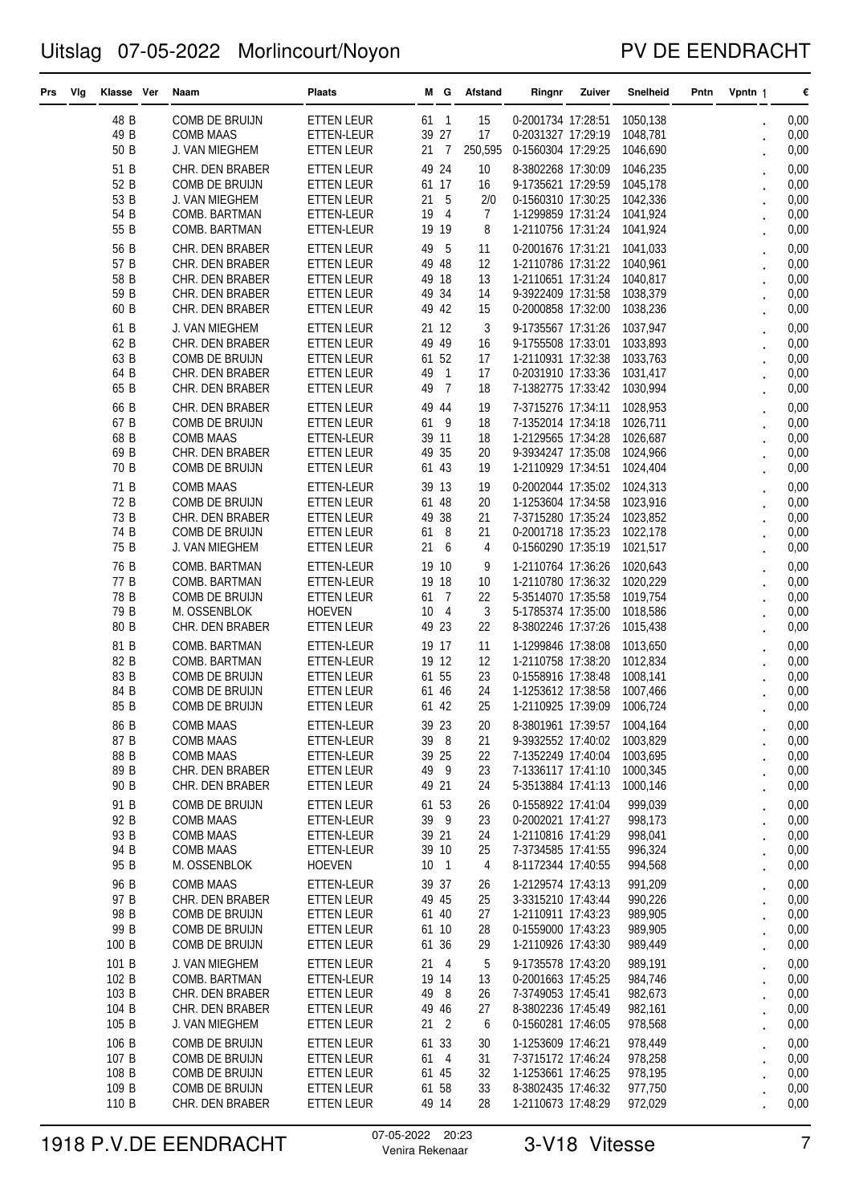### PV DE EENDRACHT

| Prs | Vlg | Klasse Ver     | Naam                               | Plaats                                 |                | MG.            | Afstand  | Ringnr                                                     | Zuiver | Snelheid             | Pntn | Vpntn 1 |                      | €            |
|-----|-----|----------------|------------------------------------|----------------------------------------|----------------|----------------|----------|------------------------------------------------------------|--------|----------------------|------|---------|----------------------|--------------|
|     |     | 48 B           | COMB DE BRUIJN                     | <b>ETTEN LEUR</b>                      |                | 61 1           | 15       | 0-2001734 17:28:51                                         |        | 1050,138             |      |         |                      | 0,00         |
|     |     | 49 B           | <b>COMB MAAS</b>                   | ETTEN-LEUR                             |                | 39 27          | 17       | 0-2031327 17:29:19                                         |        | 1048,781             |      |         |                      | 0,00         |
|     |     | 50 B           | J. VAN MIEGHEM                     | ETTEN LEUR                             | 21             | $\overline{7}$ | 250,595  | 0-1560304 17:29:25                                         |        | 1046,690             |      |         |                      | 0,00         |
|     |     | 51 B           | CHR. DEN BRABER                    | <b>ETTEN LEUR</b>                      | 49 24          |                | 10       | 8-3802268 17:30:09                                         |        | 1046.235             |      |         |                      | 0,00         |
|     |     | 52 B           | COMB DE BRUIJN                     | ETTEN LEUR                             | 61 17          |                | 16       | 9-1735621 17:29:59                                         |        | 1045,178             |      |         |                      | 0,00         |
|     |     | 53 B           | J. VAN MIEGHEM                     | <b>ETTEN LEUR</b>                      | 21 5           |                | 2/0      | 0-1560310 17:30:25                                         |        | 1042,336             |      |         |                      | 0,00         |
|     |     | 54 B           | COMB. BARTMAN                      | ETTEN-LEUR                             | 19             | $\overline{4}$ | 7        | 1-1299859 17:31:24                                         |        | 1041,924             |      |         |                      | 0,00         |
|     |     | 55 B           | COMB. BARTMAN                      | ETTEN-LEUR                             | 19 19          |                | 8        | 1-2110756 17:31:24 1041,924                                |        |                      |      |         |                      | 0,00         |
|     |     | 56 B           | CHR. DEN BRABER                    | ETTEN LEUR                             | 49             | -5             | 11       | 0-2001676 17:31:21                                         |        | 1041,033             |      |         |                      | 0,00         |
|     |     | 57 B           | CHR. DEN BRABER                    | <b>ETTEN LEUR</b>                      | 49 48          |                | 12       | 1-2110786 17:31:22 1040,961                                |        |                      |      |         |                      | 0,00         |
|     |     | 58 B           | CHR. DEN BRABER                    | <b>ETTEN LEUR</b>                      | 49             | 18             | 13       | 1-2110651 17:31:24 1040,817                                |        |                      |      |         |                      | 0,00         |
|     |     | 59 B<br>60 B   | CHR. DEN BRABER<br>CHR. DEN BRABER | <b>ETTEN LEUR</b><br>ETTEN LEUR        | 49<br>49 42    | 34             | 14<br>15 | 9-3922409 17:31:58<br>0-2000858 17:32:00                   |        | 1038,379<br>1038,236 |      |         |                      | 0,00<br>0,00 |
|     |     |                |                                    |                                        |                |                |          |                                                            |        |                      |      |         |                      |              |
|     |     | 61 B<br>62 B   | J. VAN MIEGHEM                     | ETTEN LEUR                             |                | 21 12          | 3        | 9-1735567 17:31:26                                         |        | 1037,947             |      |         |                      | 0,00         |
|     |     | 63 B           | CHR. DEN BRABER<br>COMB DE BRUIJN  | <b>ETTEN LEUR</b><br><b>ETTEN LEUR</b> | 49<br>61 52    | 49             | 16<br>17 | 9-1755508 17:33:01<br>1-2110931 17:32:38 1033,763          |        | 1033,893             |      |         |                      | 0,00<br>0,00 |
|     |     | 64 B           | CHR. DEN BRABER                    | <b>ETTEN LEUR</b>                      | 49             | 1              | 17       | 0-2031910 17:33:36 1031,417                                |        |                      |      |         |                      | 0,00         |
|     |     | 65 B           | CHR. DEN BRABER                    | ETTEN LEUR                             | 49             | $\overline{7}$ | 18       | 7-1382775 17:33:42                                         |        | 1030,994             |      |         |                      | 0,00         |
|     |     | 66 B           | CHR. DEN BRABER                    | <b>ETTEN LEUR</b>                      | 49             | 44             | 19       | 7-3715276 17:34:11                                         |        | 1028,953             |      |         |                      | 0,00         |
|     |     | 67 B           | COMB DE BRUIJN                     | ETTEN LEUR                             | 61             | - 9            | 18       | 7-1352014 17:34:18                                         |        | 1026.711             |      |         |                      | 0,00         |
|     |     | 68 B           | COMB MAAS                          | ETTEN-LEUR                             |                | 39 11          | 18       | 1-2129565 17:34:28                                         |        | 1026,687             |      |         |                      | 0,00         |
|     |     | 69 B           | CHR. DEN BRABER                    | <b>ETTEN LEUR</b>                      | 49 35          |                | 20       | 9-3934247 17:35:08                                         |        | 1024,966             |      |         |                      | 0,00         |
|     |     | 70 B           | COMB DE BRUIJN                     | ETTEN LEUR                             | 61 43          |                | 19       | 1-2110929 17:34:51 1024,404                                |        |                      |      |         |                      | 0,00         |
|     |     | 71 B           | <b>COMB MAAS</b>                   | ETTEN-LEUR                             |                | 39 13          | 19       | 0-2002044 17:35:02 1024,313                                |        |                      |      |         |                      | 0,00         |
|     |     | 72 B           | COMB DE BRUIJN                     | <b>ETTEN LEUR</b>                      | 61 48          |                | 20       | 1-1253604 17:34:58 1023,916                                |        |                      |      |         |                      | 0,00         |
|     |     | 73 B           | CHR. DEN BRABER                    | <b>ETTEN LEUR</b>                      | 49             | 38             | 21       | 7-3715280 17:35:24 1023,852                                |        |                      |      |         |                      | 0,00         |
|     |     | 74 B           | COMB DE BRUIJN                     | ETTEN LEUR                             | 61             | - 8            | 21       | 0-2001718 17:35:23                                         |        | 1022,178             |      |         |                      | 0,00         |
|     |     | 75 B           | J. VAN MIEGHEM                     | <b>ETTEN LEUR</b>                      | 21             | 6              | 4        | 0-1560290 17:35:19 1021,517                                |        |                      |      |         |                      | 0,00         |
|     |     | 76 B           | COMB. BARTMAN                      | ETTEN-LEUR                             | 19 10          |                | 9        | 1-2110764 17:36:26                                         |        | 1020,643             |      |         |                      | 0,00         |
|     |     | 77 B           | COMB. BARTMAN                      | ETTEN-LEUR                             | 19 18          |                | 10       | 1-2110780 17:36:32 1020,229                                |        |                      |      |         |                      | 0,00         |
|     |     | 78 B           | COMB DE BRUIJN                     | <b>ETTEN LEUR</b>                      | 61             | $\overline{7}$ | 22       | 5-3514070 17:35:58                                         |        | 1019,754             |      |         |                      | 0,00         |
|     |     | 79 B           | M. OSSENBLOK                       | <b>HOEVEN</b>                          | 10             | $\overline{4}$ | 3        | 5-1785374 17:35:00                                         |        | 1018,586             |      |         |                      | 0,00         |
|     |     | 80 B           | CHR. DEN BRABER                    | ETTEN LEUR                             | 49 23          |                | 22       | 8-3802246 17:37:26                                         |        | 1015,438             |      |         |                      | 0,00         |
|     |     | 81 B           | COMB. BARTMAN                      | ETTEN-LEUR                             | 19 17          |                | 11       | 1-1299846 17:38:08                                         |        | 1013,650             |      |         |                      | 0,00         |
|     |     | 82 B           | COMB. BARTMAN                      | ETTEN-LEUR                             | 19 12          |                | 12       | 1-2110758 17:38:20                                         |        | 1012,834             |      |         |                      | 0,00         |
|     |     | 83 B<br>84 B   | COMB DE BRUIJN<br>COMB DE BRUIJN   | <b>ETTEN LEUR</b><br><b>ETTEN LEUR</b> |                | 61 55<br>61 46 | 23<br>24 | 0-1558916 17:38:48<br>1-1253612 17:38:58                   |        | 1008,141<br>1007,466 |      |         |                      | 0,00<br>0,00 |
|     |     | 85 B           | COMB DE BRUIJN                     | <b>ETTEN LEUR</b>                      | 61 42          |                | 25       | 1-2110925 17:39:09                                         |        | 1006,724             |      |         |                      | 0,00         |
|     |     |                |                                    |                                        |                |                |          |                                                            |        |                      |      |         |                      |              |
|     |     | 86 B<br>87 B   | COMB MAAS<br>COMB MAAS             | ETTEN-LEUR<br>ETTEN-LEUR               |                | 39 23<br>39 8  | 20<br>21 | 8-3801961 17:39:57 1004,164<br>9-3932552 17:40:02 1003,829 |        |                      |      |         |                      | 0,00<br>0,00 |
|     |     | 88 B           | COMB MAAS                          | ETTEN-LEUR                             | 39 25          |                | 22       | 7-1352249 17:40:04 1003,695                                |        |                      |      |         |                      | 0,00         |
|     |     | 89 B           | CHR. DEN BRABER                    | ETTEN LEUR                             | 49 9           |                | 23       | 7-1336117 17:41:10 1000,345                                |        |                      |      |         | $\ddot{\phantom{0}}$ | 0,00         |
|     |     | 90 B           | CHR. DEN BRABER                    | ETTEN LEUR                             | 49 21          |                | 24       | 5-3513884 17:41:13 1000,146                                |        |                      |      |         |                      | 0,00         |
|     |     | 91 B           | COMB DE BRUIJN                     | ETTEN LEUR                             | 61 53          |                | 26       | 0-1558922 17:41:04                                         |        | 999.039              |      |         |                      | 0,00         |
|     |     | 92 B           | <b>COMB MAAS</b>                   | ETTEN-LEUR                             |                | 39 9           | 23       | 0-2002021 17:41:27                                         |        | 998,173              |      |         |                      | 0,00         |
|     |     | 93 B           | <b>COMB MAAS</b>                   | ETTEN-LEUR                             | 39 21          |                | 24       | 1-2110816 17:41:29                                         |        | 998,041              |      |         | $\ddot{\phantom{0}}$ | 0,00         |
|     |     | 94 B           | COMB MAAS                          | ETTEN-LEUR                             |                | 39 10          | 25       | 7-3734585 17:41:55                                         |        | 996,324              |      |         | $\ddot{\phantom{0}}$ | 0,00         |
|     |     | 95 B           | M. OSSENBLOK                       | <b>HOEVEN</b>                          | 10 1           |                | 4        | 8-1172344 17:40:55                                         |        | 994,568              |      |         | $\ddot{\phantom{0}}$ | 0,00         |
|     |     | 96 B           | <b>COMB MAAS</b>                   | ETTEN-LEUR                             | 39 37          |                | 26       | 1-2129574 17:43:13                                         |        | 991,209              |      |         |                      | 0,00         |
|     |     | 97 B           | CHR. DEN BRABER                    | ETTEN LEUR                             | 49 45          |                | 25       | 3-3315210 17:43:44                                         |        | 990,226              |      |         | $\ddot{\phantom{0}}$ | 0,00         |
|     |     | 98 B           | COMB DE BRUIJN                     | ETTEN LEUR                             | 61 40          |                | 27       | 1-2110911 17:43:23                                         |        | 989,905              |      |         |                      | 0,00         |
|     |     | 99 B<br>100 B  | COMB DE BRUIJN<br>COMB DE BRUIJN   | ETTEN LEUR<br>ETTEN LEUR               | 61 10<br>61 36 |                | 28<br>29 | 0-1559000 17:43:23<br>1-2110926 17:43:30                   |        | 989,905<br>989,449   |      |         | $\ddot{\phantom{0}}$ | 0,00<br>0,00 |
|     |     |                |                                    |                                        |                |                |          |                                                            |        |                      |      |         | $\ddot{\phantom{0}}$ |              |
|     |     | 101 B          | J. VAN MIEGHEM                     | ETTEN LEUR                             |                | 21 4           | 5        | 9-1735578 17:43:20                                         |        | 989,191              |      |         | $\ddot{\phantom{a}}$ | 0,00         |
|     |     | 102 B<br>103 B | COMB. BARTMAN<br>CHR. DEN BRABER   | ETTEN-LEUR<br><b>ETTEN LEUR</b>        | 19 14<br>49 8  |                | 13<br>26 | 0-2001663 17:45:25<br>7-3749053 17:45:41                   |        | 984,746<br>982,673   |      |         | $\ddot{\phantom{0}}$ | 0,00<br>0,00 |
|     |     | 104 B          | CHR. DEN BRABER                    | ETTEN LEUR                             |                | 49 46          | 27       | 8-3802236 17:45:49                                         |        | 982,161              |      |         | $\ddot{\phantom{0}}$ | 0,00         |
|     |     | 105 B          | J. VAN MIEGHEM                     | ETTEN LEUR                             |                | 21 2           | 6        | 0-1560281 17:46:05                                         |        | 978,568              |      |         | $\ddot{\phantom{0}}$ | 0,00         |
|     |     | 106 B          | COMB DE BRUIJN                     | ETTEN LEUR                             | 61 33          |                | 30       | 1-1253609 17:46:21                                         |        | 978,449              |      |         |                      | 0,00         |
|     |     | 107 B          | COMB DE BRUIJN                     | ETTEN LEUR                             |                | 61 4           | 31       | 7-3715172 17:46:24                                         |        | 978,258              |      |         | $\ddot{\phantom{0}}$ | 0,00         |
|     |     | 108 B          | COMB DE BRUIJN                     | ETTEN LEUR                             | 61 45          |                | 32       | 1-1253661 17:46:25                                         |        | 978,195              |      |         | $\ddot{\phantom{0}}$ | 0,00         |
|     |     | 109 B          | COMB DE BRUIJN                     | ETTEN LEUR                             |                | 61 58          | 33       | 8-3802435 17:46:32                                         |        | 977,750              |      |         |                      | 0,00         |
|     |     | 110 B          | CHR. DEN BRABER                    | ETTEN LEUR                             |                | 49 14          | 28       | 1-2110673 17:48:29                                         |        | 972,029              |      |         |                      | 0,00         |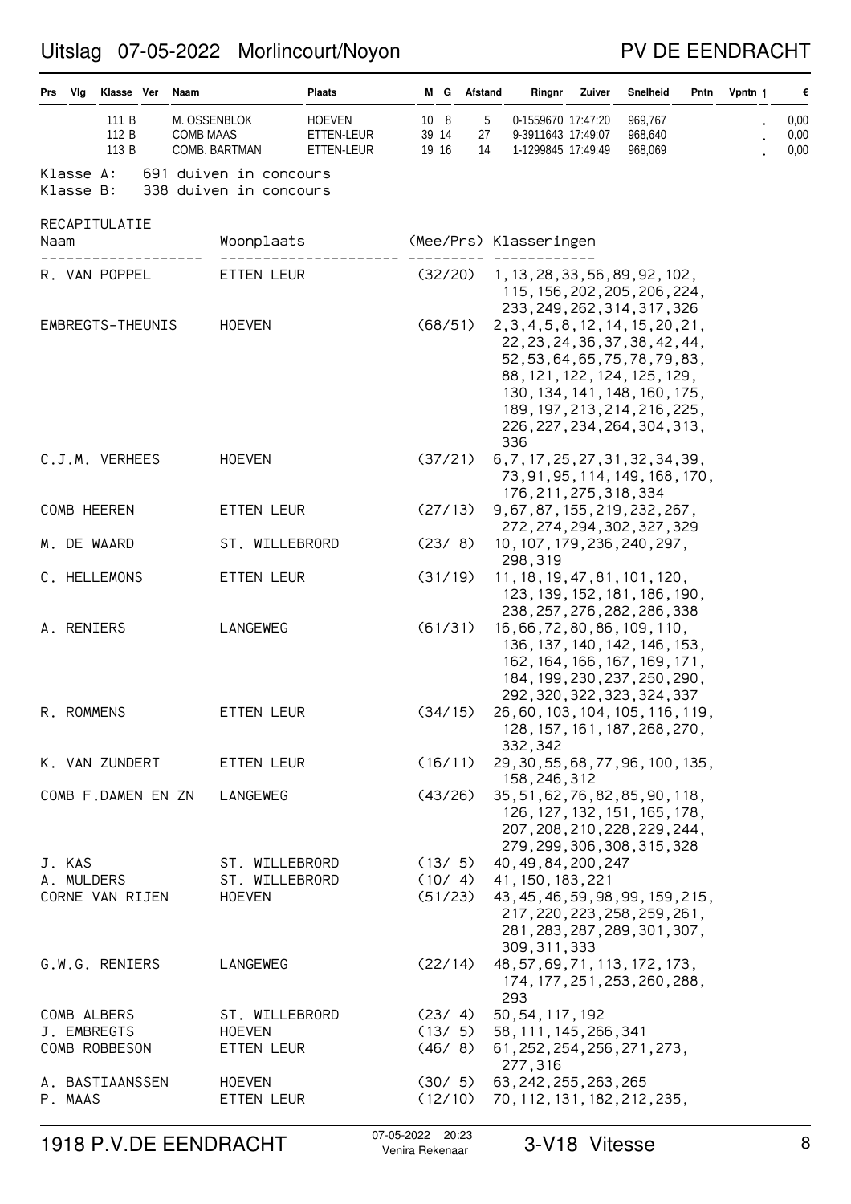### PV DE EENDRACHT

| Prs Vlg                    | Klasse Ver              | Naam             |                                                  | <b>Plaats</b>                             |                        | M G Afstand       | Ringnr                                                                                                                                                                                                                                             | Zuiver | Snelheid                      | Pntn | Vpntn 1 | €                    |
|----------------------------|-------------------------|------------------|--------------------------------------------------|-------------------------------------------|------------------------|-------------------|----------------------------------------------------------------------------------------------------------------------------------------------------------------------------------------------------------------------------------------------------|--------|-------------------------------|------|---------|----------------------|
|                            | 111 B<br>112 B<br>113 B | <b>COMB MAAS</b> | M. OSSENBLOK<br>COMB. BARTMAN                    | <b>HOEVEN</b><br>ETTEN-LEUR<br>ETTEN-LEUR | 10 8<br>39 14<br>19 16 | 5<br>27<br>14     | 0-1559670 17:47:20<br>9-3911643 17:49:07<br>1-1299845 17:49:49                                                                                                                                                                                     |        | 969,767<br>968,640<br>968,069 |      |         | 0,00<br>0,00<br>0,00 |
| Klasse A:<br>Klasse B:     |                         |                  | 691 duiven in concours<br>338 duiven in concours |                                           |                        |                   |                                                                                                                                                                                                                                                    |        |                               |      |         |                      |
| RECAPITULATIE<br>Naam      |                         |                  | Woonplaats                                       |                                           |                        |                   | (Mee/Prs) Klasseringen                                                                                                                                                                                                                             |        |                               |      |         |                      |
| R. VAN POPPEL              |                         |                  | ETTEN LEUR                                       |                                           | (32/20)                |                   | 1, 13, 28, 33, 56, 89, 92, 102,<br>115, 156, 202, 205, 206, 224,<br>233, 249, 262, 314, 317, 326                                                                                                                                                   |        |                               |      |         |                      |
| EMBREGTS-THEUNIS           |                         |                  | <b>HOEVEN</b>                                    |                                           | (68/51)                |                   | 2, 3, 4, 5, 8, 12, 14, 15, 20, 21,<br>22, 23, 24, 36, 37, 38, 42, 44,<br>52, 53, 64, 65, 75, 78, 79, 83,<br>88, 121, 122, 124, 125, 129,<br>130, 134, 141, 148, 160, 175,<br>189, 197, 213, 214, 216, 225,<br>226, 227, 234, 264, 304, 313,<br>336 |        |                               |      |         |                      |
| C.J.M. VERHEES             |                         |                  | <b>HOEVEN</b>                                    |                                           | (37/21)                |                   | 6, 7, 17, 25, 27, 31, 32, 34, 39,<br>73, 91, 95, 114, 149, 168, 170,<br>176, 211, 275, 318, 334                                                                                                                                                    |        |                               |      |         |                      |
| COMB HEEREN                |                         |                  | ETTEN LEUR                                       |                                           | (27/13)                |                   | 9, 67, 87, 155, 219, 232, 267,<br>272, 274, 294, 302, 327, 329                                                                                                                                                                                     |        |                               |      |         |                      |
| M. DE WAARD                |                         |                  | ST. WILLEBRORD                                   |                                           | (23/8)                 |                   | 10, 107, 179, 236, 240, 297,<br>298,319                                                                                                                                                                                                            |        |                               |      |         |                      |
| C. HELLEMONS               |                         |                  | ETTEN LEUR                                       |                                           | (31/19)                |                   | 11, 18, 19, 47, 81, 101, 120,<br>123, 139, 152, 181, 186, 190,<br>238, 257, 276, 282, 286, 338                                                                                                                                                     |        |                               |      |         |                      |
| A. RENIERS                 |                         |                  | LANGEWEG                                         |                                           | (61/31)                |                   | 16,66,72,80,86,109,110,<br>136, 137, 140, 142, 146, 153,<br>162, 164, 166, 167, 169, 171,<br>184, 199, 230, 237, 250, 290,<br>292, 320, 322, 323, 324, 337                                                                                         |        |                               |      |         |                      |
| R. ROMMENS                 |                         |                  | ETTEN LEUR                                       |                                           | (34/15)                |                   | 26,60,103,104,105,116,119,<br>128, 157, 161, 187, 268, 270,<br>332,342                                                                                                                                                                             |        |                               |      |         |                      |
| K. VAN ZUNDERT             |                         |                  | ETTEN LEUR                                       |                                           |                        | (16/11)           | 29, 30, 55, 68, 77, 96, 100, 135,<br>158,246,312                                                                                                                                                                                                   |        |                               |      |         |                      |
| COMB F.DAMEN EN ZN         |                         |                  | LANGEWEG                                         |                                           | (43/26)                |                   | 35, 51, 62, 76, 82, 85, 90, 118,<br>126, 127, 132, 151, 165, 178,<br>207, 208, 210, 228, 229, 244,<br>279, 299, 306, 308, 315, 328                                                                                                                 |        |                               |      |         |                      |
| J. KAS<br>A. MULDERS       |                         |                  | ST. WILLEBRORD<br>ST. WILLEBRORD                 |                                           |                        | (13/5)<br>(10/4)  | 40, 49, 84, 200, 247<br>41, 150, 183, 221                                                                                                                                                                                                          |        |                               |      |         |                      |
| CORNE VAN RIJEN            |                         |                  | <b>HOEVEN</b>                                    |                                           |                        | (51/23)           | 43, 45, 46, 59, 98, 99, 159, 215,<br>217, 220, 223, 258, 259, 261,<br>281, 283, 287, 289, 301, 307,<br>309, 311, 333                                                                                                                               |        |                               |      |         |                      |
| G.W.G. RENIERS             |                         |                  | LANGEWEG                                         |                                           |                        | (22/14)           | 48, 57, 69, 71, 113, 172, 173,<br>174, 177, 251, 253, 260, 288,<br>293                                                                                                                                                                             |        |                               |      |         |                      |
| COMB ALBERS<br>J. EMBREGTS |                         |                  | ST. WILLEBRORD<br><b>HOEVEN</b>                  |                                           |                        | (23/4)<br>(13/5)  | 50, 54, 117, 192<br>58, 111, 145, 266, 341                                                                                                                                                                                                         |        |                               |      |         |                      |
| COMB ROBBESON              |                         |                  | ETTEN LEUR                                       |                                           |                        | (46/8)            | 61, 252, 254, 256, 271, 273,<br>277,316                                                                                                                                                                                                            |        |                               |      |         |                      |
| A. BASTIAANSSEN<br>P. MAAS |                         |                  | <b>HOEVEN</b><br>ETTEN LEUR                      |                                           |                        | (30/5)<br>(12/10) | 63, 242, 255, 263, 265<br>70, 112, 131, 182, 212, 235,                                                                                                                                                                                             |        |                               |      |         |                      |

# 1918 P.V.DE EENDRACHT <sup>07-05-2022</sup> <sup>20:23</sup> 3-V18 Vitesse 3 8